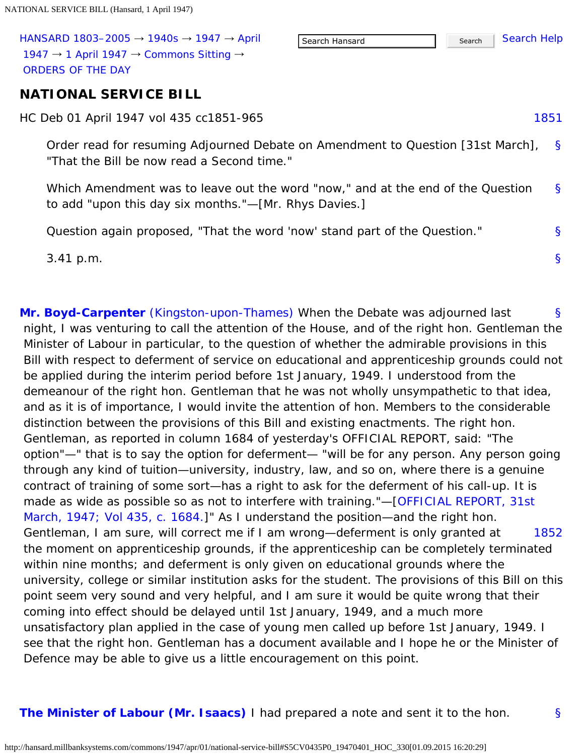<span id="page-0-1"></span>

| HANSARD 1803-2005 $\rightarrow$ 1940s $\rightarrow$ 1947 $\rightarrow$ April |
|------------------------------------------------------------------------------|
| 1947 $\rightarrow$ 1 April 1947 $\rightarrow$ Commons Sitting $\rightarrow$  |
| ORDERS OF THE DAY                                                            |

### **NATIONAL SERVICE BILL**

<span id="page-0-0"></span>HC Deb 01 April 1947 vol 435 cc1851-965

[§](#page-0-1) Order read for resuming Adjourned Debate on Amendment to Question [31st March], "That the Bill be now read a Second time."

[§](#page-0-1) Which Amendment was to leave out the word "now," and at the end of the Question to add "upon this day six months."—[Mr. Rhys Davies.]

Question again proposed, "That the word 'now' stand part of the Question."

3.41 p.m.

<span id="page-0-2"></span>[§](#page-0-2) [1852](#page-0-3) **[Mr. Boyd-Carpenter](http://hansard.millbanksystems.com/people/mr-john-boyd-carpenter)** [\(Kingston-upon-Thames\)](http://hansard.millbanksystems.com/constituencies/kingston-upon-thames) When the Debate was adjourned last night, I was venturing to call the attention of the House, and of the right hon. Gentleman the Minister of Labour in particular, to the question of whether the admirable provisions in this Bill with respect to deferment of service on educational and apprenticeship grounds could not be applied during the interim period before 1st January, 1949. I understood from the demeanour of the right hon. Gentleman that he was not wholly unsympathetic to that idea, and as it is of importance, I would invite the attention of hon. Members to the considerable distinction between the provisions of this Bill and existing enactments. The right hon. Gentleman, as reported in column 1684 of yesterday's OFFICIAL REPORT, said: "The option"—" that is to say the option for deferment— "will be for any person. Any person going through any kind of tuition—university, industry, law, and so on, where there is a genuine contract of training of some sort—has a right to ask for the deferment of his call-up. It is made as wide as possible so as not to interfere with training."—[\[OFFICIAL REPORT, 31st](http://hansard.millbanksystems.com/commons/1947/mar/31/national-service-bill#column_1684) March, 1947; Vol 435, c. 1684.]" As I understand the position—and the right hon. Gentleman, I am sure, will correct me if I am wrong—deferment is only granted at the moment on apprenticeship grounds, if the apprenticeship can be completely terminated within nine months; and deferment is only given on educational grounds where the university, college or similar institution asks for the student. The provisions of this Bill on this point seem very sound and very helpful, and I am sure it would be quite wrong that their coming into effect should be delayed until 1st January, 1949, and a much more unsatisfactory plan applied in the case of young men called up before 1st January, 1949. I see that the right hon. Gentleman has a document available and I hope he or the Minister of Defence may be able to give us a little encouragement on this point.

<span id="page-0-4"></span><span id="page-0-3"></span>**[The Minister of Labour \(Mr. Isaacs\)](http://hansard.millbanksystems.com/people/mr-george-isaacs)** I had prepared a note and sent it to the hon.

[1851](#page-0-0)

[§](#page-0-1)

[§](#page-0-1)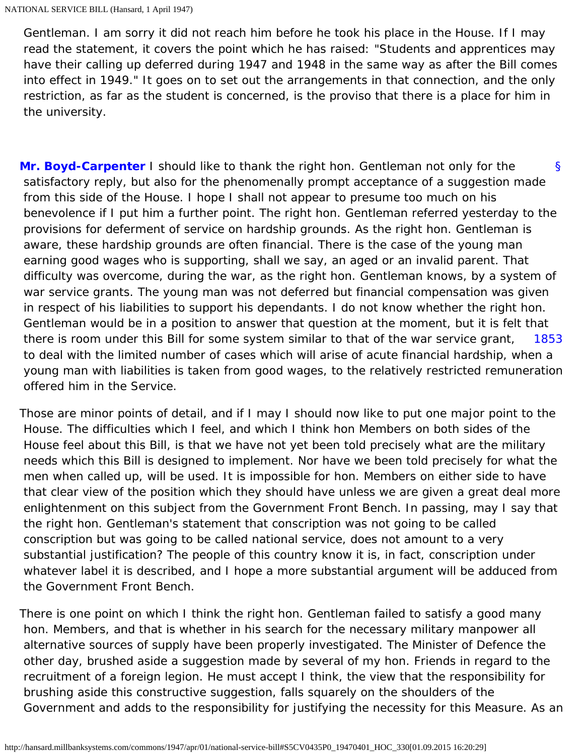Gentleman. I am sorry it did not reach him before he took his place in the House. If I may read the statement, it covers the point which he has raised: "Students and apprentices may have their calling up deferred during 1947 and 1948 in the same way as after the Bill comes into effect in 1949." It goes on to set out the arrangements in that connection, and the only restriction, as far as the student is concerned, is the proviso that there is a place for him in the university.

<span id="page-1-0"></span>[§](#page-1-0) [1853](#page-1-1) **[Mr. Boyd-Carpenter](http://hansard.millbanksystems.com/people/mr-john-boyd-carpenter)** I should like to thank the right hon. Gentleman not only for the satisfactory reply, but also for the phenomenally prompt acceptance of a suggestion made from this side of the House. I hope I shall not appear to presume too much on his benevolence if I put him a further point. The right hon. Gentleman referred yesterday to the provisions for deferment of service on hardship grounds. As the right hon. Gentleman is aware, these hardship grounds are often financial. There is the case of the young man earning good wages who is supporting, shall we say, an aged or an invalid parent. That difficulty was overcome, during the war, as the right hon. Gentleman knows, by a system of war service grants. The young man was not deferred but financial compensation was given in respect of his liabilities to support his dependants. I do not know whether the right hon. Gentleman would be in a position to answer that question at the moment, but it is felt that there is room under this Bill for some system similar to that of the war service grant, to deal with the limited number of cases which will arise of acute financial hardship, when a young man with liabilities is taken from good wages, to the relatively restricted remuneration offered him in the Service.

<span id="page-1-1"></span>Those are minor points of detail, and if I may I should now like to put one major point to the House. The difficulties which I feel, and which I think hon Members on both sides of the House feel about this Bill, is that we have not yet been told precisely what are the military needs which this Bill is designed to implement. Nor have we been told precisely for what the men when called up, will be used. It is impossible for hon. Members on either side to have that clear view of the position which they should have unless we are given a great deal more enlightenment on this subject from the Government Front Bench. In passing, may I say that the right hon. Gentleman's statement that conscription was not going to be called conscription but was going to be called national service, does not amount to a very substantial justification? The people of this country know it is, in fact, conscription under whatever label it is described, and I hope a more substantial argument will be adduced from the Government Front Bench.

There is one point on which I think the right hon. Gentleman failed to satisfy a good many hon. Members, and that is whether in his search for the necessary military manpower all alternative sources of supply have been properly investigated. The Minister of Defence the other day, brushed aside a suggestion made by several of my hon. Friends in regard to the recruitment of a foreign legion. He must accept I think, the view that the responsibility for brushing aside this constructive suggestion, falls squarely on the shoulders of the Government and adds to the responsibility for justifying the necessity for this Measure. As an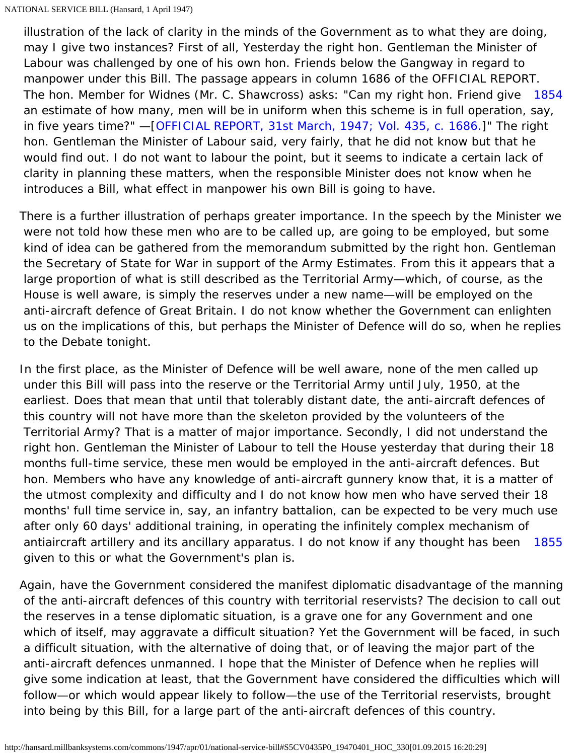<span id="page-2-0"></span>The hon. Member for Widnes (Mr. C. Shawcross) asks: "Can my right hon. Friend give [1854](#page-2-0) illustration of the lack of clarity in the minds of the Government as to what they are doing, may I give two instances? First of all, Yesterday the right hon. Gentleman the Minister of Labour was challenged by one of his own hon. Friends below the Gangway in regard to manpower under this Bill. The passage appears in column 1686 of the OFFICIAL REPORT. an estimate of how many, men will be in uniform when this scheme is in full operation, say, in five years time?" —[\[OFFICIAL REPORT, 31st March, 1947; Vol. 435, c. 1686.](http://hansard.millbanksystems.com/commons/1947/mar/31/national-service-bill#column_1686)]" The right hon. Gentleman the Minister of Labour said, very fairly, that he did not know but that he would find out. I do not want to labour the point, but it seems to indicate a certain lack of clarity in planning these matters, when the responsible Minister does not know when he introduces a Bill, what effect in manpower his own Bill is going to have.

There is a further illustration of perhaps greater importance. In the speech by the Minister we were not told how these men who are to be called up, are going to be employed, but some kind of idea can be gathered from the memorandum submitted by the right hon. Gentleman the Secretary of State for War in support of the Army Estimates. From this it appears that a large proportion of what is still described as the Territorial Army—which, of course, as the House is well aware, is simply the reserves under a new name—will be employed on the anti-aircraft defence of Great Britain. I do not know whether the Government can enlighten us on the implications of this, but perhaps the Minister of Defence will do so, when he replies to the Debate tonight.

[1855](#page-2-1) In the first place, as the Minister of Defence will be well aware, none of the men called up under this Bill will pass into the reserve or the Territorial Army until July, 1950, at the earliest. Does that mean that until that tolerably distant date, the anti-aircraft defences of this country will not have more than the skeleton provided by the volunteers of the Territorial Army? That is a matter of major importance. Secondly, I did not understand the right hon. Gentleman the Minister of Labour to tell the House yesterday that during their 18 months full-time service, these men would be employed in the anti-aircraft defences. But hon. Members who have any knowledge of anti-aircraft gunnery know that, it is a matter of the utmost complexity and difficulty and I do not know how men who have served their 18 months' full time service in, say, an infantry battalion, can be expected to be very much use after only 60 days' additional training, in operating the infinitely complex mechanism of antiaircraft artillery and its ancillary apparatus. I do not know if any thought has been given to this or what the Government's plan is.

<span id="page-2-1"></span>Again, have the Government considered the manifest diplomatic disadvantage of the manning of the anti-aircraft defences of this country with territorial reservists? The decision to call out the reserves in a tense diplomatic situation, is a grave one for any Government and one which of itself, may aggravate a difficult situation? Yet the Government will be faced, in such a difficult situation, with the alternative of doing that, or of leaving the major part of the anti-aircraft defences unmanned. I hope that the Minister of Defence when he replies will give some indication at least, that the Government have considered the difficulties which will follow—or which would appear likely to follow—the use of the Territorial reservists, brought into being by this Bill, for a large part of the anti-aircraft defences of this country.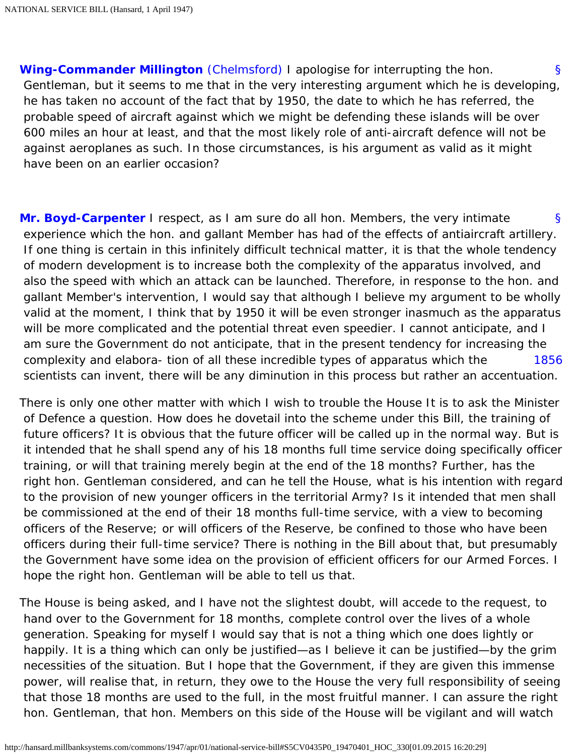<span id="page-3-0"></span>[§](#page-3-0) **[Wing-Commander Millington](http://hansard.millbanksystems.com/people/wing-commander-ernest-millington)** [\(Chelmsford\)](http://hansard.millbanksystems.com/constituencies/chelmsford) I apologise for interrupting the hon. Gentleman, but it seems to me that in the very interesting argument which he is developing, he has taken no account of the fact that by 1950, the date to which he has referred, the probable speed of aircraft against which we might be defending these islands will be over 600 miles an hour at least, and that the most likely role of anti-aircraft defence will not be against aeroplanes as such. In those circumstances, is his argument as valid as it might have been on an earlier occasion?

<span id="page-3-1"></span>[§](#page-3-1) [1856](#page-3-2) **[Mr. Boyd-Carpenter](http://hansard.millbanksystems.com/people/mr-john-boyd-carpenter)** I respect, as I am sure do all hon. Members, the very intimate experience which the hon. and gallant Member has had of the effects of antiaircraft artillery. If one thing is certain in this infinitely difficult technical matter, it is that the whole tendency of modern development is to increase both the complexity of the apparatus involved, and also the speed with which an attack can be launched. Therefore, in response to the hon. and gallant Member's intervention, I would say that although I believe my argument to be wholly valid at the moment, I think that by 1950 it will be even stronger inasmuch as the apparatus will be more complicated and the potential threat even speedier. I cannot anticipate, and I am sure the Government do not anticipate, that in the present tendency for increasing the complexity and elabora- tion of all these incredible types of apparatus which the scientists can invent, there will be any diminution in this process but rather an accentuation.

<span id="page-3-2"></span>There is only one other matter with which I wish to trouble the House It is to ask the Minister of Defence a question. How does he dovetail into the scheme under this Bill, the training of future officers? It is obvious that the future officer will be called up in the normal way. But is it intended that he shall spend any of his 18 months full time service doing specifically officer training, or will that training merely begin at the end of the 18 months? Further, has the right hon. Gentleman considered, and can he tell the House, what is his intention with regard to the provision of new younger officers in the territorial Army? Is it intended that men shall be commissioned at the end of their 18 months full-time service, with a view to becoming officers of the Reserve; or will officers of the Reserve, be confined to those who have been officers during their full-time service? There is nothing in the Bill about that, but presumably the Government have some idea on the provision of efficient officers for our Armed Forces. I hope the right hon. Gentleman will be able to tell us that.

The House is being asked, and I have not the slightest doubt, will accede to the request, to hand over to the Government for 18 months, complete control over the lives of a whole generation. Speaking for myself I would say that is not a thing which one does lightly or happily. It is a thing which can only be justified—as I believe it can be justified—by the grim necessities of the situation. But I hope that the Government, if they are given this immense power, will realise that, in return, they owe to the House the very full responsibility of seeing that those 18 months are used to the full, in the most fruitful manner. I can assure the right hon. Gentleman, that hon. Members on this side of the House will be vigilant and will watch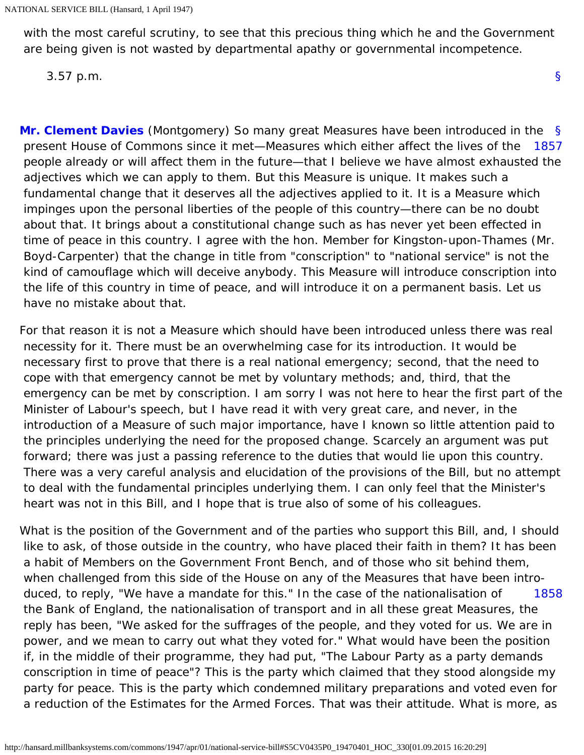with the most careful scrutiny, to see that this precious thing which he and the Government are being given is not wasted by departmental apathy or governmental incompetence.

[§](#page-0-1)

3.57 p.m.

<span id="page-4-1"></span><span id="page-4-0"></span>[§](#page-4-0) [1857](#page-4-1) **[Mr. Clement Davies](http://hansard.millbanksystems.com/people/mr-clement-davies)** (Montgomery) So many great Measures have been introduced in the present House of Commons since it met—Measures which either affect the lives of the people already or will affect them in the future—that I believe we have almost exhausted the adjectives which we can apply to them. But this Measure is unique. It makes such a fundamental change that it deserves all the adjectives applied to it. It is a Measure which impinges upon the personal liberties of the people of this country—there can be no doubt about that. It brings about a constitutional change such as has never yet been effected in time of peace in this country. I agree with the hon. Member for Kingston-upon-Thames (Mr. Boyd-Carpenter) that the change in title from "conscription" to "national service" is not the kind of camouflage which will deceive anybody. This Measure will introduce conscription into the life of this country in time of peace, and will introduce it on a permanent basis. Let us have no mistake about that.

For that reason it is not a Measure which should have been introduced unless there was real necessity for it. There must be an overwhelming case for its introduction. It would be necessary first to prove that there is a real national emergency; second, that the need to cope with that emergency cannot be met by voluntary methods; and, third, that the emergency can be met by conscription. I am sorry I was not here to hear the first part of the Minister of Labour's speech, but I have read it with very great care, and never, in the introduction of a Measure of such major importance, have I known so little attention paid to the principles underlying the need for the proposed change. Scarcely an argument was put forward; there was just a passing reference to the duties that would lie upon this country. There was a very careful analysis and elucidation of the provisions of the Bill, but no attempt to deal with the fundamental principles underlying them. I can only feel that the Minister's heart was not in this Bill, and I hope that is true also of some of his colleagues.

<span id="page-4-2"></span>[1858](#page-4-2) What is the position of the Government and of the parties who support this Bill, and, I should like to ask, of those outside in the country, who have placed their faith in them? It has been a habit of Members on the Government Front Bench, and of those who sit behind them, when challenged from this side of the House on any of the Measures that have been intro duced, to reply, "We have a mandate for this." In the case of the nationalisation of the Bank of England, the nationalisation of transport and in all these great Measures, the reply has been, "We asked for the suffrages of the people, and they voted for us. We are in power, and we mean to carry out what they voted for." What would have been the position if, in the middle of their programme, they had put, "The Labour Party as a party demands conscription in time of peace"? This is the party which claimed that they stood alongside my party for peace. This is the party which condemned military preparations and voted even for a reduction of the Estimates for the Armed Forces. That was their attitude. What is more, as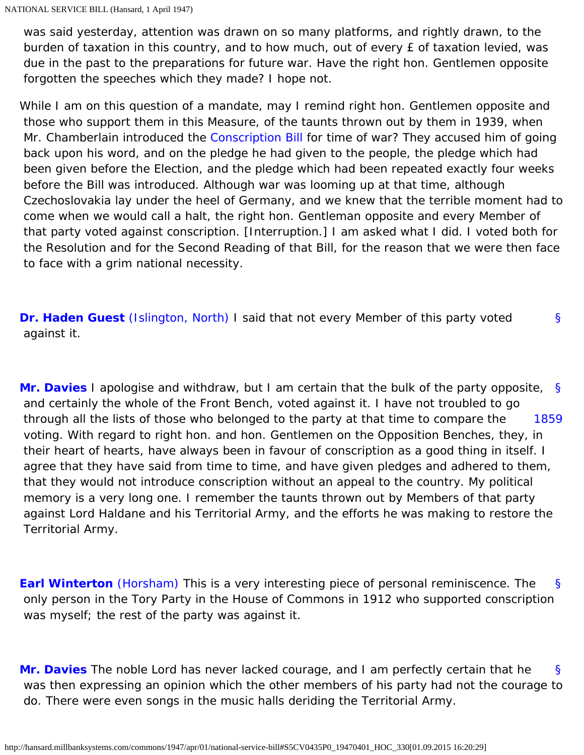was said yesterday, attention was drawn on so many platforms, and rightly drawn, to the burden of taxation in this country, and to how much, out of every £ of taxation levied, was due in the past to the preparations for future war. Have the right hon. Gentlemen opposite forgotten the speeches which they made? I hope not.

While I am on this question of a mandate, may I remind right hon. Gentlemen opposite and those who support them in this Measure, of the taunts thrown out by them in 1939, when Mr. Chamberlain introduced the [Conscription Bill](http://hansard.millbanksystems.com/bills/conscription-bill) for time of war? They accused him of going back upon his word, and on the pledge he had given to the people, the pledge which had been given before the Election, and the pledge which had been repeated exactly four weeks before the Bill was introduced. Although war was looming up at that time, although Czechoslovakia lay under the heel of Germany, and we knew that the terrible moment had to come when we would call a halt, the right hon. Gentleman opposite and every Member of that party voted against conscription. [Interruption.] I am asked what I did. I voted both for the Resolution and for the Second Reading of that Bill, for the reason that we were then face to face with a grim national necessity.

<span id="page-5-0"></span>[§](#page-5-0) **[Dr. Haden Guest](http://hansard.millbanksystems.com/people/dr-leslie-haden-guest)** [\(Islington, North\)](http://hansard.millbanksystems.com/constituencies/islington-north) I said that not every Member of this party voted against it.

<span id="page-5-2"></span><span id="page-5-1"></span>[§](#page-5-1) [1859](#page-5-2) **[Mr. Davies](http://hansard.millbanksystems.com/people/mr-clement-davies)** I apologise and withdraw, but I am certain that the bulk of the party opposite, and certainly the whole of the Front Bench, voted against it. I have not troubled to go through all the lists of those who belonged to the party at that time to compare the voting. With regard to right hon. and hon. Gentlemen on the Opposition Benches, they, in their heart of hearts, have always been in favour of conscription as a good thing in itself. I agree that they have said from time to time, and have given pledges and adhered to them, that they would not introduce conscription without an appeal to the country. My political memory is a very long one. I remember the taunts thrown out by Members of that party against Lord Haldane and his Territorial Army, and the efforts he was making to restore the Territorial Army.

<span id="page-5-3"></span>[§](#page-5-3) **[Earl Winterton](http://hansard.millbanksystems.com/people/viscount-turnour)** [\(Horsham\)](http://hansard.millbanksystems.com/constituencies/horsham-1) This is a very interesting piece of personal reminiscence. The only person in the Tory Party in the House of Commons in 1912 who supported conscription was myself; the rest of the party was against it.

<span id="page-5-4"></span>[§](#page-5-4) **[Mr. Davies](http://hansard.millbanksystems.com/people/mr-clement-davies)** The noble Lord has never lacked courage, and I am perfectly certain that he was then expressing an opinion which the other members of his party had not the courage to do. There were even songs in the music halls deriding the Territorial Army.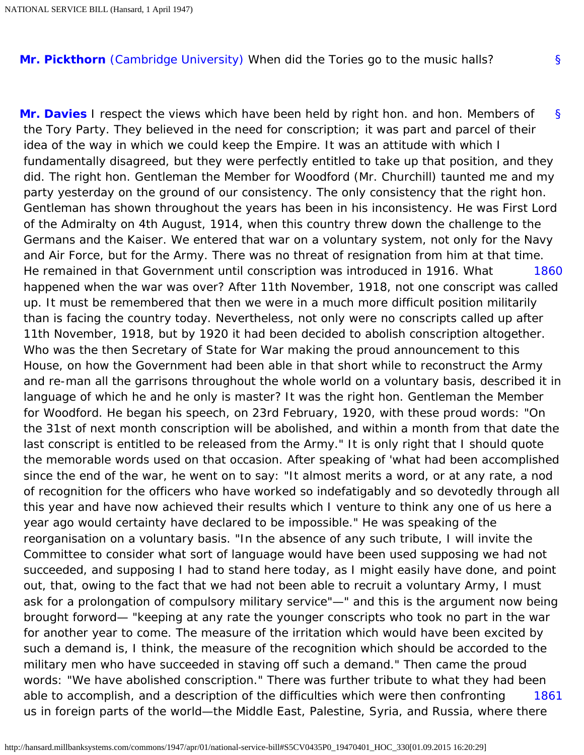<span id="page-6-1"></span><span id="page-6-0"></span>**[Mr. Pickthorn](http://hansard.millbanksystems.com/people/sir-kenneth-pickthorn)** [\(Cambridge University\)](http://hansard.millbanksystems.com/constituencies/cambridge-university) When did the Tories go to the music halls?

[§](#page-6-0)

<span id="page-6-3"></span><span id="page-6-2"></span>[§](#page-6-1) [1860](#page-6-2) [1861](#page-6-3) **[Mr. Davies](http://hansard.millbanksystems.com/people/mr-clement-davies)** I respect the views which have been held by right hon. and hon. Members of the Tory Party. They believed in the need for conscription; it was part and parcel of their idea of the way in which we could keep the Empire. It was an attitude with which I fundamentally disagreed, but they were perfectly entitled to take up that position, and they did. The right hon. Gentleman the Member for Woodford (Mr. Churchill) taunted me and my party yesterday on the ground of our consistency. The only consistency that the right hon. Gentleman has shown throughout the years has been in his inconsistency. He was First Lord of the Admiralty on 4th August, 1914, when this country threw down the challenge to the Germans and the Kaiser. We entered that war on a voluntary system, not only for the Navy and Air Force, but for the Army. There was no threat of resignation from him at that time. He remained in that Government until conscription was introduced in 1916. What happened when the war was over? After 11th November, 1918, not one conscript was called up. It must be remembered that then we were in a much more difficult position militarily than is facing the country today. Nevertheless, not only were no conscripts called up after 11th November, 1918, but by 1920 it had been decided to abolish conscription altogether. Who was the then Secretary of State for War making the proud announcement to this House, on how the Government had been able in that short while to reconstruct the Army and re-man all the garrisons throughout the whole world on a voluntary basis, described it in language of which he and he only is master? It was the right hon. Gentleman the Member for Woodford. He began his speech, on 23rd February, 1920, with these proud words: "On the 31st of next month conscription will be abolished, and within a month from that date the last conscript is entitled to be released from the Army." It is only right that I should quote the memorable words used on that occasion. After speaking of 'what had been accomplished since the end of the war, he went on to say: "It almost merits a word, or at any rate, a nod of recognition for the officers who have worked so indefatigably and so devotedly through all this year and have now achieved their results which I venture to think any one of us here a year ago would certainty have declared to be impossible." He was speaking of the reorganisation on a voluntary basis. "In the absence of any such tribute, I will invite the Committee to consider what sort of language would have been used supposing we had not succeeded, and supposing I had to stand here today, as I might easily have done, and point out, that, owing to the fact that we had not been able to recruit a voluntary Army, I must ask for a prolongation of compulsory military service"—" and this is the argument now being brought forword— "keeping at any rate the younger conscripts who took no part in the war for another year to come. The measure of the irritation which would have been excited by such a demand is, I think, the measure of the recognition which should be accorded to the military men who have succeeded in staving off such a demand." Then came the proud words: "We have abolished conscription." There was further tribute to what they had been able to accomplish, and a description of the difficulties which were then confronting us in foreign parts of the world—the Middle East, Palestine, Syria, and Russia, where there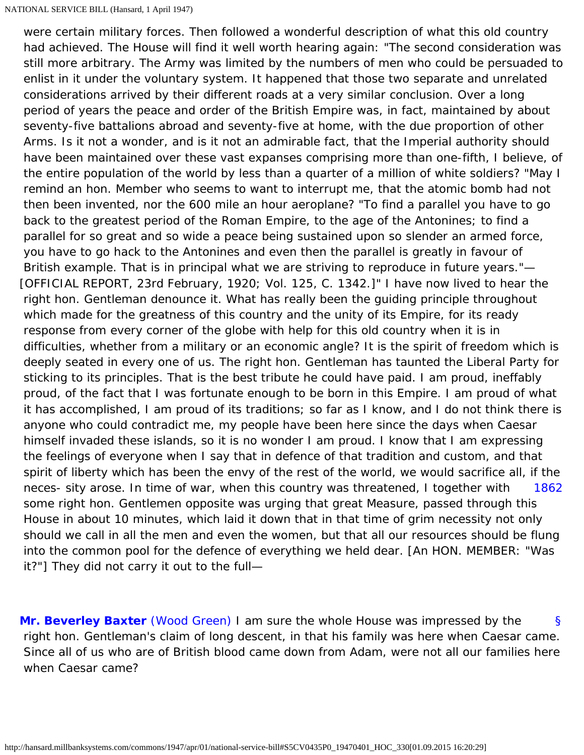[1862](#page-7-0) were certain military forces. Then followed a wonderful description of what this old country had achieved. The House will find it well worth hearing again: "The second consideration was still more arbitrary. The Army was limited by the numbers of men who could be persuaded to enlist in it under the voluntary system. It happened that those two separate and unrelated considerations arrived by their different roads at a very similar conclusion. Over a long period of years the peace and order of the British Empire was, in fact, maintained by about seventy-five battalions abroad and seventy-five at home, with the due proportion of other Arms. Is it not a wonder, and is it not an admirable fact, that the Imperial authority should have been maintained over these vast expanses comprising more than one-fifth, I believe, of the entire population of the world by less than a quarter of a million of white soldiers? "May I remind an hon. Member who seems to want to interrupt me, that the atomic bomb had not then been invented, nor the 600 mile an hour aeroplane? "To find a parallel you have to go back to the greatest period of the Roman Empire, to the age of the Antonines; to find a parallel for so great and so wide a peace being sustained upon so slender an armed force, you have to go hack to the Antonines and even then the parallel is greatly in favour of British example. That is in principal what we are striving to reproduce in future years."— [OFFICIAL REPORT, 23rd February, 1920; Vol. 125, C. 1342.]" I have now lived to hear the right hon. Gentleman denounce it. What has really been the guiding principle throughout which made for the greatness of this country and the unity of its Empire, for its ready response from every corner of the globe with help for this old country when it is in difficulties, whether from a military or an economic angle? It is the spirit of freedom which is deeply seated in every one of us. The right hon. Gentleman has taunted the Liberal Party for sticking to its principles. That is the best tribute he could have paid. I am proud, ineffably proud, of the fact that I was fortunate enough to be born in this Empire. I am proud of what it has accomplished, I am proud of its traditions; so far as I know, and I do not think there is anyone who could contradict me, my people have been here since the days when Caesar himself invaded these islands, so it is no wonder I am proud. I know that I am expressing the feelings of everyone when I say that in defence of that tradition and custom, and that spirit of liberty which has been the envy of the rest of the world, we would sacrifice all, if the neces- sity arose. In time of war, when this country was threatened, I together with some right hon. Gentlemen opposite was urging that great Measure, passed through this House in about 10 minutes, which laid it down that in that time of grim necessity not only should we call in all the men and even the women, but that all our resources should be flung into the common pool for the defence of everything we held dear. [An HON. MEMBER: "Was it?"] They did not carry it out to the full—

<span id="page-7-2"></span><span id="page-7-1"></span><span id="page-7-0"></span>[§](#page-7-1) **[Mr. Beverley Baxter](http://hansard.millbanksystems.com/people/sir-arthur-baxter)** [\(Wood Green\)](http://hansard.millbanksystems.com/constituencies/wood-green) I am sure the whole House was impressed by the right hon. Gentleman's claim of long descent, in that his family was here when Caesar came. Since all of us who are of British blood came down from Adam, were not all our families here when Caesar came?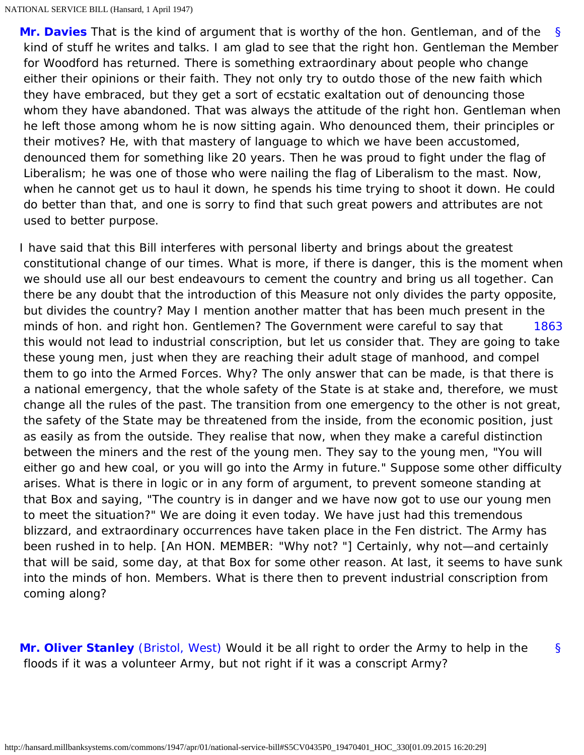[§](#page-7-2) **[Mr. Davies](http://hansard.millbanksystems.com/people/mr-clement-davies)** That is the kind of argument that is worthy of the hon. Gentleman, and of the kind of stuff he writes and talks. I am glad to see that the right hon. Gentleman the Member for Woodford has returned. There is something extraordinary about people who change either their opinions or their faith. They not only try to outdo those of the new faith which they have embraced, but they get a sort of ecstatic exaltation out of denouncing those whom they have abandoned. That was always the attitude of the right hon. Gentleman when he left those among whom he is now sitting again. Who denounced them, their principles or their motives? He, with that mastery of language to which we have been accustomed, denounced them for something like 20 years. Then he was proud to fight under the flag of Liberalism; he was one of those who were nailing the flag of Liberalism to the mast. Now, when he cannot get us to haul it down, he spends his time trying to shoot it down. He could do better than that, and one is sorry to find that such great powers and attributes are not used to better purpose.

<span id="page-8-0"></span>[1863](#page-8-0) I have said that this Bill interferes with personal liberty and brings about the greatest constitutional change of our times. What is more, if there is danger, this is the moment when we should use all our best endeavours to cement the country and bring us all together. Can there be any doubt that the introduction of this Measure not only divides the party opposite, but divides the country? May I mention another matter that has been much present in the minds of hon. and right hon. Gentlemen? The Government were careful to say that this would not lead to industrial conscription, but let us consider that. They are going to take these young men, just when they are reaching their adult stage of manhood, and compel them to go into the Armed Forces. Why? The only answer that can be made, is that there is a national emergency, that the whole safety of the State is at stake and, therefore, we must change all the rules of the past. The transition from one emergency to the other is not great, the safety of the State may be threatened from the inside, from the economic position, just as easily as from the outside. They realise that now, when they make a careful distinction between the miners and the rest of the young men. They say to the young men, "You will either go and hew coal, or you will go into the Army in future." Suppose some other difficulty arises. What is there in logic or in any form of argument, to prevent someone standing at that Box and saying, "The country is in danger and we have now got to use our young men to meet the situation?" We are doing it even today. We have just had this tremendous blizzard, and extraordinary occurrences have taken place in the Fen district. The Army has been rushed in to help. [An HON. MEMBER: "Why not? "] Certainly, why not—and certainly that will be said, some day, at that Box for some other reason. At last, it seems to have sunk into the minds of hon. Members. What is there then to prevent industrial conscription from coming along?

<span id="page-8-2"></span><span id="page-8-1"></span>**[Mr. Oliver Stanley](http://hansard.millbanksystems.com/people/hon-oliver-stanley)** [\(Bristol, West\)](http://hansard.millbanksystems.com/constituencies/bristol-west) Would it be all right to order the Army to help in the floods if it was a volunteer Army, but not right if it was a conscript Army?

[§](#page-8-1)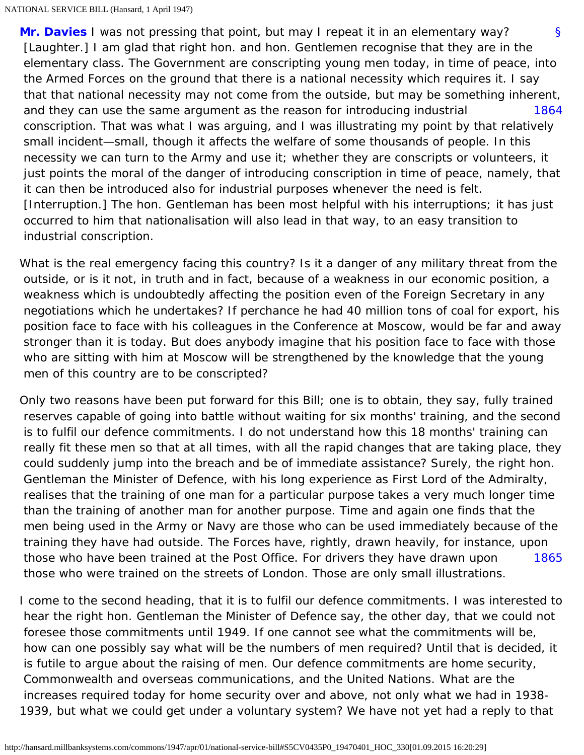<span id="page-9-0"></span>[§](#page-8-2) [1864](#page-9-0) **[Mr. Davies](http://hansard.millbanksystems.com/people/mr-clement-davies)** I was not pressing that point, but may I repeat it in an elementary way? [Laughter.] I am glad that right hon. and hon. Gentlemen recognise that they are in the elementary class. The Government are conscripting young men today, in time of peace, into the Armed Forces on the ground that there is a national necessity which requires it. I say that that national necessity may not come from the outside, but may be something inherent, and they can use the same argument as the reason for introducing industrial conscription. That was what I was arguing, and I was illustrating my point by that relatively small incident—small, though it affects the welfare of some thousands of people. In this necessity we can turn to the Army and use it; whether they are conscripts or volunteers, it just points the moral of the danger of introducing conscription in time of peace, namely, that it can then be introduced also for industrial purposes whenever the need is felt. [Interruption.] The hon. Gentleman has been most helpful with his interruptions; it has just occurred to him that nationalisation will also lead in that way, to an easy transition to industrial conscription.

What is the real emergency facing this country? Is it a danger of any military threat from the outside, or is it not, in truth and in fact, because of a weakness in our economic position, a weakness which is undoubtedly affecting the position even of the Foreign Secretary in any negotiations which he undertakes? If perchance he had 40 million tons of coal for export, his position face to face with his colleagues in the Conference at Moscow, would be far and away stronger than it is today. But does anybody imagine that his position face to face with those who are sitting with him at Moscow will be strengthened by the knowledge that the young men of this country are to be conscripted?

[1865](#page-9-1) Only two reasons have been put forward for this Bill; one is to obtain, they say, fully trained reserves capable of going into battle without waiting for six months' training, and the second is to fulfil our defence commitments. I do not understand how this 18 months' training can really fit these men so that at all times, with all the rapid changes that are taking place, they could suddenly jump into the breach and be of immediate assistance? Surely, the right hon. Gentleman the Minister of Defence, with his long experience as First Lord of the Admiralty, realises that the training of one man for a particular purpose takes a very much longer time than the training of another man for another purpose. Time and again one finds that the men being used in the Army or Navy are those who can be used immediately because of the training they have had outside. The Forces have, rightly, drawn heavily, for instance, upon those who have been trained at the Post Office. For drivers they have drawn upon those who were trained on the streets of London. Those are only small illustrations.

<span id="page-9-1"></span>I come to the second heading, that it is to fulfil our defence commitments. I was interested to hear the right hon. Gentleman the Minister of Defence say, the other day, that we could not foresee those commitments until 1949. If one cannot see what the commitments will be, how can one possibly say what will be the numbers of men required? Until that is decided, it is futile to argue about the raising of men. Our defence commitments are home security, Commonwealth and overseas communications, and the United Nations. What are the increases required today for home security over and above, not only what we had in 1938- 1939, but what we could get under a voluntary system? We have not yet had a reply to that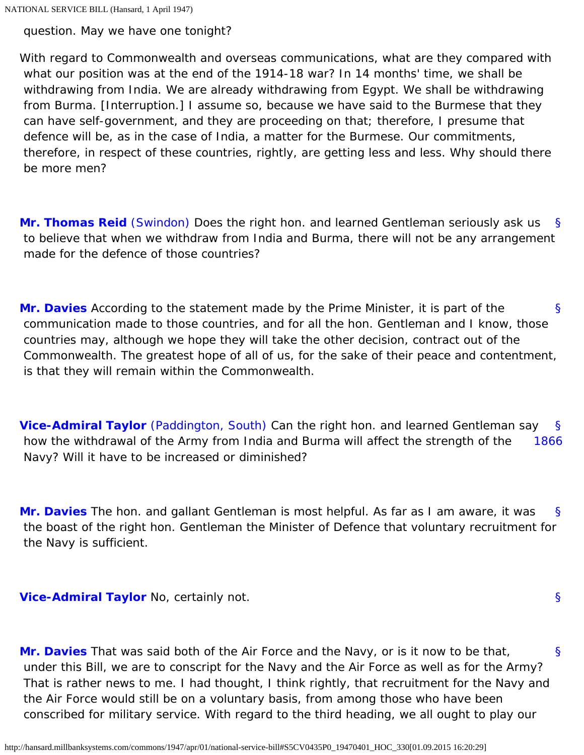question. May we have one tonight?

With regard to Commonwealth and overseas communications, what are they compared with what our position was at the end of the 1914-18 war? In 14 months' time, we shall be withdrawing from India. We are already withdrawing from Egypt. We shall be withdrawing from Burma. [Interruption.] I assume so, because we have said to the Burmese that they can have self-government, and they are proceeding on that; therefore, I presume that defence will be, as in the case of India, a matter for the Burmese. Our commitments, therefore, in respect of these countries, rightly, are getting less and less. Why should there be more men?

<span id="page-10-0"></span>[§](#page-10-0) **[Mr. Thomas Reid](http://hansard.millbanksystems.com/people/mr-thomas-reid)** [\(Swindon\)](http://hansard.millbanksystems.com/constituencies/swindon) Does the right hon. and learned Gentleman seriously ask us to believe that when we withdraw from India and Burma, there will not be any arrangement made for the defence of those countries?

<span id="page-10-1"></span>[§](#page-10-1) **[Mr. Davies](http://hansard.millbanksystems.com/people/mr-clement-davies)** According to the statement made by the Prime Minister, it is part of the communication made to those countries, and for all the hon. Gentleman and I know, those countries may, although we hope they will take the other decision, contract out of the Commonwealth. The greatest hope of all of us, for the sake of their peace and contentment, is that they will remain within the Commonwealth.

<span id="page-10-3"></span><span id="page-10-2"></span>[§](#page-10-2) [1866](#page-10-3) **[Vice-Admiral Taylor](http://hansard.millbanksystems.com/people/vice-admiral-ernest-taylor)** [\(Paddington, South\)](http://hansard.millbanksystems.com/constituencies/paddington-south) Can the right hon. and learned Gentleman say how the withdrawal of the Army from India and Burma will affect the strength of the Navy? Will it have to be increased or diminished?

<span id="page-10-4"></span>[§](#page-10-4) **[Mr. Davies](http://hansard.millbanksystems.com/people/mr-clement-davies)** The hon. and gallant Gentleman is most helpful. As far as I am aware, it was the boast of the right hon. Gentleman the Minister of Defence that voluntary recruitment for the Navy is sufficient.

<span id="page-10-5"></span>**[Vice-Admiral Taylor](http://hansard.millbanksystems.com/people/vice-admiral-ernest-taylor)** No, certainly not.

[§](#page-10-5)

<span id="page-10-6"></span>[§](#page-10-6) **[Mr. Davies](http://hansard.millbanksystems.com/people/mr-clement-davies)** That was said both of the Air Force and the Navy, or is it now to be that, under this Bill, we are to conscript for the Navy and the Air Force as well as for the Army? That is rather news to me. I had thought, I think rightly, that recruitment for the Navy and the Air Force would still be on a voluntary basis, from among those who have been conscribed for military service. With regard to the third heading, we all ought to play our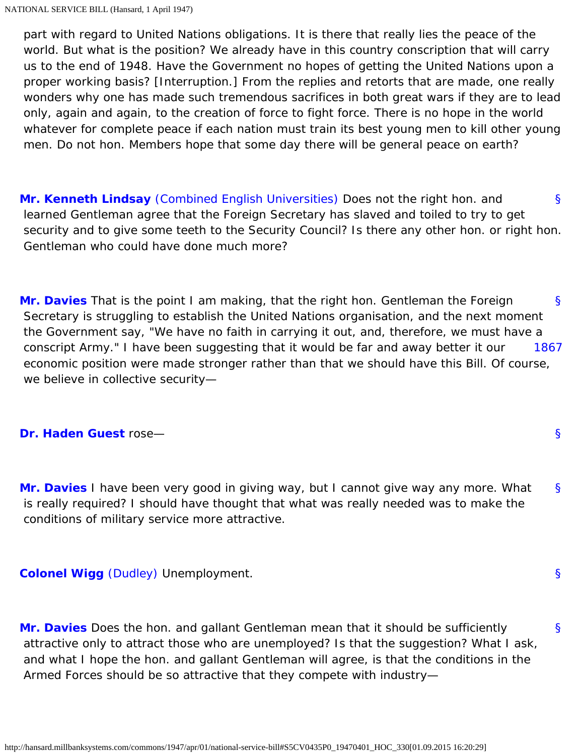part with regard to United Nations obligations. It is there that really lies the peace of the world. But what is the position? We already have in this country conscription that will carry us to the end of 1948. Have the Government no hopes of getting the United Nations upon a proper working basis? [Interruption.] From the replies and retorts that are made, one really wonders why one has made such tremendous sacrifices in both great wars if they are to lead only, again and again, to the creation of force to fight force. There is no hope in the world whatever for complete peace if each nation must train its best young men to kill other young men. Do not hon. Members hope that some day there will be general peace on earth?

<span id="page-11-0"></span>[§](#page-11-0) **[Mr. Kenneth Lindsay](http://hansard.millbanksystems.com/people/mr-kenneth-lindsay)** [\(Combined English Universities\)](http://hansard.millbanksystems.com/constituencies/combined-english-universities) Does not the right hon. and learned Gentleman agree that the Foreign Secretary has slaved and toiled to try to get security and to give some teeth to the Security Council? Is there any other hon. or right hon. Gentleman who could have done much more?

<span id="page-11-2"></span><span id="page-11-1"></span>[§](#page-11-1) [1867](#page-11-2) **[Mr. Davies](http://hansard.millbanksystems.com/people/mr-clement-davies)** That is the point I am making, that the right hon. Gentleman the Foreign Secretary is struggling to establish the United Nations organisation, and the next moment the Government say, "We have no faith in carrying it out, and, therefore, we must have a conscript Army." I have been suggesting that it would be far and away better it our economic position were made stronger rather than that we should have this Bill. Of course, we believe in collective security—

#### <span id="page-11-4"></span><span id="page-11-3"></span>**[Dr. Haden Guest](http://hansard.millbanksystems.com/people/dr-leslie-haden-guest)** rose—

[§](#page-11-4) **[Mr. Davies](http://hansard.millbanksystems.com/people/mr-clement-davies)** I have been very good in giving way, but I cannot give way any more. What is really required? I should have thought that what was really needed was to make the conditions of military service more attractive.

[§](#page-11-3)

[§](#page-11-5)

[§](#page-11-6)

<span id="page-11-6"></span><span id="page-11-5"></span>**[Colonel Wigg](http://hansard.millbanksystems.com/people/mr-george-wigg)** [\(Dudley\)](http://hansard.millbanksystems.com/constituencies/dudley) Unemployment.

<span id="page-11-7"></span>**[Mr. Davies](http://hansard.millbanksystems.com/people/mr-clement-davies)** Does the hon. and gallant Gentleman mean that it should be sufficiently attractive only to attract those who are unemployed? Is that the suggestion? What I ask, and what I hope the hon. and gallant Gentleman will agree, is that the conditions in the Armed Forces should be so attractive that they compete with industry—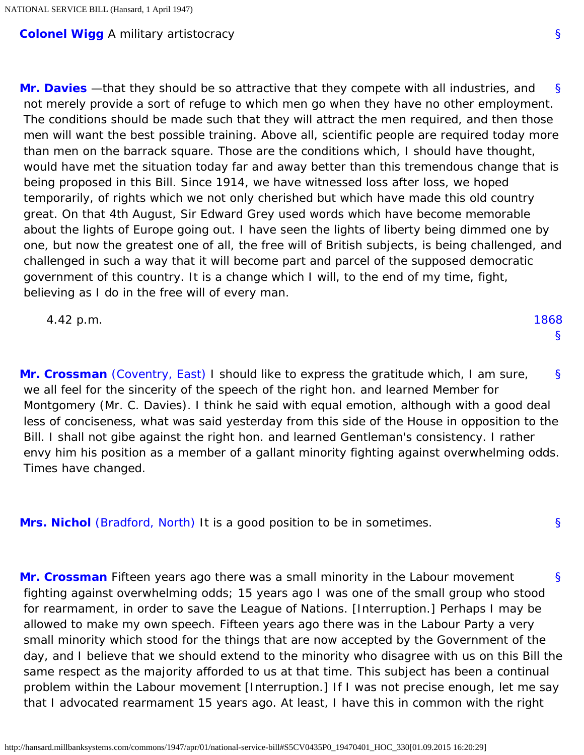#### <span id="page-12-0"></span>**[Colonel Wigg](http://hansard.millbanksystems.com/people/mr-george-wigg)** A military artistocracy

[§](#page-12-0) **[Mr. Davies](http://hansard.millbanksystems.com/people/mr-clement-davies)** —that they should be so attractive that they compete with all industries, and not merely provide a sort of refuge to which men go when they have no other employment. The conditions should be made such that they will attract the men required, and then those men will want the best possible training. Above all, scientific people are required today more than men on the barrack square. Those are the conditions which, I should have thought, would have met the situation today far and away better than this tremendous change that is being proposed in this Bill. Since 1914, we have witnessed loss after loss, we hoped temporarily, of rights which we not only cherished but which have made this old country great. On that 4th August, Sir Edward Grey used words which have become memorable about the lights of Europe going out. I have seen the lights of liberty being dimmed one by one, but now the greatest one of all, the free will of British subjects, is being challenged, and challenged in such a way that it will become part and parcel of the supposed democratic government of this country. It is a change which I will, to the end of my time, fight, believing as I do in the free will of every man.

<span id="page-12-4"></span>

| 4.42 p.m. | 1868 |
|-----------|------|
|           |      |

<span id="page-12-1"></span>[§](#page-12-1) **[Mr. Crossman](http://hansard.millbanksystems.com/people/mr-richard-crossman)** [\(Coventry, East\)](http://hansard.millbanksystems.com/constituencies/coventry-east) I should like to express the gratitude which, I am sure, we all feel for the sincerity of the speech of the right hon. and learned Member for Montgomery (Mr. C. Davies). I think he said with equal emotion, although with a good deal less of conciseness, what was said yesterday from this side of the House in opposition to the Bill. I shall not gibe against the right hon. and learned Gentleman's consistency. I rather envy him his position as a member of a gallant minority fighting against overwhelming odds. Times have changed.

<span id="page-12-2"></span>**[Mrs. Nichol](http://hansard.millbanksystems.com/people/mrs-muriel-nichol)** [\(Bradford, North\)](http://hansard.millbanksystems.com/constituencies/bradford-north) It is a good position to be in sometimes.

<span id="page-12-3"></span>[§](#page-12-3) **[Mr. Crossman](http://hansard.millbanksystems.com/people/mr-richard-crossman)** Fifteen years ago there was a small minority in the Labour movement fighting against overwhelming odds; 15 years ago I was one of the small group who stood for rearmament, in order to save the League of Nations. [Interruption.] Perhaps I may be allowed to make my own speech. Fifteen years ago there was in the Labour Party a very small minority which stood for the things that are now accepted by the Government of the day, and I believe that we should extend to the minority who disagree with us on this Bill the same respect as the majority afforded to us at that time. This subject has been a continual problem within the Labour movement [Interruption.] If I was not precise enough, let me say that I advocated rearmament 15 years ago. At least, I have this in common with the right

[§](#page-12-2)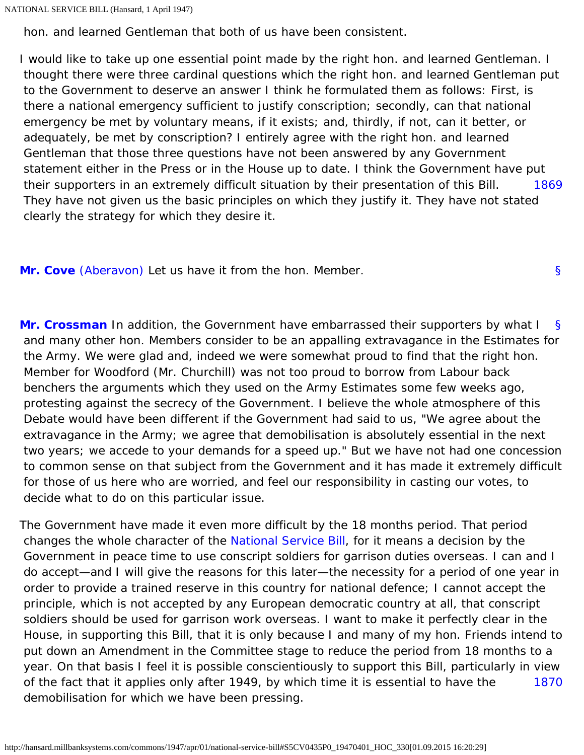hon. and learned Gentleman that both of us have been consistent.

[1869](#page-13-0) I would like to take up one essential point made by the right hon. and learned Gentleman. I thought there were three cardinal questions which the right hon. and learned Gentleman put to the Government to deserve an answer I think he formulated them as follows: First, is there a national emergency sufficient to justify conscription; secondly, can that national emergency be met by voluntary means, if it exists; and, thirdly, if not, can it better, or adequately, be met by conscription? I entirely agree with the right hon. and learned Gentleman that those three questions have not been answered by any Government statement either in the Press or in the House up to date. I think the Government have put their supporters in an extremely difficult situation by their presentation of this Bill. They have not given us the basic principles on which they justify it. They have not stated clearly the strategy for which they desire it.

[§](#page-13-1)

<span id="page-13-2"></span><span id="page-13-1"></span><span id="page-13-0"></span>**[Mr. Cove](http://hansard.millbanksystems.com/people/mr-william-cove)** [\(Aberavon\)](http://hansard.millbanksystems.com/constituencies/aberavon) Let us have it from the hon. Member.

[§](#page-13-2) **[Mr. Crossman](http://hansard.millbanksystems.com/people/mr-richard-crossman)** In addition, the Government have embarrassed their supporters by what I and many other hon. Members consider to be an appalling extravagance in the Estimates for the Army. We were glad and, indeed we were somewhat proud to find that the right hon. Member for Woodford (Mr. Churchill) was not too proud to borrow from Labour back benchers the arguments which they used on the Army Estimates some few weeks ago, protesting against the secrecy of the Government. I believe the whole atmosphere of this Debate would have been different if the Government had said to us, "We agree about the extravagance in the Army; we agree that demobilisation is absolutely essential in the next two years; we accede to your demands for a speed up." But we have not had one concession to common sense on that subject from the Government and it has made it extremely difficult for those of us here who are worried, and feel our responsibility in casting our votes, to decide what to do on this particular issue.

<span id="page-13-3"></span>[1870](#page-13-3) The Government have made it even more difficult by the 18 months period. That period changes the whole character of the [National Service Bill](http://hansard.millbanksystems.com/bills/national-service-bill), for it means a decision by the Government in peace time to use conscript soldiers for garrison duties overseas. I can and I do accept—and I will give the reasons for this later—the necessity for a period of one year in order to provide a trained reserve in this country for national defence; I cannot accept the principle, which is not accepted by any European democratic country at all, that conscript soldiers should be used for garrison work overseas. I want to make it perfectly clear in the House, in supporting this Bill, that it is only because I and many of my hon. Friends intend to put down an Amendment in the Committee stage to reduce the period from 18 months to a year. On that basis I feel it is possible conscientiously to support this Bill, particularly in view of the fact that it applies only after 1949, by which time it is essential to have the demobilisation for which we have been pressing.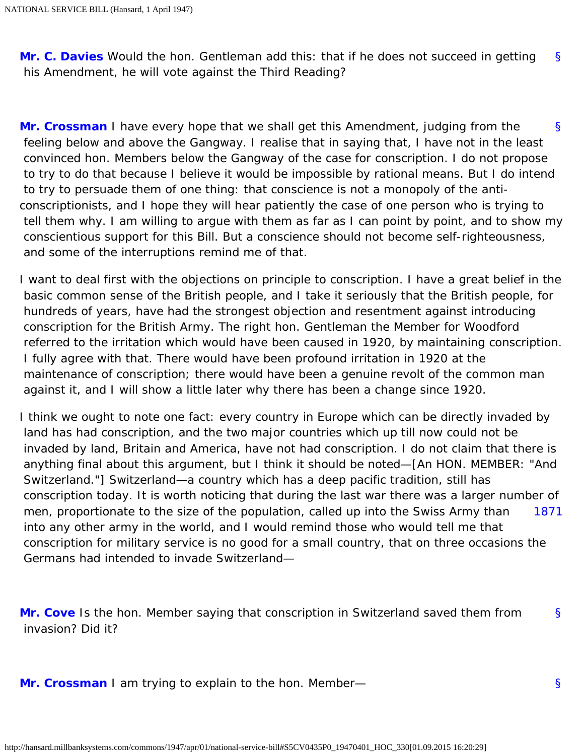[§](#page-0-1) **[Mr. C. Davies](http://hansard.millbanksystems.com/people/mr-clement-davies)** Would the hon. Gentleman add this: that if he does not succeed in getting his Amendment, he will vote against the Third Reading?

<span id="page-14-0"></span>[§](#page-14-0) **[Mr. Crossman](http://hansard.millbanksystems.com/people/mr-richard-crossman)** I have every hope that we shall get this Amendment, judging from the feeling below and above the Gangway. I realise that in saying that, I have not in the least convinced hon. Members below the Gangway of the case for conscription. I do not propose to try to do that because I believe it would be impossible by rational means. But I do intend to try to persuade them of one thing: that conscience is not a monopoly of the anticonscriptionists, and I hope they will hear patiently the case of one person who is trying to tell them why. I am willing to argue with them as far as I can point by point, and to show my conscientious support for this Bill. But a conscience should not become self-righteousness, and some of the interruptions remind me of that.

I want to deal first with the objections on principle to conscription. I have a great belief in the basic common sense of the British people, and I take it seriously that the British people, for hundreds of years, have had the strongest objection and resentment against introducing conscription for the British Army. The right hon. Gentleman the Member for Woodford referred to the irritation which would have been caused in 1920, by maintaining conscription. I fully agree with that. There would have been profound irritation in 1920 at the maintenance of conscription; there would have been a genuine revolt of the common man against it, and I will show a little later why there has been a change since 1920.

<span id="page-14-1"></span>[1871](#page-14-1) I think we ought to note one fact: every country in Europe which can be directly invaded by land has had conscription, and the two major countries which up till now could not be invaded by land, Britain and America, have not had conscription. I do not claim that there is anything final about this argument, but I think it should be noted—[An HON. MEMBER: "And Switzerland."] Switzerland—a country which has a deep pacific tradition, still has conscription today. It is worth noticing that during the last war there was a larger number of men, proportionate to the size of the population, called up into the Swiss Army than into any other army in the world, and I would remind those who would tell me that conscription for military service is no good for a small country, that on three occasions the Germans had intended to invade Switzerland—

<span id="page-14-2"></span>[§](#page-14-2) **[Mr. Cove](http://hansard.millbanksystems.com/people/mr-william-cove)** Is the hon. Member saying that conscription in Switzerland saved them from invasion? Did it?

<span id="page-14-4"></span><span id="page-14-3"></span>**[Mr. Crossman](http://hansard.millbanksystems.com/people/mr-richard-crossman)** I am trying to explain to the hon. Member—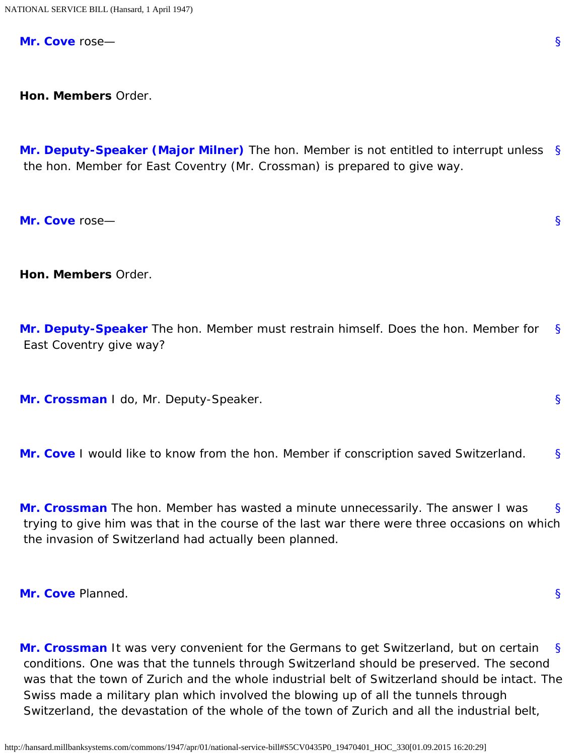**[Mr. Cove](http://hansard.millbanksystems.com/people/mr-william-cove)** rose—

<span id="page-15-0"></span>**Hon. Members** Order.

[§](#page-15-0) **[Mr. Deputy-Speaker \(Major Milner\)](http://hansard.millbanksystems.com/people/mr-james-milner)** The hon. Member is not entitled to interrupt unless the hon. Member for East Coventry (Mr. Crossman) is prepared to give way.

<span id="page-15-1"></span>**[Mr. Cove](http://hansard.millbanksystems.com/people/mr-william-cove)** rose—

<span id="page-15-2"></span>**Hon. Members** Order.

[§](#page-15-2) **[Mr. Deputy-Speaker](http://hansard.millbanksystems.com/people/mr-james-milner)** The hon. Member must restrain himself. Does the hon. Member for East Coventry give way?

<span id="page-15-4"></span><span id="page-15-3"></span>**[Mr. Crossman](http://hansard.millbanksystems.com/people/mr-richard-crossman)** I do, Mr. Deputy-Speaker.

<span id="page-15-5"></span>[§](#page-15-4) **[Mr. Cove](http://hansard.millbanksystems.com/people/mr-william-cove)** I would like to know from the hon. Member if conscription saved Switzerland.

[§](#page-15-5) **[Mr. Crossman](http://hansard.millbanksystems.com/people/mr-richard-crossman)** The hon. Member has wasted a minute unnecessarily. The answer I was trying to give him was that in the course of the last war there were three occasions on which the invasion of Switzerland had actually been planned.

<span id="page-15-7"></span><span id="page-15-6"></span>**[Mr. Cove](http://hansard.millbanksystems.com/people/mr-william-cove)** Planned.

[§](#page-15-7) **[Mr. Crossman](http://hansard.millbanksystems.com/people/mr-richard-crossman)** It was very convenient for the Germans to get Switzerland, but on certain conditions. One was that the tunnels through Switzerland should be preserved. The second was that the town of Zurich and the whole industrial belt of Switzerland should be intact. The Swiss made a military plan which involved the blowing up of all the tunnels through Switzerland, the devastation of the whole of the town of Zurich and all the industrial belt,

[§](#page-15-1)

[§](#page-15-3)

[§](#page-15-6)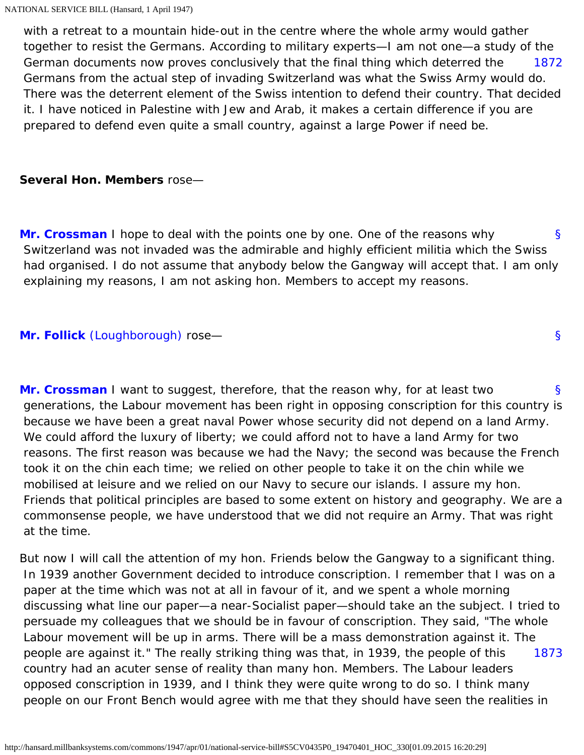<span id="page-16-0"></span>[1872](#page-16-0) with a retreat to a mountain hide-out in the centre where the whole army would gather together to resist the Germans. According to military experts—I am not one—a study of the German documents now proves conclusively that the final thing which deterred the Germans from the actual step of invading Switzerland was what the Swiss Army would do. There was the deterrent element of the Swiss intention to defend their country. That decided it. I have noticed in Palestine with Jew and Arab, it makes a certain difference if you are prepared to defend even quite a small country, against a large Power if need be.

#### **Several Hon. Members** rose—

<span id="page-16-1"></span>[§](#page-16-1) **[Mr. Crossman](http://hansard.millbanksystems.com/people/mr-richard-crossman)** I hope to deal with the points one by one. One of the reasons why Switzerland was not invaded was the admirable and highly efficient militia which the Swiss had organised. I do not assume that anybody below the Gangway will accept that. I am only explaining my reasons, I am not asking hon. Members to accept my reasons.

[§](#page-16-2)

#### <span id="page-16-3"></span><span id="page-16-2"></span>**[Mr. Follick](http://hansard.millbanksystems.com/people/dr-mont-follick)** [\(Loughborough\)](http://hansard.millbanksystems.com/constituencies/loughborough) rose—

[§](#page-16-3) **[Mr. Crossman](http://hansard.millbanksystems.com/people/mr-richard-crossman)** I want to suggest, therefore, that the reason why, for at least two generations, the Labour movement has been right in opposing conscription for this country is because we have been a great naval Power whose security did not depend on a land Army. We could afford the luxury of liberty; we could afford not to have a land Army for two reasons. The first reason was because we had the Navy; the second was because the French took it on the chin each time; we relied on other people to take it on the chin while we mobilised at leisure and we relied on our Navy to secure our islands. I assure my hon. Friends that political principles are based to some extent on history and geography. We are a commonsense people, we have understood that we did not require an Army. That was right at the time.

<span id="page-16-4"></span>[1873](#page-16-4) But now I will call the attention of my hon. Friends below the Gangway to a significant thing. In 1939 another Government decided to introduce conscription. I remember that I was on a paper at the time which was not at all in favour of it, and we spent a whole morning discussing what line our paper—a near-Socialist paper—should take an the subject. I tried to persuade my colleagues that we should be in favour of conscription. They said, "The whole Labour movement will be up in arms. There will be a mass demonstration against it. The people are against it." The really striking thing was that, in 1939, the people of this country had an acuter sense of reality than many hon. Members. The Labour leaders opposed conscription in 1939, and I think they were quite wrong to do so. I think many people on our Front Bench would agree with me that they should have seen the realities in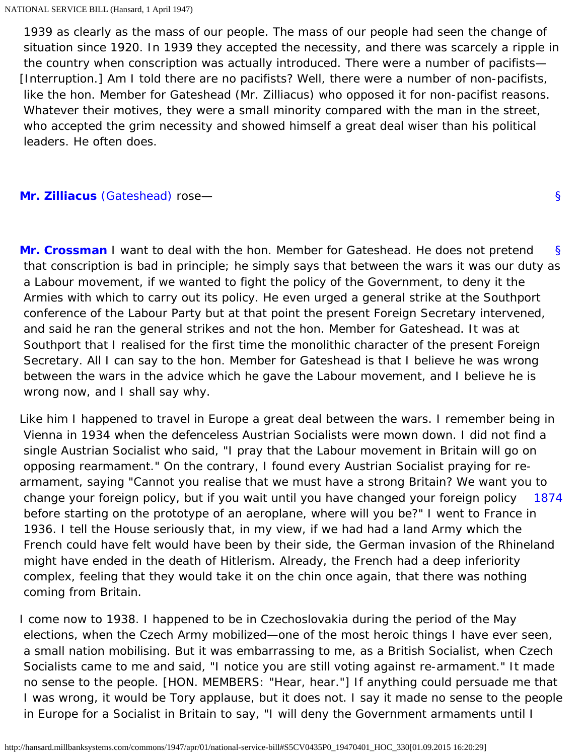1939 as clearly as the mass of our people. The mass of our people had seen the change of situation since 1920. In 1939 they accepted the necessity, and there was scarcely a ripple in the country when conscription was actually introduced. There were a number of pacifists— [Interruption.] Am I told there are no pacifists? Well, there were a number of non-pacifists, like the hon. Member for Gateshead (Mr. Zilliacus) who opposed it for non-pacifist reasons. Whatever their motives, they were a small minority compared with the man in the street, who accepted the grim necessity and showed himself a great deal wiser than his political leaders. He often does.

[§](#page-17-0)

#### <span id="page-17-0"></span>**[Mr. Zilliacus](http://hansard.millbanksystems.com/people/mr-konni-zilliacus)** [\(Gateshead\)](http://hansard.millbanksystems.com/constituencies/gateshead) rose—

<span id="page-17-1"></span>[§](#page-17-1) **[Mr. Crossman](http://hansard.millbanksystems.com/people/mr-richard-crossman)** I want to deal with the hon. Member for Gateshead. He does not pretend that conscription is bad in principle; he simply says that between the wars it was our duty as a Labour movement, if we wanted to fight the policy of the Government, to deny it the Armies with which to carry out its policy. He even urged a general strike at the Southport conference of the Labour Party but at that point the present Foreign Secretary intervened, and said he ran the general strikes and not the hon. Member for Gateshead. It was at Southport that I realised for the first time the monolithic character of the present Foreign Secretary. All I can say to the hon. Member for Gateshead is that I believe he was wrong between the wars in the advice which he gave the Labour movement, and I believe he is wrong now, and I shall say why.

<span id="page-17-2"></span>[1874](#page-17-2) Like him I happened to travel in Europe a great deal between the wars. I remember being in Vienna in 1934 when the defenceless Austrian Socialists were mown down. I did not find a single Austrian Socialist who said, "I pray that the Labour movement in Britain will go on opposing rearmament." On the contrary, I found every Austrian Socialist praying for rearmament, saying "Cannot you realise that we must have a strong Britain? We want you to change your foreign policy, but if you wait until you have changed your foreign policy before starting on the prototype of an aeroplane, where will you be?" I went to France in 1936. I tell the House seriously that, in my view, if we had had a land Army which the French could have felt would have been by their side, the German invasion of the Rhineland might have ended in the death of Hitlerism. Already, the French had a deep inferiority complex, feeling that they would take it on the chin once again, that there was nothing coming from Britain.

I come now to 1938. I happened to be in Czechoslovakia during the period of the May elections, when the Czech Army mobilized—one of the most heroic things I have ever seen, a small nation mobilising. But it was embarrassing to me, as a British Socialist, when Czech Socialists came to me and said, "I notice you are still voting against re-armament." It made no sense to the people. [HON. MEMBERS: "Hear, hear."] If anything could persuade me that I was wrong, it would be Tory applause, but it does not. I say it made no sense to the people in Europe for a Socialist in Britain to say, "I will deny the Government armaments until I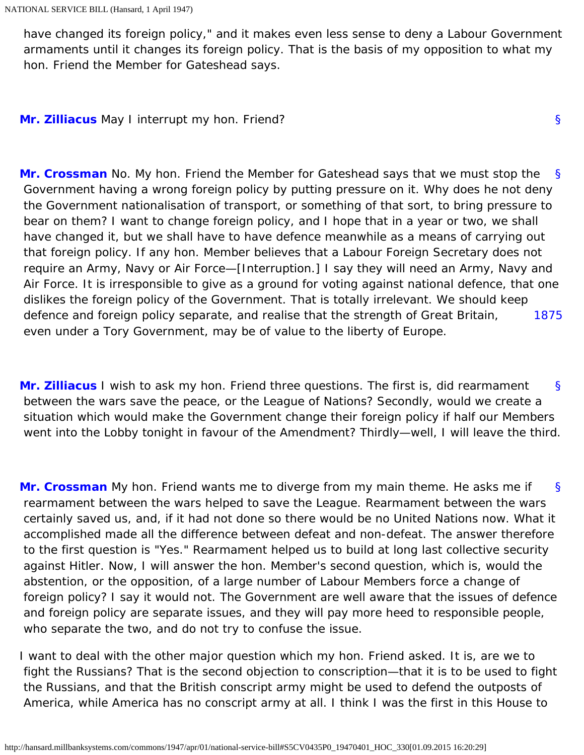have changed its foreign policy," and it makes even less sense to deny a Labour Government armaments until it changes its foreign policy. That is the basis of my opposition to what my hon. Friend the Member for Gateshead says.

[§](#page-18-0)

<span id="page-18-1"></span><span id="page-18-0"></span>**[Mr. Zilliacus](http://hansard.millbanksystems.com/people/mr-konni-zilliacus)** May I interrupt my hon. Friend?

[§](#page-18-1) [1875](#page-18-2) **[Mr. Crossman](http://hansard.millbanksystems.com/people/mr-richard-crossman)** No. My hon. Friend the Member for Gateshead says that we must stop the Government having a wrong foreign policy by putting pressure on it. Why does he not deny the Government nationalisation of transport, or something of that sort, to bring pressure to bear on them? I want to change foreign policy, and I hope that in a year or two, we shall have changed it, but we shall have to have defence meanwhile as a means of carrying out that foreign policy. If any hon. Member believes that a Labour Foreign Secretary does not require an Army, Navy or Air Force—[Interruption.] I say they will need an Army, Navy and Air Force. It is irresponsible to give as a ground for voting against national defence, that one dislikes the foreign policy of the Government. That is totally irrelevant. We should keep defence and foreign policy separate, and realise that the strength of Great Britain, even under a Tory Government, may be of value to the liberty of Europe.

<span id="page-18-3"></span><span id="page-18-2"></span>[§](#page-18-3) **[Mr. Zilliacus](http://hansard.millbanksystems.com/people/mr-konni-zilliacus)** I wish to ask my hon. Friend three questions. The first is, did rearmament between the wars save the peace, or the League of Nations? Secondly, would we create a situation which would make the Government change their foreign policy if half our Members went into the Lobby tonight in favour of the Amendment? Thirdly—well, I will leave the third.

<span id="page-18-4"></span>[§](#page-18-4) **[Mr. Crossman](http://hansard.millbanksystems.com/people/mr-richard-crossman)** My hon. Friend wants me to diverge from my main theme. He asks me if rearmament between the wars helped to save the League. Rearmament between the wars certainly saved us, and, if it had not done so there would be no United Nations now. What it accomplished made all the difference between defeat and non-defeat. The answer therefore to the first question is "Yes." Rearmament helped us to build at long last collective security against Hitler. Now, I will answer the hon. Member's second question, which is, would the abstention, or the opposition, of a large number of Labour Members force a change of foreign policy? I say it would not. The Government are well aware that the issues of defence and foreign policy are separate issues, and they will pay more heed to responsible people, who separate the two, and do not try to confuse the issue.

I want to deal with the other major question which my hon. Friend asked. It is, are we to fight the Russians? That is the second objection to conscription—that it is to be used to fight the Russians, and that the British conscript army might be used to defend the outposts of America, while America has no conscript army at all. I think I was the first in this House to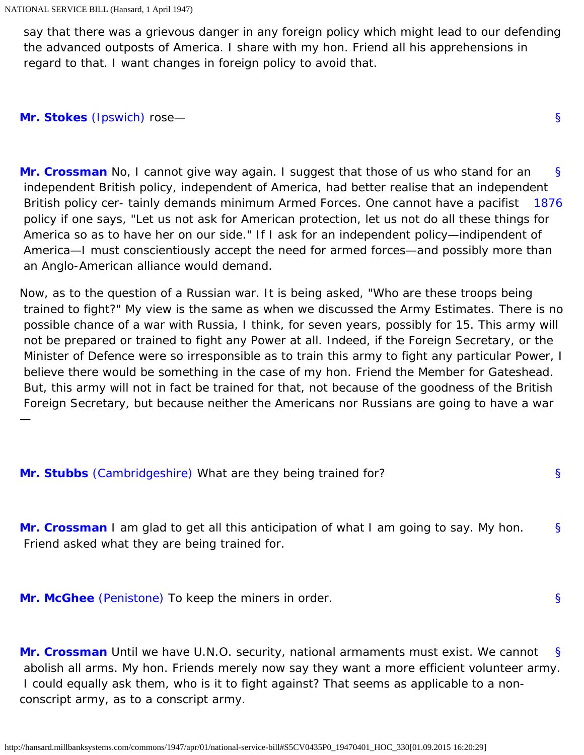say that there was a grievous danger in any foreign policy which might lead to our defending the advanced outposts of America. I share with my hon. Friend all his apprehensions in regard to that. I want changes in foreign policy to avoid that.

[§](#page-19-0)

[§](#page-19-5)

<span id="page-19-1"></span><span id="page-19-0"></span>**[Mr. Stokes](http://hansard.millbanksystems.com/people/mr-richard-stokes)** [\(Ipswich\)](http://hansard.millbanksystems.com/constituencies/ipswich) rose—

<span id="page-19-2"></span>[§](#page-19-1) [1876](#page-19-2) **[Mr. Crossman](http://hansard.millbanksystems.com/people/mr-richard-crossman)** No, I cannot give way again. I suggest that those of us who stand for an independent British policy, independent of America, had better realise that an independent British policy cer- tainly demands minimum Armed Forces. One cannot have a pacifist policy if one says, "Let us not ask for American protection, let us not do all these things for America so as to have her on our side." If I ask for an independent policy—indipendent of America—I must conscientiously accept the need for armed forces—and possibly more than an Anglo-American alliance would demand.

Now, as to the question of a Russian war. It is being asked, "Who are these troops being trained to fight?" My view is the same as when we discussed the Army Estimates. There is no possible chance of a war with Russia, I think, for seven years, possibly for 15. This army will not be prepared or trained to fight any Power at all. Indeed, if the Foreign Secretary, or the Minister of Defence were so irresponsible as to train this army to fight any particular Power, I believe there would be something in the case of my hon. Friend the Member for Gateshead. But, this army will not in fact be trained for that, not because of the goodness of the British Foreign Secretary, but because neither the Americans nor Russians are going to have a war —

<span id="page-19-4"></span><span id="page-19-3"></span>

| Mr. Stubbs (Cambridgeshire) What are they being trained for?                                                                                   |    |
|------------------------------------------------------------------------------------------------------------------------------------------------|----|
| <b>Mr. Crossman</b> I am glad to get all this anticipation of what I am going to say. My hon.<br>Friend asked what they are being trained for. | S. |

<span id="page-19-6"></span><span id="page-19-5"></span>**[Mr. McGhee](http://hansard.millbanksystems.com/people/mr-henry-mcghee)** [\(Penistone\)](http://hansard.millbanksystems.com/constituencies/penistone) To keep the miners in order.

[§](#page-19-6) **[Mr. Crossman](http://hansard.millbanksystems.com/people/mr-richard-crossman)** Until we have U.N.O. security, national armaments must exist. We cannot abolish all arms. My hon. Friends merely now say they want a more efficient volunteer army. I could equally ask them, who is it to fight against? That seems as applicable to a nonconscript army, as to a conscript army.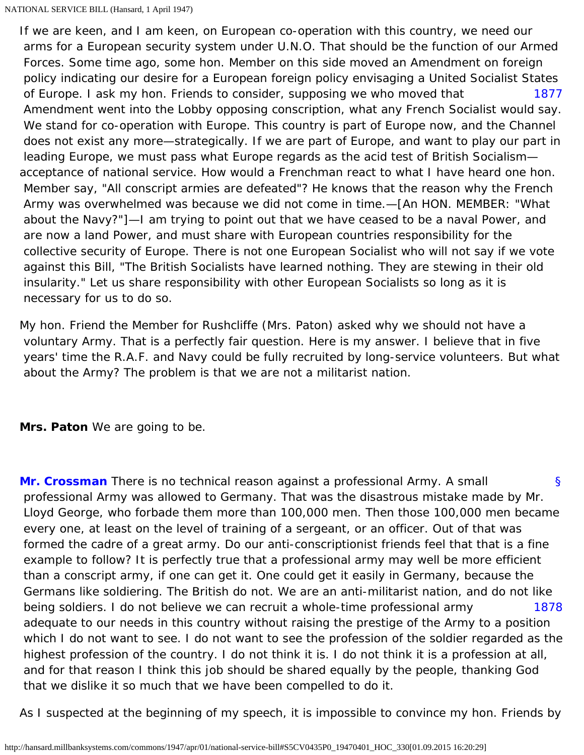<span id="page-20-0"></span>[1877](#page-20-0) If we are keen, and I am keen, on European co-operation with this country, we need our arms for a European security system under U.N.O. That should be the function of our Armed Forces. Some time ago, some hon. Member on this side moved an Amendment on foreign policy indicating our desire for a European foreign policy envisaging a United Socialist States of Europe. I ask my hon. Friends to consider, supposing we who moved that Amendment went into the Lobby opposing conscription, what any French Socialist would say. We stand for co-operation with Europe. This country is part of Europe now, and the Channel does not exist any more—strategically. If we are part of Europe, and want to play our part in leading Europe, we must pass what Europe regards as the acid test of British Socialism acceptance of national service. How would a Frenchman react to what I have heard one hon. Member say, "All conscript armies are defeated"? He knows that the reason why the French Army was overwhelmed was because we did not come in time.—[An HON. MEMBER: "What about the Navy?"]—I am trying to point out that we have ceased to be a naval Power, and are now a land Power, and must share with European countries responsibility for the collective security of Europe. There is not one European Socialist who will not say if we vote against this Bill, "The British Socialists have learned nothing. They are stewing in their old insularity." Let us share responsibility with other European Socialists so long as it is necessary for us to do so.

My hon. Friend the Member for Rushcliffe (Mrs. Paton) asked why we should not have a voluntary Army. That is a perfectly fair question. Here is my answer. I believe that in five years' time the R.A.F. and Navy could be fully recruited by long-service volunteers. But what about the Army? The problem is that we are not a militarist nation.

**Mrs. Paton** We are going to be.

<span id="page-20-1"></span>[§](#page-20-1) [1878](#page-20-2) **[Mr. Crossman](http://hansard.millbanksystems.com/people/mr-richard-crossman)** There is no technical reason against a professional Army. A small professional Army was allowed to Germany. That was the disastrous mistake made by Mr. Lloyd George, who forbade them more than 100,000 men. Then those 100,000 men became every one, at least on the level of training of a sergeant, or an officer. Out of that was formed the cadre of a great army. Do our anti-conscriptionist friends feel that that is a fine example to follow? It is perfectly true that a professional army may well be more efficient than a conscript army, if one can get it. One could get it easily in Germany, because the Germans like soldiering. The British do not. We are an anti-militarist nation, and do not like being soldiers. I do not believe we can recruit a whole-time professional army adequate to our needs in this country without raising the prestige of the Army to a position which I do not want to see. I do not want to see the profession of the soldier regarded as the highest profession of the country. I do not think it is. I do not think it is a profession at all, and for that reason I think this job should be shared equally by the people, thanking God that we dislike it so much that we have been compelled to do it.

<span id="page-20-2"></span>As I suspected at the beginning of my speech, it is impossible to convince my hon. Friends by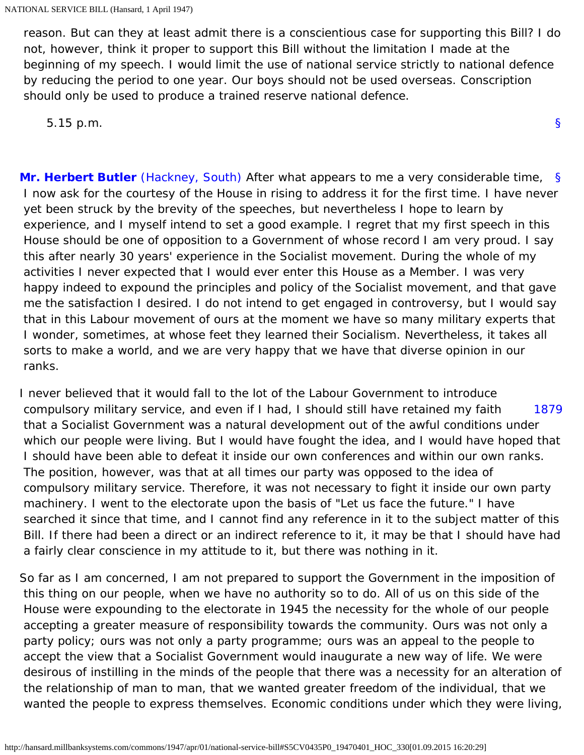reason. But can they at least admit there is a conscientious case for supporting this Bill? I do not, however, think it proper to support this Bill without the limitation I made at the beginning of my speech. I would limit the use of national service strictly to national defence by reducing the period to one year. Our boys should not be used overseas. Conscription should only be used to produce a trained reserve national defence.

[§](#page-0-1)

5.15 p.m.

<span id="page-21-0"></span>**[Mr. Herbert Butler](http://hansard.millbanksystems.com/people/mr-herbert-butler)** (Hackney, South) After what appears to me a very considerable time, [§](#page-21-0) I now ask for the courtesy of the House in rising to address it for the first time. I have never yet been struck by the brevity of the speeches, but nevertheless I hope to learn by experience, and I myself intend to set a good example. I regret that my first speech in this House should be one of opposition to a Government of whose record I am very proud. I say this after nearly 30 years' experience in the Socialist movement. During the whole of my activities I never expected that I would ever enter this House as a Member. I was very happy indeed to expound the principles and policy of the Socialist movement, and that gave me the satisfaction I desired. I do not intend to get engaged in controversy, but I would say that in this Labour movement of ours at the moment we have so many military experts that I wonder, sometimes, at whose feet they learned their Socialism. Nevertheless, it takes all sorts to make a world, and we are very happy that we have that diverse opinion in our ranks.

<span id="page-21-1"></span>[1879](#page-21-1) I never believed that it would fall to the lot of the Labour Government to introduce compulsory military service, and even if I had, I should still have retained my faith that a Socialist Government was a natural development out of the awful conditions under which our people were living. But I would have fought the idea, and I would have hoped that I should have been able to defeat it inside our own conferences and within our own ranks. The position, however, was that at all times our party was opposed to the idea of compulsory military service. Therefore, it was not necessary to fight it inside our own party machinery. I went to the electorate upon the basis of "Let us face the future." I have searched it since that time, and I cannot find any reference in it to the subject matter of this Bill. If there had been a direct or an indirect reference to it, it may be that I should have had a fairly clear conscience in my attitude to it, but there was nothing in it.

So far as I am concerned, I am not prepared to support the Government in the imposition of this thing on our people, when we have no authority so to do. All of us on this side of the House were expounding to the electorate in 1945 the necessity for the whole of our people accepting a greater measure of responsibility towards the community. Ours was not only a party policy; ours was not only a party programme; ours was an appeal to the people to accept the view that a Socialist Government would inaugurate a new way of life. We were desirous of instilling in the minds of the people that there was a necessity for an alteration of the relationship of man to man, that we wanted greater freedom of the individual, that we wanted the people to express themselves. Economic conditions under which they were living,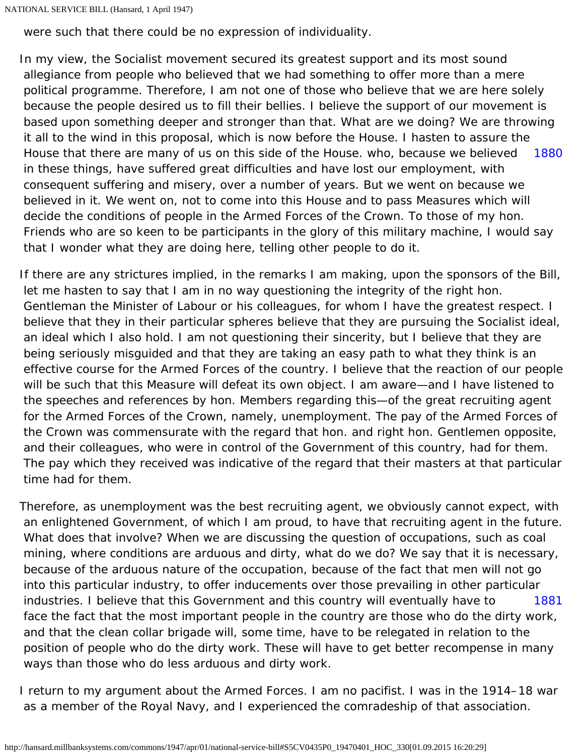```
NATIONAL SERVICE BILL (Hansard, 1 April 1947)
```
were such that there could be no expression of individuality.

<span id="page-22-0"></span>[1880](#page-22-0) In my view, the Socialist movement secured its greatest support and its most sound allegiance from people who believed that we had something to offer more than a mere political programme. Therefore, I am not one of those who believe that we are here solely because the people desired us to fill their bellies. I believe the support of our movement is based upon something deeper and stronger than that. What are we doing? We are throwing it all to the wind in this proposal, which is now before the House. I hasten to assure the House that there are many of us on this side of the House. who, because we believed in these things, have suffered great difficulties and have lost our employment, with consequent suffering and misery, over a number of years. But we went on because we believed in it. We went on, not to come into this House and to pass Measures which will decide the conditions of people in the Armed Forces of the Crown. To those of my hon. Friends who are so keen to be participants in the glory of this military machine, I would say that I wonder what they are doing here, telling other people to do it.

If there are any strictures implied, in the remarks I am making, upon the sponsors of the Bill, let me hasten to say that I am in no way questioning the integrity of the right hon. Gentleman the Minister of Labour or his colleagues, for whom I have the greatest respect. I believe that they in their particular spheres believe that they are pursuing the Socialist ideal, an ideal which I also hold. I am not questioning their sincerity, but I believe that they are being seriously misguided and that they are taking an easy path to what they think is an effective course for the Armed Forces of the country. I believe that the reaction of our people will be such that this Measure will defeat its own object. I am aware—and I have listened to the speeches and references by hon. Members regarding this—of the great recruiting agent for the Armed Forces of the Crown, namely, unemployment. The pay of the Armed Forces of the Crown was commensurate with the regard that hon. and right hon. Gentlemen opposite, and their colleagues, who were in control of the Government of this country, had for them. The pay which they received was indicative of the regard that their masters at that particular time had for them.

[1881](#page-22-1) Therefore, as unemployment was the best recruiting agent, we obviously cannot expect, with an enlightened Government, of which I am proud, to have that recruiting agent in the future. What does that involve? When we are discussing the question of occupations, such as coal mining, where conditions are arduous and dirty, what do we do? We say that it is necessary, because of the arduous nature of the occupation, because of the fact that men will not go into this particular industry, to offer inducements over those prevailing in other particular industries. I believe that this Government and this country will eventually have to face the fact that the most important people in the country are those who do the dirty work, and that the clean collar brigade will, some time, have to be relegated in relation to the position of people who do the dirty work. These will have to get better recompense in many ways than those who do less arduous and dirty work.

<span id="page-22-1"></span>I return to my argument about the Armed Forces. I am no pacifist. I was in the 1914–18 war as a member of the Royal Navy, and I experienced the comradeship of that association.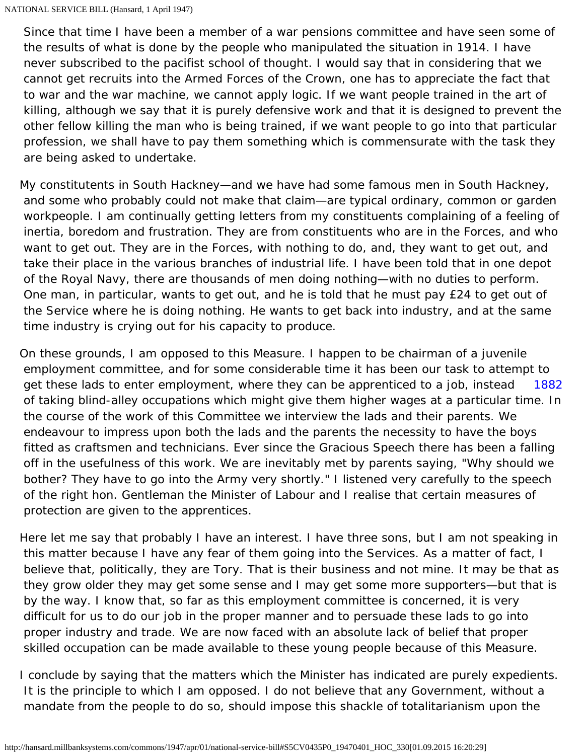Since that time I have been a member of a war pensions committee and have seen some of the results of what is done by the people who manipulated the situation in 1914. I have never subscribed to the pacifist school of thought. I would say that in considering that we cannot get recruits into the Armed Forces of the Crown, one has to appreciate the fact that to war and the war machine, we cannot apply logic. If we want people trained in the art of killing, although we say that it is purely defensive work and that it is designed to prevent the other fellow killing the man who is being trained, if we want people to go into that particular profession, we shall have to pay them something which is commensurate with the task they are being asked to undertake.

My constitutents in South Hackney—and we have had some famous men in South Hackney, and some who probably could not make that claim—are typical ordinary, common or garden workpeople. I am continually getting letters from my constituents complaining of a feeling of inertia, boredom and frustration. They are from constituents who are in the Forces, and who want to get out. They are in the Forces, with nothing to do, and, they want to get out, and take their place in the various branches of industrial life. I have been told that in one depot of the Royal Navy, there are thousands of men doing nothing—with no duties to perform. One man, in particular, wants to get out, and he is told that he must pay £24 to get out of the Service where he is doing nothing. He wants to get back into industry, and at the same time industry is crying out for his capacity to produce.

<span id="page-23-0"></span>[1882](#page-23-0) On these grounds, I am opposed to this Measure. I happen to be chairman of a juvenile employment committee, and for some considerable time it has been our task to attempt to get these lads to enter employment, where they can be apprenticed to a job, instead of taking blind-alley occupations which might give them higher wages at a particular time. In the course of the work of this Committee we interview the lads and their parents. We endeavour to impress upon both the lads and the parents the necessity to have the boys fitted as craftsmen and technicians. Ever since the Gracious Speech there has been a falling off in the usefulness of this work. We are inevitably met by parents saying, "Why should we bother? They have to go into the Army very shortly." I listened very carefully to the speech of the right hon. Gentleman the Minister of Labour and I realise that certain measures of protection are given to the apprentices.

Here let me say that probably I have an interest. I have three sons, but I am not speaking in this matter because I have any fear of them going into the Services. As a matter of fact, I believe that, politically, they are Tory. That is their business and not mine. It may be that as they grow older they may get some sense and I may get some more supporters—but that is by the way. I know that, so far as this employment committee is concerned, it is very difficult for us to do our job in the proper manner and to persuade these lads to go into proper industry and trade. We are now faced with an absolute lack of belief that proper skilled occupation can be made available to these young people because of this Measure.

I conclude by saying that the matters which the Minister has indicated are purely expedients. It is the principle to which I am opposed. I do not believe that any Government, without a mandate from the people to do so, should impose this shackle of totalitarianism upon the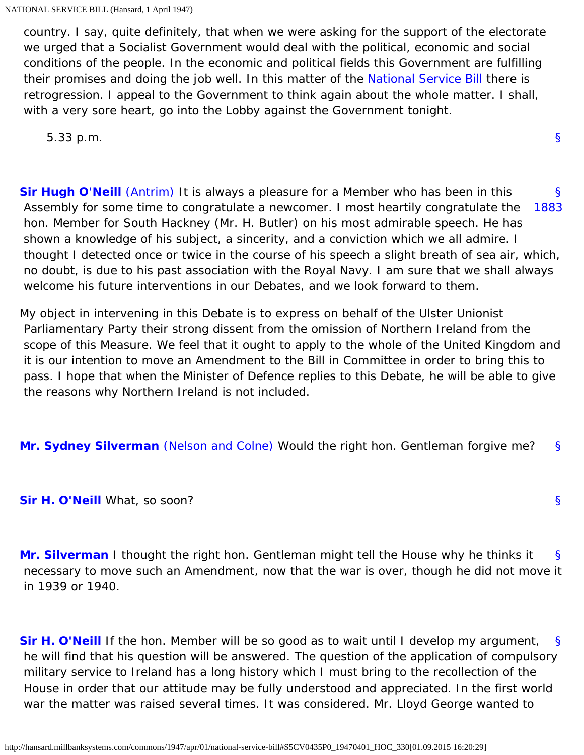country. I say, quite definitely, that when we were asking for the support of the electorate we urged that a Socialist Government would deal with the political, economic and social conditions of the people. In the economic and political fields this Government are fulfilling their promises and doing the job well. In this matter of the [National Service Bill](http://hansard.millbanksystems.com/bills/national-service-bill) there is retrogression. I appeal to the Government to think again about the whole matter. I shall, with a very sore heart, go into the Lobby against the Government tonight.

[§](#page-0-1)

[§](#page-24-3)

5.33 p.m.

<span id="page-24-1"></span><span id="page-24-0"></span>[§](#page-24-0) [1883](#page-24-1) **[Sir Hugh O'Neill](http://hansard.millbanksystems.com/people/hon-hugh-oneill)** [\(Antrim\)](http://hansard.millbanksystems.com/constituencies/antrim-1) It is always a pleasure for a Member who has been in this Assembly for some time to congratulate a newcomer. I most heartily congratulate the hon. Member for South Hackney (Mr. H. Butler) on his most admirable speech. He has shown a knowledge of his subject, a sincerity, and a conviction which we all admire. I thought I detected once or twice in the course of his speech a slight breath of sea air, which, no doubt, is due to his past association with the Royal Navy. I am sure that we shall always welcome his future interventions in our Debates, and we look forward to them.

My object in intervening in this Debate is to express on behalf of the Ulster Unionist Parliamentary Party their strong dissent from the omission of Northern Ireland from the scope of this Measure. We feel that it ought to apply to the whole of the United Kingdom and it is our intention to move an Amendment to the Bill in Committee in order to bring this to pass. I hope that when the Minister of Defence replies to this Debate, he will be able to give the reasons why Northern Ireland is not included.

<span id="page-24-3"></span><span id="page-24-2"></span>[§](#page-24-2) **[Mr. Sydney Silverman](http://hansard.millbanksystems.com/people/mr-samuel-silverman)** [\(Nelson and Colne\)](http://hansard.millbanksystems.com/constituencies/nelson-and-colne) Would the right hon. Gentleman forgive me?

<span id="page-24-4"></span>**[Sir H. O'Neill](http://hansard.millbanksystems.com/people/hon-hugh-oneill)** What, so soon?

[§](#page-24-4) **[Mr. Silverman](http://hansard.millbanksystems.com/people/mr-samuel-silverman)** I thought the right hon. Gentleman might tell the House why he thinks it necessary to move such an Amendment, now that the war is over, though he did not move it in 1939 or 1940.

<span id="page-24-5"></span>[§](#page-24-5) **[Sir H. O'Neill](http://hansard.millbanksystems.com/people/hon-hugh-oneill)** If the hon. Member will be so good as to wait until I develop my argument, he will find that his question will be answered. The question of the application of compulsory military service to Ireland has a long history which I must bring to the recollection of the House in order that our attitude may be fully understood and appreciated. In the first world war the matter was raised several times. It was considered. Mr. Lloyd George wanted to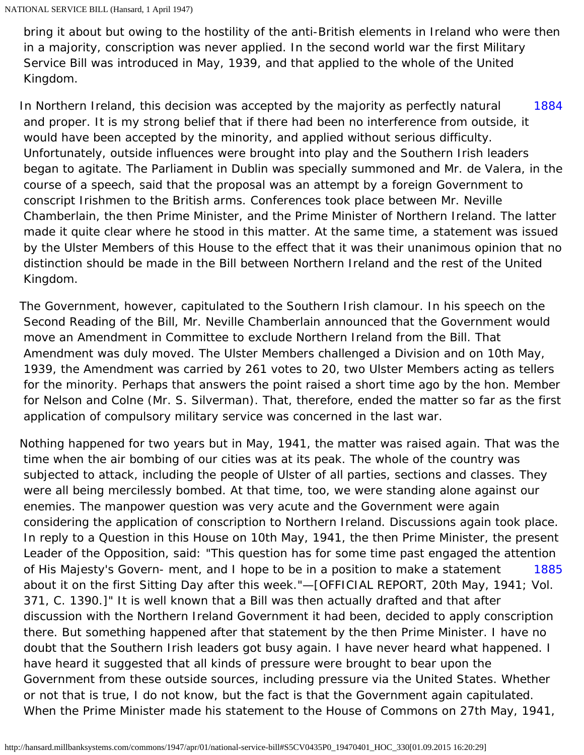bring it about but owing to the hostility of the anti-British elements in Ireland who were then in a majority, conscription was never applied. In the second world war the first Military Service Bill was introduced in May, 1939, and that applied to the whole of the United Kingdom.

<span id="page-25-0"></span>[1884](#page-25-0) In Northern Ireland, this decision was accepted by the majority as perfectly natural and proper. It is my strong belief that if there had been no interference from outside, it would have been accepted by the minority, and applied without serious difficulty. Unfortunately, outside influences were brought into play and the Southern Irish leaders began to agitate. The Parliament in Dublin was specially summoned and Mr. de Valera, in the course of a speech, said that the proposal was an attempt by a foreign Government to conscript Irishmen to the British arms. Conferences took place between Mr. Neville Chamberlain, the then Prime Minister, and the Prime Minister of Northern Ireland. The latter made it quite clear where he stood in this matter. At the same time, a statement was issued by the Ulster Members of this House to the effect that it was their unanimous opinion that no distinction should be made in the Bill between Northern Ireland and the rest of the United Kingdom.

The Government, however, capitulated to the Southern Irish clamour. In his speech on the Second Reading of the Bill, Mr. Neville Chamberlain announced that the Government would move an Amendment in Committee to exclude Northern Ireland from the Bill. That Amendment was duly moved. The Ulster Members challenged a Division and on 10th May, 1939, the Amendment was carried by 261 votes to 20, two Ulster Members acting as tellers for the minority. Perhaps that answers the point raised a short time ago by the hon. Member for Nelson and Colne (Mr. S. Silverman). That, therefore, ended the matter so far as the first application of compulsory military service was concerned in the last war.

<span id="page-25-1"></span>[1885](#page-25-1) Nothing happened for two years but in May, 1941, the matter was raised again. That was the time when the air bombing of our cities was at its peak. The whole of the country was subjected to attack, including the people of Ulster of all parties, sections and classes. They were all being mercilessly bombed. At that time, too, we were standing alone against our enemies. The manpower question was very acute and the Government were again considering the application of conscription to Northern Ireland. Discussions again took place. In reply to a Question in this House on 10th May, 1941, the then Prime Minister, the present Leader of the Opposition, said: "This question has for some time past engaged the attention of His Majesty's Govern- ment, and I hope to be in a position to make a statement about it on the first Sitting Day after this week."—[OFFICIAL REPORT, 20th May, 1941; Vol. 371, C. 1390.]" It is well known that a Bill was then actually drafted and that after discussion with the Northern Ireland Government it had been, decided to apply conscription there. But something happened after that statement by the then Prime Minister. I have no doubt that the Southern Irish leaders got busy again. I have never heard what happened. I have heard it suggested that all kinds of pressure were brought to bear upon the Government from these outside sources, including pressure via the United States. Whether or not that is true, I do not know, but the fact is that the Government again capitulated. When the Prime Minister made his statement to the House of Commons on 27th May, 1941,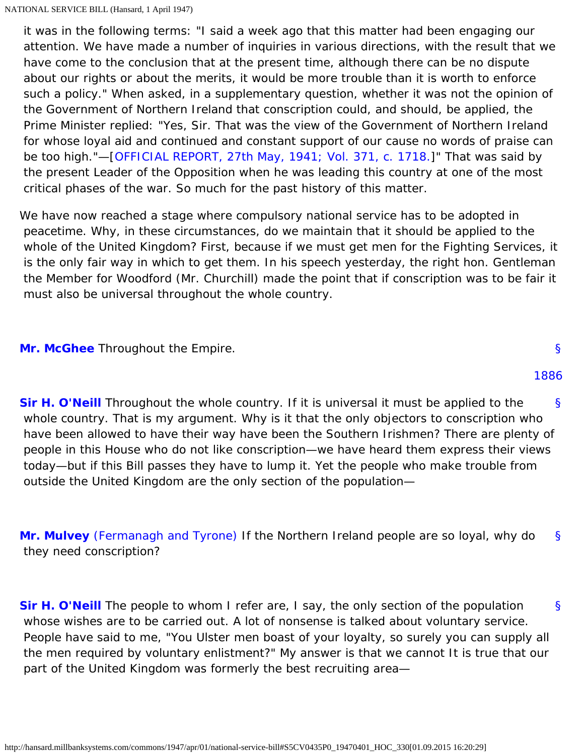it was in the following terms: "I said a week ago that this matter had been engaging our attention. We have made a number of inquiries in various directions, with the result that we have come to the conclusion that at the present time, although there can be no dispute about our rights or about the merits, it would be more trouble than it is worth to enforce such a policy." When asked, in a supplementary question, whether it was not the opinion of the Government of Northern Ireland that conscription could, and should, be applied, the Prime Minister replied: "Yes, Sir. That was the view of the Government of Northern Ireland for whose loyal aid and continued and constant support of our cause no words of praise can be too high."—[\[OFFICIAL REPORT, 27th May, 1941; Vol. 371, c. 1718.](http://hansard.millbanksystems.com/commons/1941/may/27/war-situation#column_1718)]" That was said by the present Leader of the Opposition when he was leading this country at one of the most critical phases of the war. So much for the past history of this matter.

We have now reached a stage where compulsory national service has to be adopted in peacetime. Why, in these circumstances, do we maintain that it should be applied to the whole of the United Kingdom? First, because if we must get men for the Fighting Services, it is the only fair way in which to get them. In his speech yesterday, the right hon. Gentleman the Member for Woodford (Mr. Churchill) made the point that if conscription was to be fair it must also be universal throughout the whole country.

<span id="page-26-4"></span><span id="page-26-0"></span>**[Mr. McGhee](http://hansard.millbanksystems.com/people/mr-henry-mcghee)** Throughout the Empire.

<span id="page-26-1"></span>[§](#page-26-1) **[Sir H. O'Neill](http://hansard.millbanksystems.com/people/hon-hugh-oneill)** Throughout the whole country. If it is universal it must be applied to the whole country. That is my argument. Why is it that the only objectors to conscription who have been allowed to have their way have been the Southern Irishmen? There are plenty of people in this House who do not like conscription—we have heard them express their views today—but if this Bill passes they have to lump it. Yet the people who make trouble from outside the United Kingdom are the only section of the population—

<span id="page-26-2"></span>[§](#page-26-2) **[Mr. Mulvey](http://hansard.millbanksystems.com/people/mr-anthony-mulvey)** [\(Fermanagh and Tyrone\)](http://hansard.millbanksystems.com/constituencies/fermanagh-and-tyrone) If the Northern Ireland people are so loyal, why do they need conscription?

<span id="page-26-5"></span><span id="page-26-3"></span>[§](#page-26-3) **[Sir H. O'Neill](http://hansard.millbanksystems.com/people/hon-hugh-oneill)** The people to whom I refer are, I say, the only section of the population whose wishes are to be carried out. A lot of nonsense is talked about voluntary service. People have said to me, "You Ulster men boast of your loyalty, so surely you can supply all the men required by voluntary enlistment?" My answer is that we cannot It is true that our part of the United Kingdom was formerly the best recruiting area—

# [§](#page-26-0)

[1886](#page-26-4)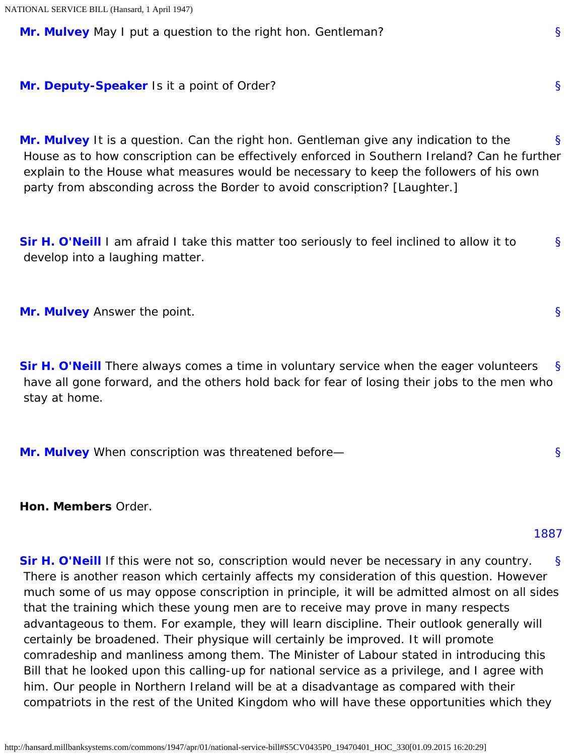<span id="page-27-0"></span>**[Mr. Mulvey](http://hansard.millbanksystems.com/people/mr-anthony-mulvey)** May I put a question to the right hon. Gentleman?

<span id="page-27-1"></span>**[Mr. Deputy-Speaker](http://hansard.millbanksystems.com/people/mr-james-milner)** Is it a point of Order?

[§](#page-27-1) **[Mr. Mulvey](http://hansard.millbanksystems.com/people/mr-anthony-mulvey)** It is a question. Can the right hon. Gentleman give any indication to the House as to how conscription can be effectively enforced in Southern Ireland? Can he further explain to the House what measures would be necessary to keep the followers of his own party from absconding across the Border to avoid conscription? [Laughter.]

<span id="page-27-2"></span>[§](#page-27-2) **[Sir H. O'Neill](http://hansard.millbanksystems.com/people/hon-hugh-oneill)** I am afraid I take this matter too seriously to feel inclined to allow it to develop into a laughing matter.

<span id="page-27-4"></span><span id="page-27-3"></span>**[Mr. Mulvey](http://hansard.millbanksystems.com/people/mr-anthony-mulvey)** Answer the point.

[§](#page-27-4) **[Sir H. O'Neill](http://hansard.millbanksystems.com/people/hon-hugh-oneill)** There always comes a time in voluntary service when the eager volunteers have all gone forward, and the others hold back for fear of losing their jobs to the men who stay at home.

<span id="page-27-5"></span>**[Mr. Mulvey](http://hansard.millbanksystems.com/people/mr-anthony-mulvey)** When conscription was threatened before—

<span id="page-27-7"></span><span id="page-27-6"></span>**Hon. Members** Order.

## [1887](#page-27-7)

[§](#page-27-6) **[Sir H. O'Neill](http://hansard.millbanksystems.com/people/hon-hugh-oneill)** If this were not so, conscription would never be necessary in any country. There is another reason which certainly affects my consideration of this question. However much some of us may oppose conscription in principle, it will be admitted almost on all sides that the training which these young men are to receive may prove in many respects advantageous to them. For example, they will learn discipline. Their outlook generally will certainly be broadened. Their physique will certainly be improved. It will promote comradeship and manliness among them. The Minister of Labour stated in introducing this Bill that he looked upon this calling-up for national service as a privilege, and I agree with him. Our people in Northern Ireland will be at a disadvantage as compared with their compatriots in the rest of the United Kingdom who will have these opportunities which they

[§](#page-27-0)

[§](#page-27-3)

[§](#page-27-5)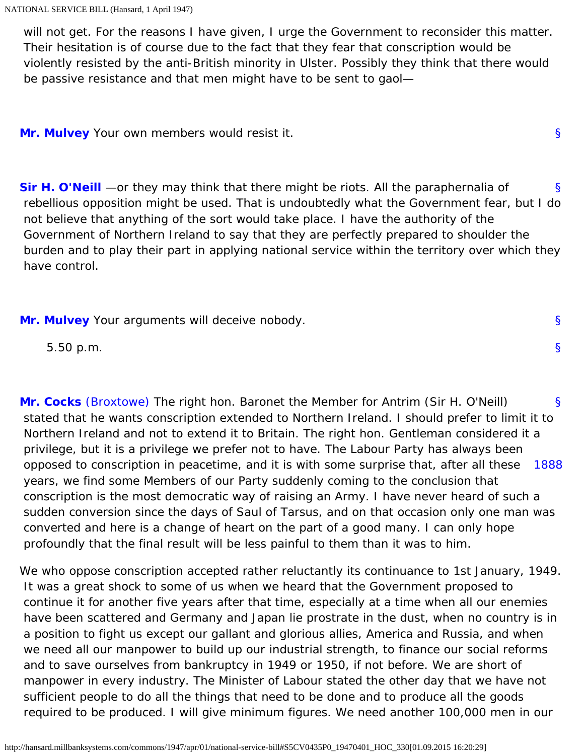will not get. For the reasons I have given, I urge the Government to reconsider this matter. Their hesitation is of course due to the fact that they fear that conscription would be violently resisted by the anti-British minority in Ulster. Possibly they think that there would be passive resistance and that men might have to be sent to gaol—

<span id="page-28-1"></span><span id="page-28-0"></span>**[Mr. Mulvey](http://hansard.millbanksystems.com/people/mr-anthony-mulvey)** Your own members would resist it.

[§](#page-28-1) **[Sir H. O'Neill](http://hansard.millbanksystems.com/people/hon-hugh-oneill)** —or they may think that there might be riots. All the paraphernalia of rebellious opposition might be used. That is undoubtedly what the Government fear, but I do not believe that anything of the sort would take place. I have the authority of the Government of Northern Ireland to say that they are perfectly prepared to shoulder the burden and to play their part in applying national service within the territory over which they have control.

[§](#page-28-0)

[§](#page-28-2)

[§](#page-0-1)

<span id="page-28-2"></span>**[Mr. Mulvey](http://hansard.millbanksystems.com/people/mr-anthony-mulvey)** Your arguments will deceive nobody.

5.50 p.m.

<span id="page-28-4"></span><span id="page-28-3"></span>[§](#page-28-3) [1888](#page-28-4) **[Mr. Cocks](http://hansard.millbanksystems.com/people/mr-frederick-cocks)** [\(Broxtowe\)](http://hansard.millbanksystems.com/constituencies/broxtowe) The right hon. Baronet the Member for Antrim (Sir H. O'Neill) stated that he wants conscription extended to Northern Ireland. I should prefer to limit it to Northern Ireland and not to extend it to Britain. The right hon. Gentleman considered it a privilege, but it is a privilege we prefer not to have. The Labour Party has always been opposed to conscription in peacetime, and it is with some surprise that, after all these years, we find some Members of our Party suddenly coming to the conclusion that conscription is the most democratic way of raising an Army. I have never heard of such a sudden conversion since the days of Saul of Tarsus, and on that occasion only one man was converted and here is a change of heart on the part of a good many. I can only hope profoundly that the final result will be less painful to them than it was to him.

We who oppose conscription accepted rather reluctantly its continuance to 1st January, 1949. It was a great shock to some of us when we heard that the Government proposed to continue it for another five years after that time, especially at a time when all our enemies have been scattered and Germany and Japan lie prostrate in the dust, when no country is in a position to fight us except our gallant and glorious allies, America and Russia, and when we need all our manpower to build up our industrial strength, to finance our social reforms and to save ourselves from bankruptcy in 1949 or 1950, if not before. We are short of manpower in every industry. The Minister of Labour stated the other day that we have not sufficient people to do all the things that need to be done and to produce all the goods required to be produced. I will give minimum figures. We need another 100,000 men in our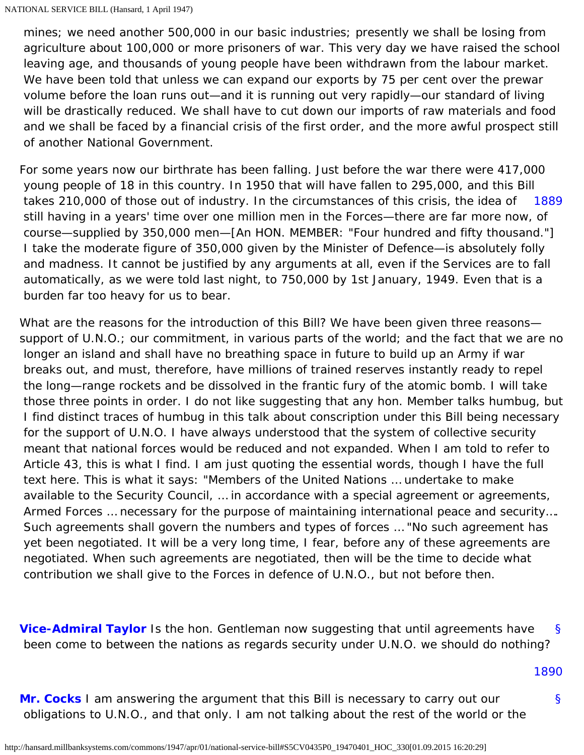mines; we need another 500,000 in our basic industries; presently we shall be losing from agriculture about 100,000 or more prisoners of war. This very day we have raised the school leaving age, and thousands of young people have been withdrawn from the labour market. We have been told that unless we can expand our exports by 75 per cent over the prewar volume before the loan runs out—and it is running out very rapidly—our standard of living will be drastically reduced. We shall have to cut down our imports of raw materials and food and we shall be faced by a financial crisis of the first order, and the more awful prospect still of another National Government.

<span id="page-29-0"></span>[1889](#page-29-0) For some years now our birthrate has been falling. Just before the war there were 417,000 young people of 18 in this country. In 1950 that will have fallen to 295,000, and this Bill takes 210,000 of those out of industry. In the circumstances of this crisis, the idea of still having in a years' time over one million men in the Forces—there are far more now, of course—supplied by 350,000 men—[An HON. MEMBER: "Four hundred and fifty thousand."] I take the moderate figure of 350,000 given by the Minister of Defence—is absolutely folly and madness. It cannot be justified by any arguments at all, even if the Services are to fall automatically, as we were told last night, to 750,000 by 1st January, 1949. Even that is a burden far too heavy for us to bear.

What are the reasons for the introduction of this Bill? We have been given three reasons support of U.N.O.; our commitment, in various parts of the world; and the fact that we are no longer an island and shall have no breathing space in future to build up an Army if war breaks out, and must, therefore, have millions of trained reserves instantly ready to repel the long—range rockets and be dissolved in the frantic fury of the atomic bomb. I will take those three points in order. I do not like suggesting that any hon. Member talks humbug, but I find distinct traces of humbug in this talk about conscription under this Bill being necessary for the support of U.N.O. I have always understood that the system of collective security meant that national forces would be reduced and not expanded. When I am told to refer to Article 43, this is what I find. I am just quoting the essential words, though I have the full text here. This is what it says: "Members of the United Nations … undertake to make available to the Security Council, … in accordance with a special agreement or agreements, Armed Forces … necessary for the purpose of maintaining international peace and security…. Such agreements shall govern the numbers and types of forces … "No such agreement has yet been negotiated. It will be a very long time, I fear, before any of these agreements are negotiated. When such agreements are negotiated, then will be the time to decide what contribution we shall give to the Forces in defence of U.N.O., but not before then.

<span id="page-29-1"></span>[§](#page-29-1) **[Vice-Admiral Taylor](http://hansard.millbanksystems.com/people/vice-admiral-ernest-taylor)** Is the hon. Gentleman now suggesting that until agreements have been come to between the nations as regards security under U.N.O. we should do nothing?

[1890](#page-29-3)

[§](#page-29-2)

<span id="page-29-3"></span><span id="page-29-2"></span>**[Mr. Cocks](http://hansard.millbanksystems.com/people/mr-frederick-cocks)** I am answering the argument that this Bill is necessary to carry out our obligations to U.N.O., and that only. I am not talking about the rest of the world or the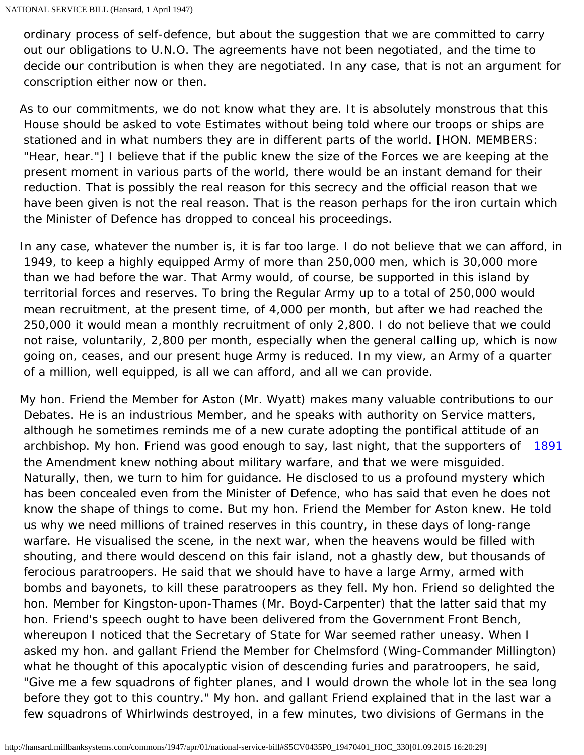ordinary process of self-defence, but about the suggestion that we are committed to carry out our obligations to U.N.O. The agreements have not been negotiated, and the time to decide our contribution is when they are negotiated. In any case, that is not an argument for conscription either now or then.

As to our commitments, we do not know what they are. It is absolutely monstrous that this House should be asked to vote Estimates without being told where our troops or ships are stationed and in what numbers they are in different parts of the world. [HON. MEMBERS: "Hear, hear."] I believe that if the public knew the size of the Forces we are keeping at the present moment in various parts of the world, there would be an instant demand for their reduction. That is possibly the real reason for this secrecy and the official reason that we have been given is not the real reason. That is the reason perhaps for the iron curtain which the Minister of Defence has dropped to conceal his proceedings.

In any case, whatever the number is, it is far too large. I do not believe that we can afford, in 1949, to keep a highly equipped Army of more than 250,000 men, which is 30,000 more than we had before the war. That Army would, of course, be supported in this island by territorial forces and reserves. To bring the Regular Army up to a total of 250,000 would mean recruitment, at the present time, of 4,000 per month, but after we had reached the 250,000 it would mean a monthly recruitment of only 2,800. I do not believe that we could not raise, voluntarily, 2,800 per month, especially when the general calling up, which is now going on, ceases, and our present huge Army is reduced. In my view, an Army of a quarter of a million, well equipped, is all we can afford, and all we can provide.

<span id="page-30-0"></span>archbishop. My hon. Friend was good enough to say, last night, that the supporters of [1891](#page-30-0) My hon. Friend the Member for Aston (Mr. Wyatt) makes many valuable contributions to our Debates. He is an industrious Member, and he speaks with authority on Service matters, although he sometimes reminds me of a new curate adopting the pontifical attitude of an the Amendment knew nothing about military warfare, and that we were misguided. Naturally, then, we turn to him for guidance. He disclosed to us a profound mystery which has been concealed even from the Minister of Defence, who has said that even he does not know the shape of things to come. But my hon. Friend the Member for Aston knew. He told us why we need millions of trained reserves in this country, in these days of long-range warfare. He visualised the scene, in the next war, when the heavens would be filled with shouting, and there would descend on this fair island, not a ghastly dew, but thousands of ferocious paratroopers. He said that we should have to have a large Army, armed with bombs and bayonets, to kill these paratroopers as they fell. My hon. Friend so delighted the hon. Member for Kingston-upon-Thames (Mr. Boyd-Carpenter) that the latter said that my hon. Friend's speech ought to have been delivered from the Government Front Bench, whereupon I noticed that the Secretary of State for War seemed rather uneasy. When I asked my hon. and gallant Friend the Member for Chelmsford (Wing-Commander Millington) what he thought of this apocalyptic vision of descending furies and paratroopers, he said, "Give me a few squadrons of fighter planes, and I would drown the whole lot in the sea long before they got to this country." My hon. and gallant Friend explained that in the last war a few squadrons of Whirlwinds destroyed, in a few minutes, two divisions of Germans in the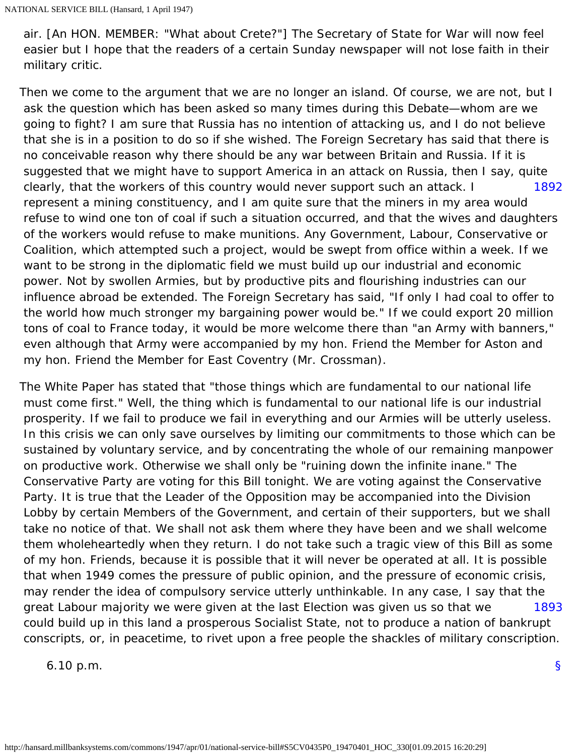air. [An HON. MEMBER: "What about Crete?"] The Secretary of State for War will now feel easier but I hope that the readers of a certain Sunday newspaper will not lose faith in their military critic.

<span id="page-31-0"></span>[1892](#page-31-0) Then we come to the argument that we are no longer an island. Of course, we are not, but I ask the question which has been asked so many times during this Debate—whom are we going to fight? I am sure that Russia has no intention of attacking us, and I do not believe that she is in a position to do so if she wished. The Foreign Secretary has said that there is no conceivable reason why there should be any war between Britain and Russia. If it is suggested that we might have to support America in an attack on Russia, then I say, quite clearly, that the workers of this country would never support such an attack. I represent a mining constituency, and I am quite sure that the miners in my area would refuse to wind one ton of coal if such a situation occurred, and that the wives and daughters of the workers would refuse to make munitions. Any Government, Labour, Conservative or Coalition, which attempted such a project, would be swept from office within a week. If we want to be strong in the diplomatic field we must build up our industrial and economic power. Not by swollen Armies, but by productive pits and flourishing industries can our influence abroad be extended. The Foreign Secretary has said, "If only I had coal to offer to the world how much stronger my bargaining power would be." If we could export 20 million tons of coal to France today, it would be more welcome there than "an Army with banners," even although that Army were accompanied by my hon. Friend the Member for Aston and my hon. Friend the Member for East Coventry (Mr. Crossman).

[1893](#page-31-1) The White Paper has stated that "those things which are fundamental to our national life must come first." Well, the thing which is fundamental to our national life is our industrial prosperity. If we fail to produce we fail in everything and our Armies will be utterly useless. In this crisis we can only save ourselves by limiting our commitments to those which can be sustained by voluntary service, and by concentrating the whole of our remaining manpower on productive work. Otherwise we shall only be "ruining down the infinite inane." The Conservative Party are voting for this Bill tonight. We are voting against the Conservative Party. It is true that the Leader of the Opposition may be accompanied into the Division Lobby by certain Members of the Government, and certain of their supporters, but we shall take no notice of that. We shall not ask them where they have been and we shall welcome them wholeheartedly when they return. I do not take such a tragic view of this Bill as some of my hon. Friends, because it is possible that it will never be operated at all. It is possible that when 1949 comes the pressure of public opinion, and the pressure of economic crisis, may render the idea of compulsory service utterly unthinkable. In any case, I say that the great Labour majority we were given at the last Election was given us so that we could build up in this land a prosperous Socialist State, not to produce a nation of bankrupt conscripts, or, in peacetime, to rivet upon a free people the shackles of military conscription.

<span id="page-31-2"></span><span id="page-31-1"></span>6.10 p.m.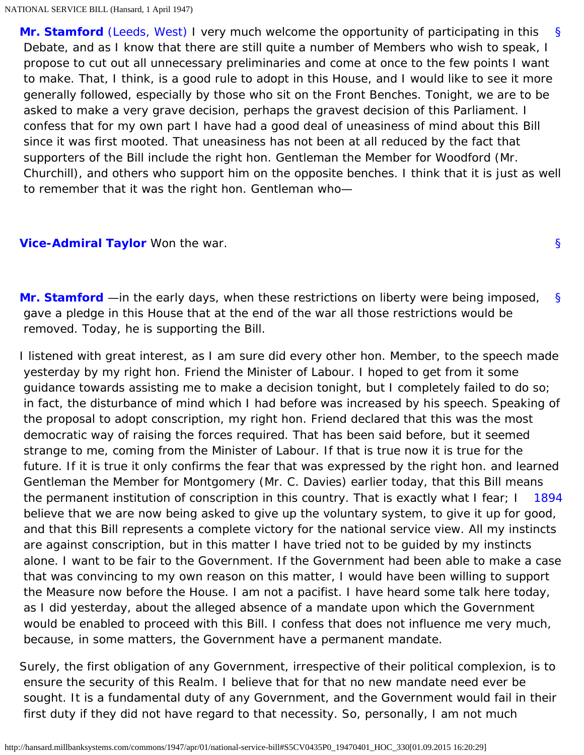[§](#page-31-2) **[Mr. Stamford](http://hansard.millbanksystems.com/people/mr-thomas-stamford)** [\(Leeds, West\)](http://hansard.millbanksystems.com/constituencies/leeds-west) I very much welcome the opportunity of participating in this Debate, and as I know that there are still quite a number of Members who wish to speak, I propose to cut out all unnecessary preliminaries and come at once to the few points I want to make. That, I think, is a good rule to adopt in this House, and I would like to see it more generally followed, especially by those who sit on the Front Benches. Tonight, we are to be asked to make a very grave decision, perhaps the gravest decision of this Parliament. I confess that for my own part I have had a good deal of uneasiness of mind about this Bill since it was first mooted. That uneasiness has not been at all reduced by the fact that supporters of the Bill include the right hon. Gentleman the Member for Woodford (Mr. Churchill), and others who support him on the opposite benches. I think that it is just as well to remember that it was the right hon. Gentleman who—

#### <span id="page-32-1"></span><span id="page-32-0"></span>**[Vice-Admiral Taylor](http://hansard.millbanksystems.com/people/vice-admiral-ernest-taylor)** Won the war.

[§](#page-32-1) **[Mr. Stamford](http://hansard.millbanksystems.com/people/mr-thomas-stamford)** —in the early days, when these restrictions on liberty were being imposed, gave a pledge in this House that at the end of the war all those restrictions would be removed. Today, he is supporting the Bill.

[§](#page-32-0)

<span id="page-32-2"></span>[1894](#page-32-2) I listened with great interest, as I am sure did every other hon. Member, to the speech made yesterday by my right hon. Friend the Minister of Labour. I hoped to get from it some guidance towards assisting me to make a decision tonight, but I completely failed to do so; in fact, the disturbance of mind which I had before was increased by his speech. Speaking of the proposal to adopt conscription, my right hon. Friend declared that this was the most democratic way of raising the forces required. That has been said before, but it seemed strange to me, coming from the Minister of Labour. If that is true now it is true for the future. If it is true it only confirms the fear that was expressed by the right hon. and learned Gentleman the Member for Montgomery (Mr. C. Davies) earlier today, that this Bill means the permanent institution of conscription in this country. That is exactly what I fear; I believe that we are now being asked to give up the voluntary system, to give it up for good, and that this Bill represents a complete victory for the national service view. All my instincts are against conscription, but in this matter I have tried not to be guided by my instincts alone. I want to be fair to the Government. If the Government had been able to make a case that was convincing to my own reason on this matter, I would have been willing to support the Measure now before the House. I am not a pacifist. I have heard some talk here today, as I did yesterday, about the alleged absence of a mandate upon which the Government would be enabled to proceed with this Bill. I confess that does not influence me very much, because, in some matters, the Government have a permanent mandate.

Surely, the first obligation of any Government, irrespective of their political complexion, is to ensure the security of this Realm. I believe that for that no new mandate need ever be sought. It is a fundamental duty of any Government, and the Government would fail in their first duty if they did not have regard to that necessity. So, personally, I am not much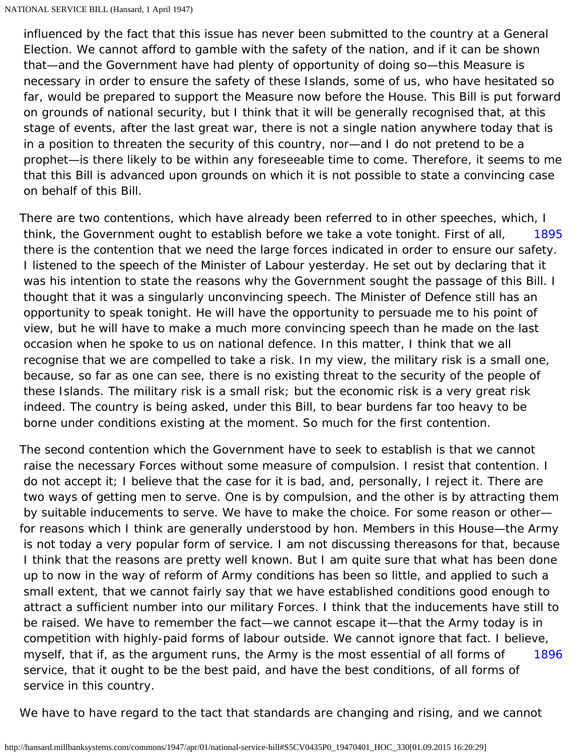influenced by the fact that this issue has never been submitted to the country at a General Election. We cannot afford to gamble with the safety of the nation, and if it can be shown that—and the Government have had plenty of opportunity of doing so—this Measure is necessary in order to ensure the safety of these Islands, some of us, who have hesitated so far, would be prepared to support the Measure now before the House. This Bill is put forward on grounds of national security, but I think that it will be generally recognised that, at this stage of events, after the last great war, there is not a single nation anywhere today that is in a position to threaten the security of this country, nor—and I do not pretend to be a prophet—is there likely to be within any foreseeable time to come. Therefore, it seems to me that this Bill is advanced upon grounds on which it is not possible to state a convincing case on behalf of this Bill.

<span id="page-33-0"></span>[1895](#page-33-0) There are two contentions, which have already been referred to in other speeches, which, I think, the Government ought to establish before we take a vote tonight. First of all, there is the contention that we need the large forces indicated in order to ensure our safety. I listened to the speech of the Minister of Labour yesterday. He set out by declaring that it was his intention to state the reasons why the Government sought the passage of this Bill. I thought that it was a singularly unconvincing speech. The Minister of Defence still has an opportunity to speak tonight. He will have the opportunity to persuade me to his point of view, but he will have to make a much more convincing speech than he made on the last occasion when he spoke to us on national defence. In this matter, I think that we all recognise that we are compelled to take a risk. In my view, the military risk is a small one, because, so far as one can see, there is no existing threat to the security of the people of these Islands. The military risk is a small risk; but the economic risk is a very great risk indeed. The country is being asked, under this Bill, to bear burdens far too heavy to be borne under conditions existing at the moment. So much for the first contention.

[1896](#page-33-1) The second contention which the Government have to seek to establish is that we cannot raise the necessary Forces without some measure of compulsion. I resist that contention. I do not accept it; I believe that the case for it is bad, and, personally, I reject it. There are two ways of getting men to serve. One is by compulsion, and the other is by attracting them by suitable inducements to serve. We have to make the choice. For some reason or other for reasons which I think are generally understood by hon. Members in this House—the Army is not today a very popular form of service. I am not discussing thereasons for that, because I think that the reasons are pretty well known. But I am quite sure that what has been done up to now in the way of reform of Army conditions has been so little, and applied to such a small extent, that we cannot fairly say that we have established conditions good enough to attract a sufficient number into our military Forces. I think that the inducements have still to be raised. We have to remember the fact—we cannot escape it—that the Army today is in competition with highly-paid forms of labour outside. We cannot ignore that fact. I believe, myself, that if, as the argument runs, the Army is the most essential of all forms of service, that it ought to be the best paid, and have the best conditions, of all forms of service in this country.

<span id="page-33-1"></span>We have to have regard to the tact that standards are changing and rising, and we cannot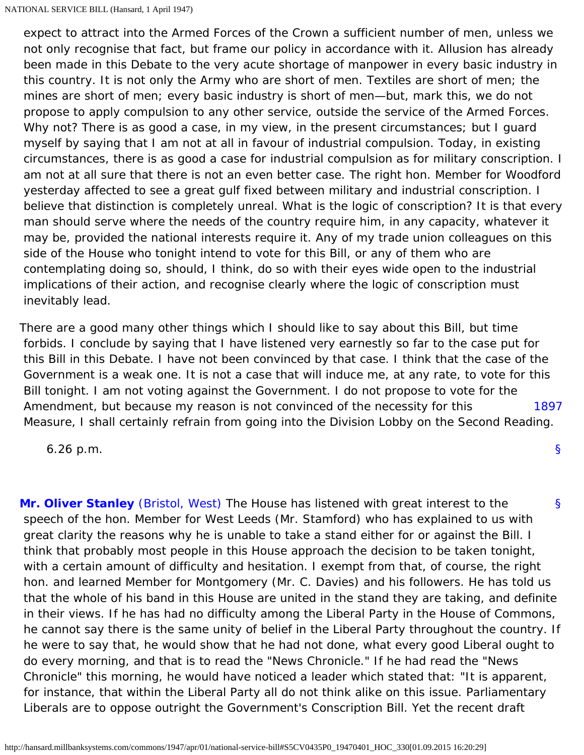expect to attract into the Armed Forces of the Crown a sufficient number of men, unless we not only recognise that fact, but frame our policy in accordance with it. Allusion has already been made in this Debate to the very acute shortage of manpower in every basic industry in this country. It is not only the Army who are short of men. Textiles are short of men; the mines are short of men; every basic industry is short of men—but, mark this, we do not propose to apply compulsion to any other service, outside the service of the Armed Forces. Why not? There is as good a case, in my view, in the present circumstances; but I guard myself by saying that I am not at all in favour of industrial compulsion. Today, in existing circumstances, there is as good a case for industrial compulsion as for military conscription. I am not at all sure that there is not an even better case. The right hon. Member for Woodford yesterday affected to see a great gulf fixed between military and industrial conscription. I believe that distinction is completely unreal. What is the logic of conscription? It is that every man should serve where the needs of the country require him, in any capacity, whatever it may be, provided the national interests require it. Any of my trade union colleagues on this side of the House who tonight intend to vote for this Bill, or any of them who are contemplating doing so, should, I think, do so with their eyes wide open to the industrial implications of their action, and recognise clearly where the logic of conscription must inevitably lead.

[1897](#page-34-0) There are a good many other things which I should like to say about this Bill, but time forbids. I conclude by saying that I have listened very earnestly so far to the case put for this Bill in this Debate. I have not been convinced by that case. I think that the case of the Government is a weak one. It is not a case that will induce me, at any rate, to vote for this Bill tonight. I am not voting against the Government. I do not propose to vote for the Amendment, but because my reason is not convinced of the necessity for this Measure, I shall certainly refrain from going into the Division Lobby on the Second Reading.

[§](#page-0-1)

<span id="page-34-0"></span>6.26 p.m.

<span id="page-34-1"></span>[§](#page-34-1) **[Mr. Oliver Stanley](http://hansard.millbanksystems.com/people/hon-oliver-stanley)** [\(Bristol, West\)](http://hansard.millbanksystems.com/constituencies/bristol-west) The House has listened with great interest to the speech of the hon. Member for West Leeds (Mr. Stamford) who has explained to us with great clarity the reasons why he is unable to take a stand either for or against the Bill. I think that probably most people in this House approach the decision to be taken tonight, with a certain amount of difficulty and hesitation. I exempt from that, of course, the right hon. and learned Member for Montgomery (Mr. C. Davies) and his followers. He has told us that the whole of his band in this House are united in the stand they are taking, and definite in their views. If he has had no difficulty among the Liberal Party in the House of Commons, he cannot say there is the same unity of belief in the Liberal Party throughout the country. If he were to say that, he would show that he had not done, what every good Liberal ought to do every morning, and that is to read the "News Chronicle." If he had read the "News Chronicle" this morning, he would have noticed a leader which stated that: "It is apparent, for instance, that within the Liberal Party all do not think alike on this issue. Parliamentary Liberals are to oppose outright the Government's Conscription Bill. Yet the recent draft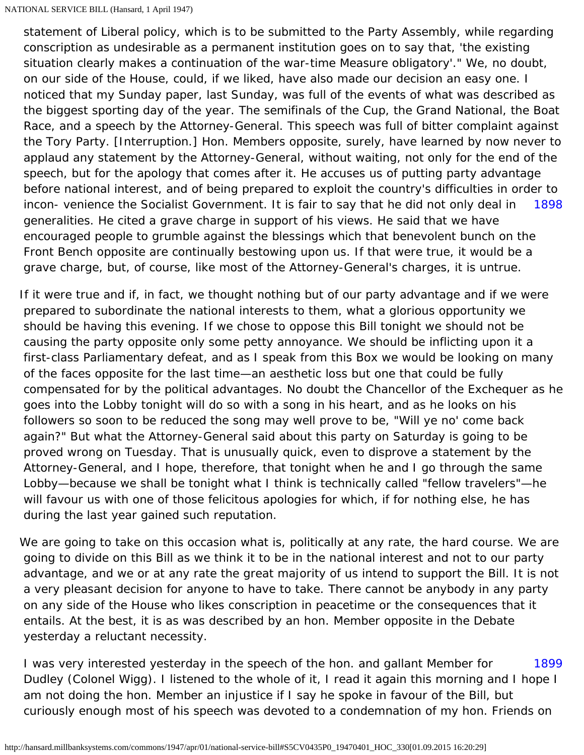[1898](#page-35-0) statement of Liberal policy, which is to be submitted to the Party Assembly, while regarding conscription as undesirable as a permanent institution goes on to say that, 'the existing situation clearly makes a continuation of the war-time Measure obligatory'." We, no doubt, on our side of the House, could, if we liked, have also made our decision an easy one. I noticed that my Sunday paper, last Sunday, was full of the events of what was described as the biggest sporting day of the year. The semifinals of the Cup, the Grand National, the Boat Race, and a speech by the Attorney-General. This speech was full of bitter complaint against the Tory Party. [Interruption.] Hon. Members opposite, surely, have learned by now never to applaud any statement by the Attorney-General, without waiting, not only for the end of the speech, but for the apology that comes after it. He accuses us of putting party advantage before national interest, and of being prepared to exploit the country's difficulties in order to incon- venience the Socialist Government. It is fair to say that he did not only deal in generalities. He cited a grave charge in support of his views. He said that we have encouraged people to grumble against the blessings which that benevolent bunch on the Front Bench opposite are continually bestowing upon us. If that were true, it would be a grave charge, but, of course, like most of the Attorney-General's charges, it is untrue.

<span id="page-35-0"></span>If it were true and if, in fact, we thought nothing but of our party advantage and if we were prepared to subordinate the national interests to them, what a glorious opportunity we should be having this evening. If we chose to oppose this Bill tonight we should not be causing the party opposite only some petty annoyance. We should be inflicting upon it a first-class Parliamentary defeat, and as I speak from this Box we would be looking on many of the faces opposite for the last time—an aesthetic loss but one that could be fully compensated for by the political advantages. No doubt the Chancellor of the Exchequer as he goes into the Lobby tonight will do so with a song in his heart, and as he looks on his followers so soon to be reduced the song may well prove to be, "Will ye no' come back again?" But what the Attorney-General said about this party on Saturday is going to be proved wrong on Tuesday. That is unusually quick, even to disprove a statement by the Attorney-General, and I hope, therefore, that tonight when he and I go through the same Lobby—because we shall be tonight what I think is technically called "fellow travelers"—he will favour us with one of those felicitous apologies for which, if for nothing else, he has during the last year gained such reputation.

We are going to take on this occasion what is, politically at any rate, the hard course. We are going to divide on this Bill as we think it to be in the national interest and not to our party advantage, and we or at any rate the great majority of us intend to support the Bill. It is not a very pleasant decision for anyone to have to take. There cannot be anybody in any party on any side of the House who likes conscription in peacetime or the consequences that it entails. At the best, it is as was described by an hon. Member opposite in the Debate yesterday a reluctant necessity.

<span id="page-35-1"></span>[1899](#page-35-1) I was very interested yesterday in the speech of the hon. and gallant Member for Dudley (Colonel Wigg). I listened to the whole of it, I read it again this morning and I hope I am not doing the hon. Member an injustice if I say he spoke in favour of the Bill, but curiously enough most of his speech was devoted to a condemnation of my hon. Friends on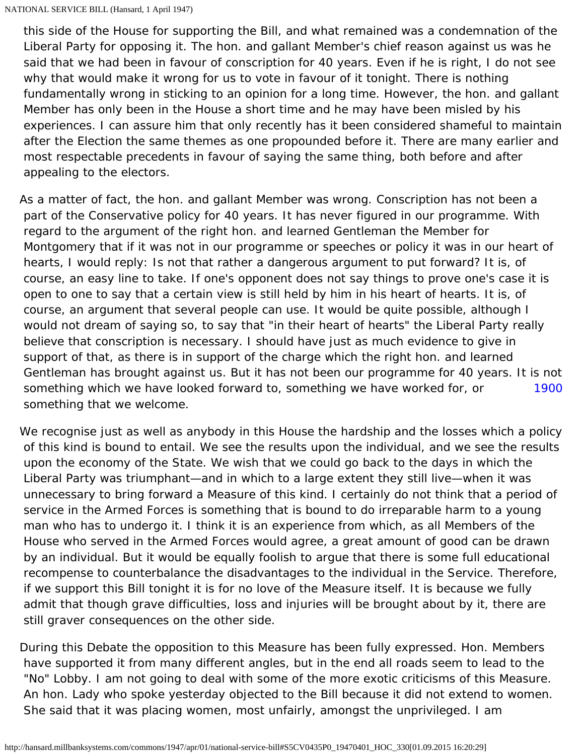this side of the House for supporting the Bill, and what remained was a condemnation of the Liberal Party for opposing it. The hon. and gallant Member's chief reason against us was he said that we had been in favour of conscription for 40 years. Even if he is right, I do not see why that would make it wrong for us to vote in favour of it tonight. There is nothing fundamentally wrong in sticking to an opinion for a long time. However, the hon. and gallant Member has only been in the House a short time and he may have been misled by his experiences. I can assure him that only recently has it been considered shameful to maintain after the Election the same themes as one propounded before it. There are many earlier and most respectable precedents in favour of saying the same thing, both before and after appealing to the electors.

[1900](#page-36-0) As a matter of fact, the hon. and gallant Member was wrong. Conscription has not been a part of the Conservative policy for 40 years. It has never figured in our programme. With regard to the argument of the right hon. and learned Gentleman the Member for Montgomery that if it was not in our programme or speeches or policy it was in our heart of hearts, I would reply: Is not that rather a dangerous argument to put forward? It is, of course, an easy line to take. If one's opponent does not say things to prove one's case it is open to one to say that a certain view is still held by him in his heart of hearts. It is, of course, an argument that several people can use. It would be quite possible, although I would not dream of saying so, to say that "in their heart of hearts" the Liberal Party really believe that conscription is necessary. I should have just as much evidence to give in support of that, as there is in support of the charge which the right hon. and learned Gentleman has brought against us. But it has not been our programme for 40 years. It is not something which we have looked forward to, something we have worked for, or something that we welcome.

<span id="page-36-0"></span>We recognise just as well as anybody in this House the hardship and the losses which a policy of this kind is bound to entail. We see the results upon the individual, and we see the results upon the economy of the State. We wish that we could go back to the days in which the Liberal Party was triumphant—and in which to a large extent they still live—when it was unnecessary to bring forward a Measure of this kind. I certainly do not think that a period of service in the Armed Forces is something that is bound to do irreparable harm to a young man who has to undergo it. I think it is an experience from which, as all Members of the House who served in the Armed Forces would agree, a great amount of good can be drawn by an individual. But it would be equally foolish to argue that there is some full educational recompense to counterbalance the disadvantages to the individual in the Service. Therefore, if we support this Bill tonight it is for no love of the Measure itself. It is because we fully admit that though grave difficulties, loss and injuries will be brought about by it, there are still graver consequences on the other side.

During this Debate the opposition to this Measure has been fully expressed. Hon. Members have supported it from many different angles, but in the end all roads seem to lead to the "No" Lobby. I am not going to deal with some of the more exotic criticisms of this Measure. An hon. Lady who spoke yesterday objected to the Bill because it did not extend to women. She said that it was placing women, most unfairly, amongst the unprivileged. I am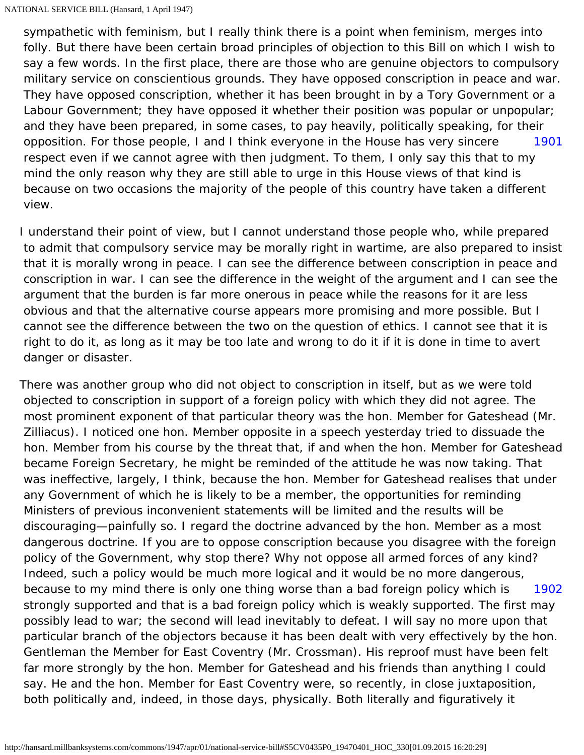[1901](#page-37-0) sympathetic with feminism, but I really think there is a point when feminism, merges into folly. But there have been certain broad principles of objection to this Bill on which I wish to say a few words. In the first place, there are those who are genuine objectors to compulsory military service on conscientious grounds. They have opposed conscription in peace and war. They have opposed conscription, whether it has been brought in by a Tory Government or a Labour Government; they have opposed it whether their position was popular or unpopular; and they have been prepared, in some cases, to pay heavily, politically speaking, for their opposition. For those people, I and I think everyone in the House has very sincere respect even if we cannot agree with then judgment. To them, I only say this that to my mind the only reason why they are still able to urge in this House views of that kind is because on two occasions the majority of the people of this country have taken a different view.

<span id="page-37-0"></span>I understand their point of view, but I cannot understand those people who, while prepared to admit that compulsory service may be morally right in wartime, are also prepared to insist that it is morally wrong in peace. I can see the difference between conscription in peace and conscription in war. I can see the difference in the weight of the argument and I can see the argument that the burden is far more onerous in peace while the reasons for it are less obvious and that the alternative course appears more promising and more possible. But I cannot see the difference between the two on the question of ethics. I cannot see that it is right to do it, as long as it may be too late and wrong to do it if it is done in time to avert danger or disaster.

<span id="page-37-1"></span>[1902](#page-37-1) There was another group who did not object to conscription in itself, but as we were told objected to conscription in support of a foreign policy with which they did not agree. The most prominent exponent of that particular theory was the hon. Member for Gateshead (Mr. Zilliacus). I noticed one hon. Member opposite in a speech yesterday tried to dissuade the hon. Member from his course by the threat that, if and when the hon. Member for Gateshead became Foreign Secretary, he might be reminded of the attitude he was now taking. That was ineffective, largely, I think, because the hon. Member for Gateshead realises that under any Government of which he is likely to be a member, the opportunities for reminding Ministers of previous inconvenient statements will be limited and the results will be discouraging—painfully so. I regard the doctrine advanced by the hon. Member as a most dangerous doctrine. If you are to oppose conscription because you disagree with the foreign policy of the Government, why stop there? Why not oppose all armed forces of any kind? Indeed, such a policy would be much more logical and it would be no more dangerous, because to my mind there is only one thing worse than a bad foreign policy which is strongly supported and that is a bad foreign policy which is weakly supported. The first may possibly lead to war; the second will lead inevitably to defeat. I will say no more upon that particular branch of the objectors because it has been dealt with very effectively by the hon. Gentleman the Member for East Coventry (Mr. Crossman). His reproof must have been felt far more strongly by the hon. Member for Gateshead and his friends than anything I could say. He and the hon. Member for East Coventry were, so recently, in close juxtaposition, both politically and, indeed, in those days, physically. Both literally and figuratively it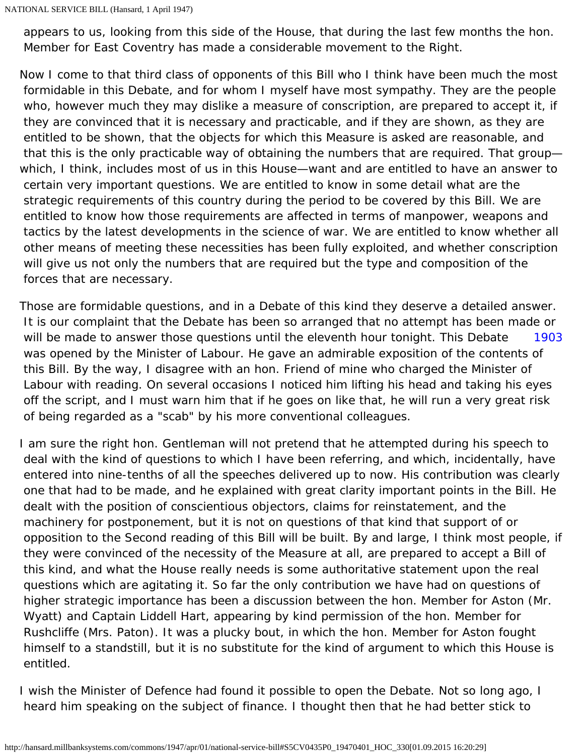appears to us, looking from this side of the House, that during the last few months the hon. Member for East Coventry has made a considerable movement to the Right.

Now I come to that third class of opponents of this Bill who I think have been much the most formidable in this Debate, and for whom I myself have most sympathy. They are the people who, however much they may dislike a measure of conscription, are prepared to accept it, if they are convinced that it is necessary and practicable, and if they are shown, as they are entitled to be shown, that the objects for which this Measure is asked are reasonable, and that this is the only practicable way of obtaining the numbers that are required. That group which, I think, includes most of us in this House—want and are entitled to have an answer to certain very important questions. We are entitled to know in some detail what are the strategic requirements of this country during the period to be covered by this Bill. We are entitled to know how those requirements are affected in terms of manpower, weapons and tactics by the latest developments in the science of war. We are entitled to know whether all other means of meeting these necessities has been fully exploited, and whether conscription will give us not only the numbers that are required but the type and composition of the forces that are necessary.

<span id="page-38-0"></span>[1903](#page-38-0) Those are formidable questions, and in a Debate of this kind they deserve a detailed answer. It is our complaint that the Debate has been so arranged that no attempt has been made or will be made to answer those questions until the eleventh hour tonight. This Debate was opened by the Minister of Labour. He gave an admirable exposition of the contents of this Bill. By the way, I disagree with an hon. Friend of mine who charged the Minister of Labour with reading. On several occasions I noticed him lifting his head and taking his eyes off the script, and I must warn him that if he goes on like that, he will run a very great risk of being regarded as a "scab" by his more conventional colleagues.

I am sure the right hon. Gentleman will not pretend that he attempted during his speech to deal with the kind of questions to which I have been referring, and which, incidentally, have entered into nine-tenths of all the speeches delivered up to now. His contribution was clearly one that had to be made, and he explained with great clarity important points in the Bill. He dealt with the position of conscientious objectors, claims for reinstatement, and the machinery for postponement, but it is not on questions of that kind that support of or opposition to the Second reading of this Bill will be built. By and large, I think most people, if they were convinced of the necessity of the Measure at all, are prepared to accept a Bill of this kind, and what the House really needs is some authoritative statement upon the real questions which are agitating it. So far the only contribution we have had on questions of higher strategic importance has been a discussion between the hon. Member for Aston (Mr. Wyatt) and Captain Liddell Hart, appearing by kind permission of the hon. Member for Rushcliffe (Mrs. Paton). It was a plucky bout, in which the hon. Member for Aston fought himself to a standstill, but it is no substitute for the kind of argument to which this House is entitled.

I wish the Minister of Defence had found it possible to open the Debate. Not so long ago, I heard him speaking on the subject of finance. I thought then that he had better stick to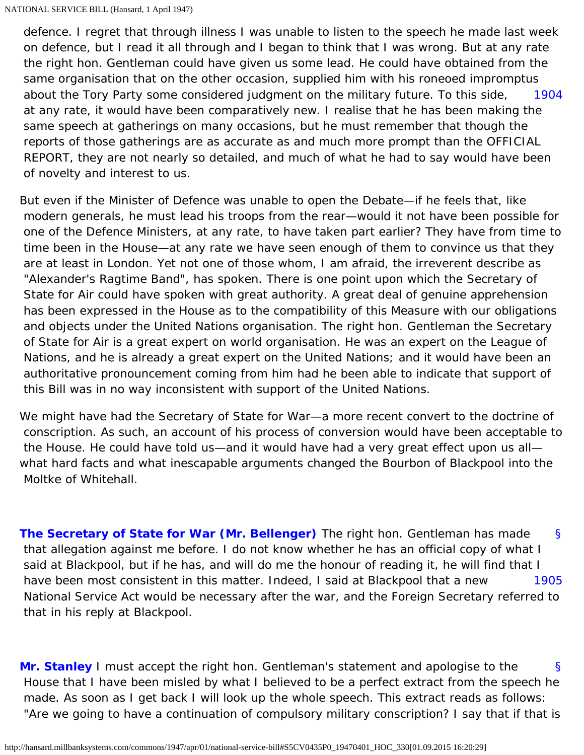<span id="page-39-0"></span>[1904](#page-39-0) defence. I regret that through illness I was unable to listen to the speech he made last week on defence, but I read it all through and I began to think that I was wrong. But at any rate the right hon. Gentleman could have given us some lead. He could have obtained from the same organisation that on the other occasion, supplied him with his roneoed impromptus about the Tory Party some considered judgment on the military future. To this side, at any rate, it would have been comparatively new. I realise that he has been making the same speech at gatherings on many occasions, but he must remember that though the reports of those gatherings are as accurate as and much more prompt than the OFFICIAL REPORT, they are not nearly so detailed, and much of what he had to say would have been of novelty and interest to us.

But even if the Minister of Defence was unable to open the Debate—if he feels that, like modern generals, he must lead his troops from the rear—would it not have been possible for one of the Defence Ministers, at any rate, to have taken part earlier? They have from time to time been in the House—at any rate we have seen enough of them to convince us that they are at least in London. Yet not one of those whom, I am afraid, the irreverent describe as "Alexander's Ragtime Band", has spoken. There is one point upon which the Secretary of State for Air could have spoken with great authority. A great deal of genuine apprehension has been expressed in the House as to the compatibility of this Measure with our obligations and objects under the United Nations organisation. The right hon. Gentleman the Secretary of State for Air is a great expert on world organisation. He was an expert on the League of Nations, and he is already a great expert on the United Nations; and it would have been an authoritative pronouncement coming from him had he been able to indicate that support of this Bill was in no way inconsistent with support of the United Nations.

We might have had the Secretary of State for War—a more recent convert to the doctrine of conscription. As such, an account of his process of conversion would have been acceptable to the House. He could have told us—and it would have had a very great effect upon us all what hard facts and what inescapable arguments changed the Bourbon of Blackpool into the Moltke of Whitehall.

<span id="page-39-2"></span><span id="page-39-1"></span>[§](#page-39-1) [1905](#page-39-2) **[The Secretary of State for War \(Mr. Bellenger\)](http://hansard.millbanksystems.com/people/mr-frederick-bellenger)** The right hon. Gentleman has made that allegation against me before. I do not know whether he has an official copy of what I said at Blackpool, but if he has, and will do me the honour of reading it, he will find that I have been most consistent in this matter. Indeed, I said at Blackpool that a new National Service Act would be necessary after the war, and the Foreign Secretary referred to that in his reply at Blackpool.

<span id="page-39-3"></span>[§](#page-39-3) **[Mr. Stanley](http://hansard.millbanksystems.com/people/hon-oliver-stanley)** I must accept the right hon. Gentleman's statement and apologise to the House that I have been misled by what I believed to be a perfect extract from the speech he made. As soon as I get back I will look up the whole speech. This extract reads as follows: "Are we going to have a continuation of compulsory military conscription? I say that if that is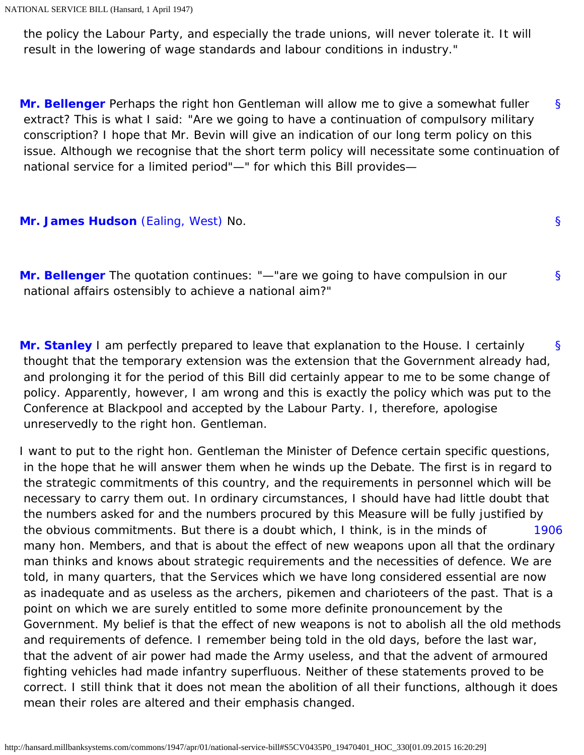the policy the Labour Party, and especially the trade unions, will never tolerate it. It will result in the lowering of wage standards and labour conditions in industry."

<span id="page-40-0"></span>[§](#page-40-0) **[Mr. Bellenger](http://hansard.millbanksystems.com/people/mr-frederick-bellenger)** Perhaps the right hon Gentleman will allow me to give a somewhat fuller extract? This is what I said: "Are we going to have a continuation of compulsory military conscription? I hope that Mr. Bevin will give an indication of our long term policy on this issue. Although we recognise that the short term policy will necessitate some continuation of national service for a limited period"—" for which this Bill provides—

[§](#page-40-1)

[§](#page-40-2)

<span id="page-40-2"></span><span id="page-40-1"></span>**[Mr. James Hudson](http://hansard.millbanksystems.com/people/mr-james-hudson)** [\(Ealing, West\)](http://hansard.millbanksystems.com/constituencies/ealing-west) No.

**[Mr. Bellenger](http://hansard.millbanksystems.com/people/mr-frederick-bellenger)** The quotation continues: "—"are we going to have compulsion in our national affairs ostensibly to achieve a national aim?"

<span id="page-40-3"></span>[§](#page-40-3) **[Mr. Stanley](http://hansard.millbanksystems.com/people/hon-oliver-stanley)** I am perfectly prepared to leave that explanation to the House. I certainly thought that the temporary extension was the extension that the Government already had, and prolonging it for the period of this Bill did certainly appear to me to be some change of policy. Apparently, however, I am wrong and this is exactly the policy which was put to the Conference at Blackpool and accepted by the Labour Party. I, therefore, apologise unreservedly to the right hon. Gentleman.

<span id="page-40-4"></span>[1906](#page-40-4) I want to put to the right hon. Gentleman the Minister of Defence certain specific questions, in the hope that he will answer them when he winds up the Debate. The first is in regard to the strategic commitments of this country, and the requirements in personnel which will be necessary to carry them out. In ordinary circumstances, I should have had little doubt that the numbers asked for and the numbers procured by this Measure will be fully justified by the obvious commitments. But there is a doubt which, I think, is in the minds of many hon. Members, and that is about the effect of new weapons upon all that the ordinary man thinks and knows about strategic requirements and the necessities of defence. We are told, in many quarters, that the Services which we have long considered essential are now as inadequate and as useless as the archers, pikemen and charioteers of the past. That is a point on which we are surely entitled to some more definite pronouncement by the Government. My belief is that the effect of new weapons is not to abolish all the old methods and requirements of defence. I remember being told in the old days, before the last war, that the advent of air power had made the Army useless, and that the advent of armoured fighting vehicles had made infantry superfluous. Neither of these statements proved to be correct. I still think that it does not mean the abolition of all their functions, although it does mean their roles are altered and their emphasis changed.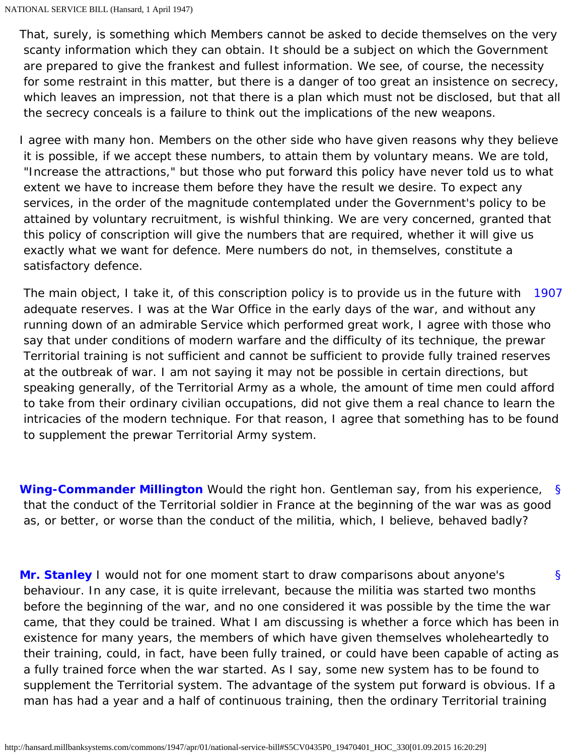That, surely, is something which Members cannot be asked to decide themselves on the very scanty information which they can obtain. It should be a subject on which the Government are prepared to give the frankest and fullest information. We see, of course, the necessity for some restraint in this matter, but there is a danger of too great an insistence on secrecy, which leaves an impression, not that there is a plan which must not be disclosed, but that all the secrecy conceals is a failure to think out the implications of the new weapons.

I agree with many hon. Members on the other side who have given reasons why they believe it is possible, if we accept these numbers, to attain them by voluntary means. We are told, "Increase the attractions," but those who put forward this policy have never told us to what extent we have to increase them before they have the result we desire. To expect any services, in the order of the magnitude contemplated under the Government's policy to be attained by voluntary recruitment, is wishful thinking. We are very concerned, granted that this policy of conscription will give the numbers that are required, whether it will give us exactly what we want for defence. Mere numbers do not, in themselves, constitute a satisfactory defence.

<span id="page-41-0"></span>[1907](#page-41-0) The main object, I take it, of this conscription policy is to provide us in the future with adequate reserves. I was at the War Office in the early days of the war, and without any running down of an admirable Service which performed great work, I agree with those who say that under conditions of modern warfare and the difficulty of its technique, the prewar Territorial training is not sufficient and cannot be sufficient to provide fully trained reserves at the outbreak of war. I am not saying it may not be possible in certain directions, but speaking generally, of the Territorial Army as a whole, the amount of time men could afford to take from their ordinary civilian occupations, did not give them a real chance to learn the intricacies of the modern technique. For that reason, I agree that something has to be found to supplement the prewar Territorial Army system.

<span id="page-41-1"></span>[§](#page-41-1) **[Wing-Commander Millington](http://hansard.millbanksystems.com/people/wing-commander-ernest-millington)** Would the right hon. Gentleman say, from his experience, that the conduct of the Territorial soldier in France at the beginning of the war was as good as, or better, or worse than the conduct of the militia, which, I believe, behaved badly?

<span id="page-41-2"></span>[§](#page-41-2) **[Mr. Stanley](http://hansard.millbanksystems.com/people/hon-oliver-stanley)** I would not for one moment start to draw comparisons about anyone's behaviour. In any case, it is quite irrelevant, because the militia was started two months before the beginning of the war, and no one considered it was possible by the time the war came, that they could be trained. What I am discussing is whether a force which has been in existence for many years, the members of which have given themselves wholeheartedly to their training, could, in fact, have been fully trained, or could have been capable of acting as a fully trained force when the war started. As I say, some new system has to be found to supplement the Territorial system. The advantage of the system put forward is obvious. If a man has had a year and a half of continuous training, then the ordinary Territorial training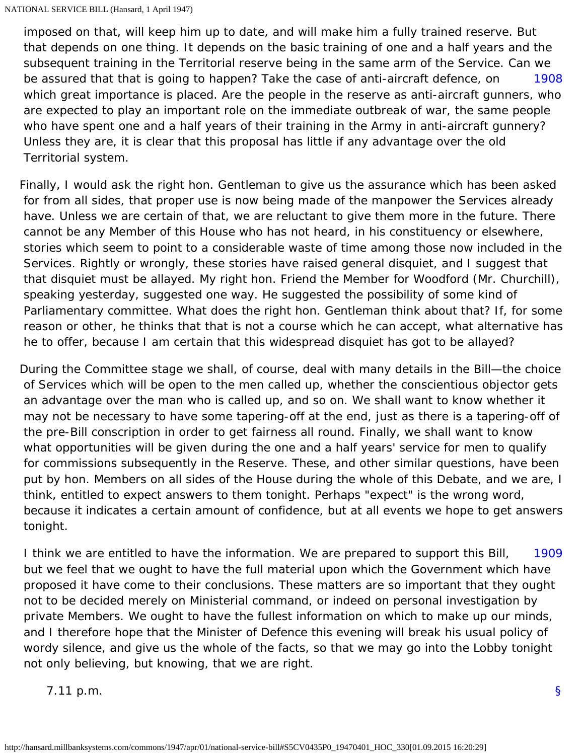<span id="page-42-0"></span>[1908](#page-42-0) imposed on that, will keep him up to date, and will make him a fully trained reserve. But that depends on one thing. It depends on the basic training of one and a half years and the subsequent training in the Territorial reserve being in the same arm of the Service. Can we be assured that that is going to happen? Take the case of anti-aircraft defence, on which great importance is placed. Are the people in the reserve as anti-aircraft gunners, who are expected to play an important role on the immediate outbreak of war, the same people who have spent one and a half years of their training in the Army in anti-aircraft gunnery? Unless they are, it is clear that this proposal has little if any advantage over the old Territorial system.

Finally, I would ask the right hon. Gentleman to give us the assurance which has been asked for from all sides, that proper use is now being made of the manpower the Services already have. Unless we are certain of that, we are reluctant to give them more in the future. There cannot be any Member of this House who has not heard, in his constituency or elsewhere, stories which seem to point to a considerable waste of time among those now included in the Services. Rightly or wrongly, these stories have raised general disquiet, and I suggest that that disquiet must be allayed. My right hon. Friend the Member for Woodford (Mr. Churchill), speaking yesterday, suggested one way. He suggested the possibility of some kind of Parliamentary committee. What does the right hon. Gentleman think about that? If, for some reason or other, he thinks that that is not a course which he can accept, what alternative has he to offer, because I am certain that this widespread disquiet has got to be allayed?

During the Committee stage we shall, of course, deal with many details in the Bill—the choice of Services which will be open to the men called up, whether the conscientious objector gets an advantage over the man who is called up, and so on. We shall want to know whether it may not be necessary to have some tapering-off at the end, just as there is a tapering-off of the pre-Bill conscription in order to get fairness all round. Finally, we shall want to know what opportunities will be given during the one and a half years' service for men to qualify for commissions subsequently in the Reserve. These, and other similar questions, have been put by hon. Members on all sides of the House during the whole of this Debate, and we are, I think, entitled to expect answers to them tonight. Perhaps "expect" is the wrong word, because it indicates a certain amount of confidence, but at all events we hope to get answers tonight.

<span id="page-42-1"></span>[1909](#page-42-1) I think we are entitled to have the information. We are prepared to support this Bill, but we feel that we ought to have the full material upon which the Government which have proposed it have come to their conclusions. These matters are so important that they ought not to be decided merely on Ministerial command, or indeed on personal investigation by private Members. We ought to have the fullest information on which to make up our minds, and I therefore hope that the Minister of Defence this evening will break his usual policy of wordy silence, and give us the whole of the facts, so that we may go into the Lobby tonight not only believing, but knowing, that we are right.

7.11 p.m.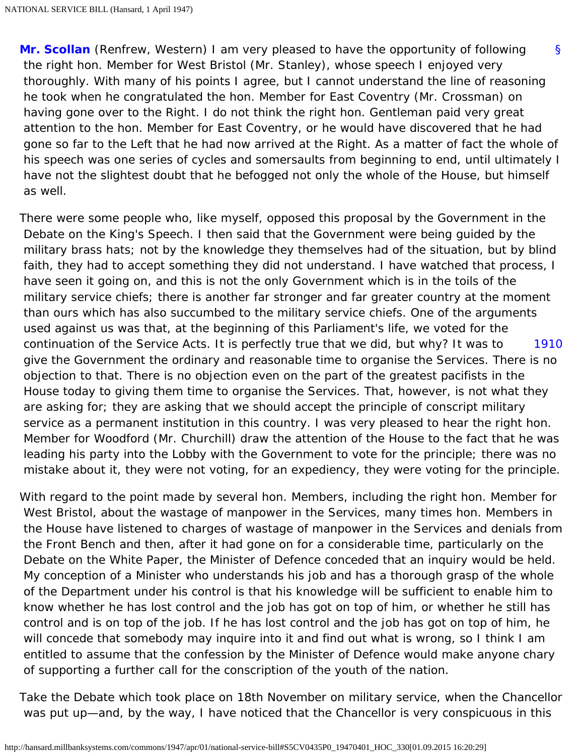[§](#page-0-0) **[Mr. Scollan](http://hansard.millbanksystems.com/people/mr-thomas-scollan)** (Renfrew, Western) I am very pleased to have the opportunity of following the right hon. Member for West Bristol (Mr. Stanley), whose speech I enjoyed very thoroughly. With many of his points I agree, but I cannot understand the line of reasoning he took when he congratulated the hon. Member for East Coventry (Mr. Crossman) on having gone over to the Right. I do not think the right hon. Gentleman paid very great attention to the hon. Member for East Coventry, or he would have discovered that he had gone so far to the Left that he had now arrived at the Right. As a matter of fact the whole of his speech was one series of cycles and somersaults from beginning to end, until ultimately I have not the slightest doubt that he befogged not only the whole of the House, but himself as well.

<span id="page-43-0"></span>[1910](#page-43-0) There were some people who, like myself, opposed this proposal by the Government in the Debate on the King's Speech. I then said that the Government were being guided by the military brass hats; not by the knowledge they themselves had of the situation, but by blind faith, they had to accept something they did not understand. I have watched that process, I have seen it going on, and this is not the only Government which is in the toils of the military service chiefs; there is another far stronger and far greater country at the moment than ours which has also succumbed to the military service chiefs. One of the arguments used against us was that, at the beginning of this Parliament's life, we voted for the continuation of the Service Acts. It is perfectly true that we did, but why? It was to give the Government the ordinary and reasonable time to organise the Services. There is no objection to that. There is no objection even on the part of the greatest pacifists in the House today to giving them time to organise the Services. That, however, is not what they are asking for; they are asking that we should accept the principle of conscript military service as a permanent institution in this country. I was very pleased to hear the right hon. Member for Woodford (Mr. Churchill) draw the attention of the House to the fact that he was leading his party into the Lobby with the Government to vote for the principle; there was no mistake about it, they were not voting, for an expediency, they were voting for the principle.

With regard to the point made by several hon. Members, including the right hon. Member for West Bristol, about the wastage of manpower in the Services, many times hon. Members in the House have listened to charges of wastage of manpower in the Services and denials from the Front Bench and then, after it had gone on for a considerable time, particularly on the Debate on the White Paper, the Minister of Defence conceded that an inquiry would be held. My conception of a Minister who understands his job and has a thorough grasp of the whole of the Department under his control is that his knowledge will be sufficient to enable him to know whether he has lost control and the job has got on top of him, or whether he still has control and is on top of the job. If he has lost control and the job has got on top of him, he will concede that somebody may inquire into it and find out what is wrong, so I think I am entitled to assume that the confession by the Minister of Defence would make anyone chary of supporting a further call for the conscription of the youth of the nation.

Take the Debate which took place on 18th November on military service, when the Chancellor was put up—and, by the way, I have noticed that the Chancellor is very conspicuous in this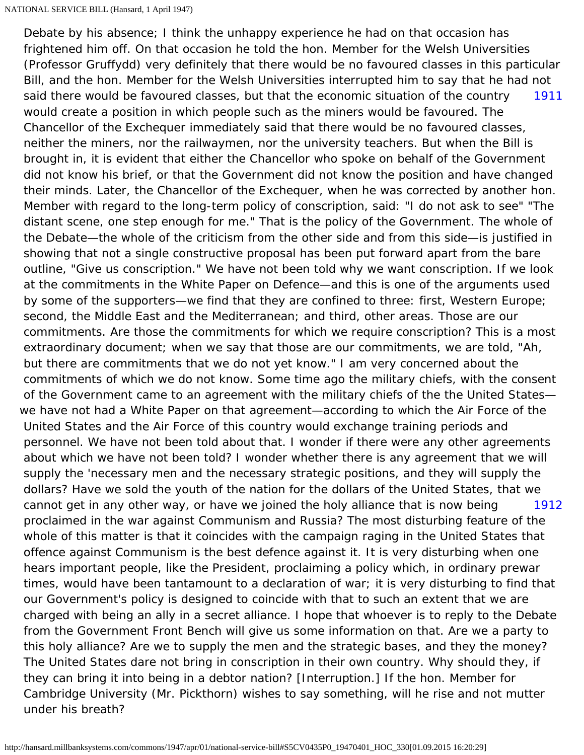<span id="page-44-1"></span><span id="page-44-0"></span>[1911](#page-44-0) [1912](#page-44-1) Debate by his absence; I think the unhappy experience he had on that occasion has frightened him off. On that occasion he told the hon. Member for the Welsh Universities (Professor Gruffydd) very definitely that there would be no favoured classes in this particular Bill, and the hon. Member for the Welsh Universities interrupted him to say that he had not said there would be favoured classes, but that the economic situation of the country would create a position in which people such as the miners would be favoured. The Chancellor of the Exchequer immediately said that there would be no favoured classes, neither the miners, nor the railwaymen, nor the university teachers. But when the Bill is brought in, it is evident that either the Chancellor who spoke on behalf of the Government did not know his brief, or that the Government did not know the position and have changed their minds. Later, the Chancellor of the Exchequer, when he was corrected by another hon. Member with regard to the long-term policy of conscription, said: "I do not ask to see" "The distant scene, one step enough for me." That is the policy of the Government. The whole of the Debate—the whole of the criticism from the other side and from this side—is justified in showing that not a single constructive proposal has been put forward apart from the bare outline, "Give us conscription." We have not been told why we want conscription. If we look at the commitments in the White Paper on Defence—and this is one of the arguments used by some of the supporters—we find that they are confined to three: first, Western Europe; second, the Middle East and the Mediterranean; and third, other areas. Those are our commitments. Are those the commitments for which we require conscription? This is a most extraordinary document; when we say that those are our commitments, we are told, "Ah, but there are commitments that we do not yet know." I am very concerned about the commitments of which we do not know. Some time ago the military chiefs, with the consent of the Government came to an agreement with the military chiefs of the the United States we have not had a White Paper on that agreement—according to which the Air Force of the United States and the Air Force of this country would exchange training periods and personnel. We have not been told about that. I wonder if there were any other agreements about which we have not been told? I wonder whether there is any agreement that we will supply the 'necessary men and the necessary strategic positions, and they will supply the dollars? Have we sold the youth of the nation for the dollars of the United States, that we cannot get in any other way, or have we joined the holy alliance that is now being proclaimed in the war against Communism and Russia? The most disturbing feature of the whole of this matter is that it coincides with the campaign raging in the United States that offence against Communism is the best defence against it. It is very disturbing when one hears important people, like the President, proclaiming a policy which, in ordinary prewar times, would have been tantamount to a declaration of war; it is very disturbing to find that our Government's policy is designed to coincide with that to such an extent that we are charged with being an ally in a secret alliance. I hope that whoever is to reply to the Debate from the Government Front Bench will give us some information on that. Are we a party to this holy alliance? Are we to supply the men and the strategic bases, and they the money? The United States dare not bring in conscription in their own country. Why should they, if they can bring it into being in a debtor nation? [Interruption.] If the hon. Member for Cambridge University (Mr. Pickthorn) wishes to say something, will he rise and not mutter under his breath?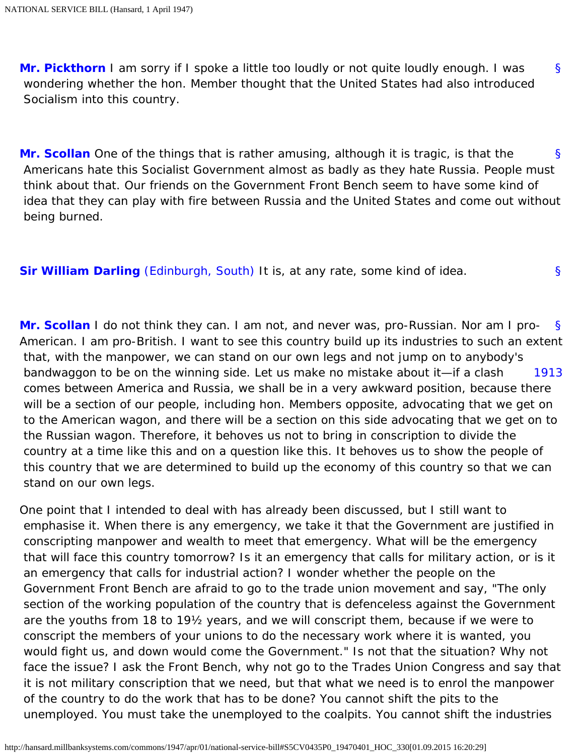<span id="page-45-0"></span>[§](#page-45-0) **[Mr. Pickthorn](http://hansard.millbanksystems.com/people/sir-kenneth-pickthorn)** I am sorry if I spoke a little too loudly or not quite loudly enough. I was wondering whether the hon. Member thought that the United States had also introduced Socialism into this country.

<span id="page-45-1"></span>[§](#page-45-1) **[Mr. Scollan](http://hansard.millbanksystems.com/people/mr-thomas-scollan)** One of the things that is rather amusing, although it is tragic, is that the Americans hate this Socialist Government almost as badly as they hate Russia. People must think about that. Our friends on the Government Front Bench seem to have some kind of idea that they can play with fire between Russia and the United States and come out without being burned.

<span id="page-45-2"></span>[§](#page-45-2) **[Sir William Darling](http://hansard.millbanksystems.com/people/sir-william-darling)** [\(Edinburgh, South\)](http://hansard.millbanksystems.com/constituencies/edinburgh-south) It is, at any rate, some kind of idea.

<span id="page-45-4"></span><span id="page-45-3"></span>[§](#page-45-3) [1913](#page-45-4) **[Mr. Scollan](http://hansard.millbanksystems.com/people/mr-thomas-scollan)** I do not think they can. I am not, and never was, pro-Russian. Nor am I pro-American. I am pro-British. I want to see this country build up its industries to such an extent that, with the manpower, we can stand on our own legs and not jump on to anybody's bandwaggon to be on the winning side. Let us make no mistake about it—if a clash comes between America and Russia, we shall be in a very awkward position, because there will be a section of our people, including hon. Members opposite, advocating that we get on to the American wagon, and there will be a section on this side advocating that we get on to the Russian wagon. Therefore, it behoves us not to bring in conscription to divide the country at a time like this and on a question like this. It behoves us to show the people of this country that we are determined to build up the economy of this country so that we can stand on our own legs.

One point that I intended to deal with has already been discussed, but I still want to emphasise it. When there is any emergency, we take it that the Government are justified in conscripting manpower and wealth to meet that emergency. What will be the emergency that will face this country tomorrow? Is it an emergency that calls for military action, or is it an emergency that calls for industrial action? I wonder whether the people on the Government Front Bench are afraid to go to the trade union movement and say, "The only section of the working population of the country that is defenceless against the Government are the youths from 18 to 19½ years, and we will conscript them, because if we were to conscript the members of your unions to do the necessary work where it is wanted, you would fight us, and down would come the Government." Is not that the situation? Why not face the issue? I ask the Front Bench, why not go to the Trades Union Congress and say that it is not military conscription that we need, but that what we need is to enrol the manpower of the country to do the work that has to be done? You cannot shift the pits to the unemployed. You must take the unemployed to the coalpits. You cannot shift the industries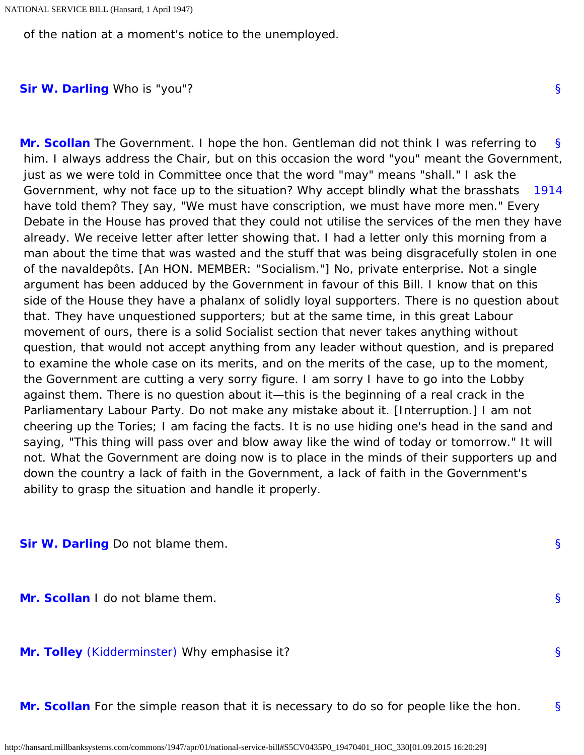<span id="page-46-0"></span>of the nation at a moment's notice to the unemployed.

<span id="page-46-1"></span>**[Sir W. Darling](http://hansard.millbanksystems.com/people/sir-william-darling)** Who is "you"?

<span id="page-46-2"></span>[§](#page-46-1) [1914](#page-46-2) **[Mr. Scollan](http://hansard.millbanksystems.com/people/mr-thomas-scollan)** The Government. I hope the hon. Gentleman did not think I was referring to him. I always address the Chair, but on this occasion the word "you" meant the Government, just as we were told in Committee once that the word "may" means "shall." I ask the Government, why not face up to the situation? Why accept blindly what the brasshats have told them? They say, "We must have conscription, we must have more men." Every Debate in the House has proved that they could not utilise the services of the men they have already. We receive letter after letter showing that. I had a letter only this morning from a man about the time that was wasted and the stuff that was being disgracefully stolen in one of the navaldepôts. [An HON. MEMBER: "Socialism."] No, private enterprise. Not a single argument has been adduced by the Government in favour of this Bill. I know that on this side of the House they have a phalanx of solidly loyal supporters. There is no question about that. They have unquestioned supporters; but at the same time, in this great Labour movement of ours, there is a solid Socialist section that never takes anything without question, that would not accept anything from any leader without question, and is prepared to examine the whole case on its merits, and on the merits of the case, up to the moment, the Government are cutting a very sorry figure. I am sorry I have to go into the Lobby against them. There is no question about it—this is the beginning of a real crack in the Parliamentary Labour Party. Do not make any mistake about it. [Interruption.] I am not cheering up the Tories; I am facing the facts. It is no use hiding one's head in the sand and saying, "This thing will pass over and blow away like the wind of today or tomorrow." It will not. What the Government are doing now is to place in the minds of their supporters up and down the country a lack of faith in the Government, a lack of faith in the Government's ability to grasp the situation and handle it properly.

<span id="page-46-4"></span><span id="page-46-3"></span>**[Sir W. Darling](http://hansard.millbanksystems.com/people/sir-william-darling)** Do not blame them.

<span id="page-46-5"></span>**[Mr. Scollan](http://hansard.millbanksystems.com/people/mr-thomas-scollan)** I do not blame them.

<span id="page-46-6"></span>**[Mr. Tolley](http://hansard.millbanksystems.com/people/mr-louis-tolley)** [\(Kidderminster\)](http://hansard.millbanksystems.com/constituencies/kidderminster) Why emphasise it?

[§](#page-46-6) **[Mr. Scollan](http://hansard.millbanksystems.com/people/mr-thomas-scollan)** For the simple reason that it is necessary to do so for people like the hon.

[§](#page-46-3)

[§](#page-46-4)

[§](#page-46-5)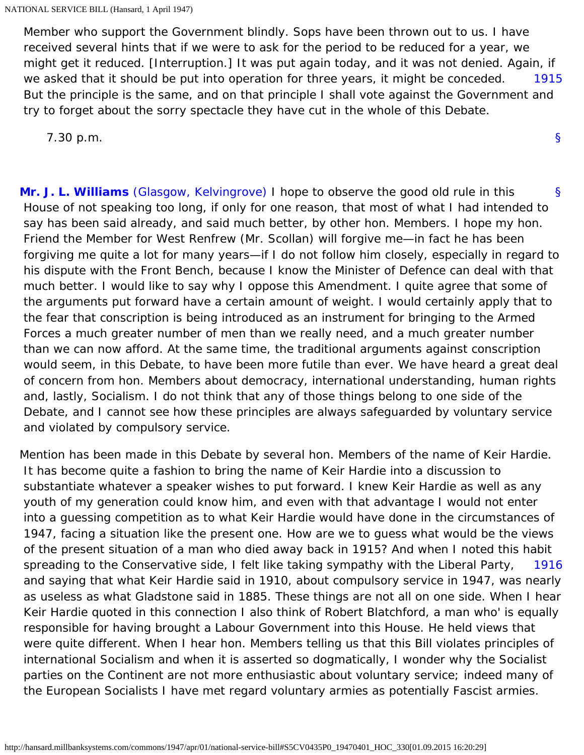<span id="page-47-0"></span>[1915](#page-47-0) Member who support the Government blindly. Sops have been thrown out to us. I have received several hints that if we were to ask for the period to be reduced for a year, we might get it reduced. [Interruption.] It was put again today, and it was not denied. Again, if we asked that it should be put into operation for three years, it might be conceded. But the principle is the same, and on that principle I shall vote against the Government and try to forget about the sorry spectacle they have cut in the whole of this Debate.

[§](#page-0-0)

7.30 p.m.

<span id="page-47-1"></span>[§](#page-47-1) **[Mr. J. L. Williams](http://hansard.millbanksystems.com/people/mr-john-williams-4)** [\(Glasgow, Kelvingrove\)](http://hansard.millbanksystems.com/constituencies/glasgow-kelvingrove) I hope to observe the good old rule in this House of not speaking too long, if only for one reason, that most of what I had intended to say has been said already, and said much better, by other hon. Members. I hope my hon. Friend the Member for West Renfrew (Mr. Scollan) will forgive me—in fact he has been forgiving me quite a lot for many years—if I do not follow him closely, especially in regard to his dispute with the Front Bench, because I know the Minister of Defence can deal with that much better. I would like to say why I oppose this Amendment. I quite agree that some of the arguments put forward have a certain amount of weight. I would certainly apply that to the fear that conscription is being introduced as an instrument for bringing to the Armed Forces a much greater number of men than we really need, and a much greater number than we can now afford. At the same time, the traditional arguments against conscription would seem, in this Debate, to have been more futile than ever. We have heard a great deal of concern from hon. Members about democracy, international understanding, human rights and, lastly, Socialism. I do not think that any of those things belong to one side of the Debate, and I cannot see how these principles are always safeguarded by voluntary service and violated by compulsory service.

<span id="page-47-2"></span>[1916](#page-47-2) Mention has been made in this Debate by several hon. Members of the name of Keir Hardie. It has become quite a fashion to bring the name of Keir Hardie into a discussion to substantiate whatever a speaker wishes to put forward. I knew Keir Hardie as well as any youth of my generation could know him, and even with that advantage I would not enter into a guessing competition as to what Keir Hardie would have done in the circumstances of 1947, facing a situation like the present one. How are we to guess what would be the views of the present situation of a man who died away back in 1915? And when I noted this habit spreading to the Conservative side, I felt like taking sympathy with the Liberal Party, and saying that what Keir Hardie said in 1910, about compulsory service in 1947, was nearly as useless as what Gladstone said in 1885. These things are not all on one side. When I hear Keir Hardie quoted in this connection I also think of Robert Blatchford, a man who' is equally responsible for having brought a Labour Government into this House. He held views that were quite different. When I hear hon. Members telling us that this Bill violates principles of international Socialism and when it is asserted so dogmatically, I wonder why the Socialist parties on the Continent are not more enthusiastic about voluntary service; indeed many of the European Socialists I have met regard voluntary armies as potentially Fascist armies.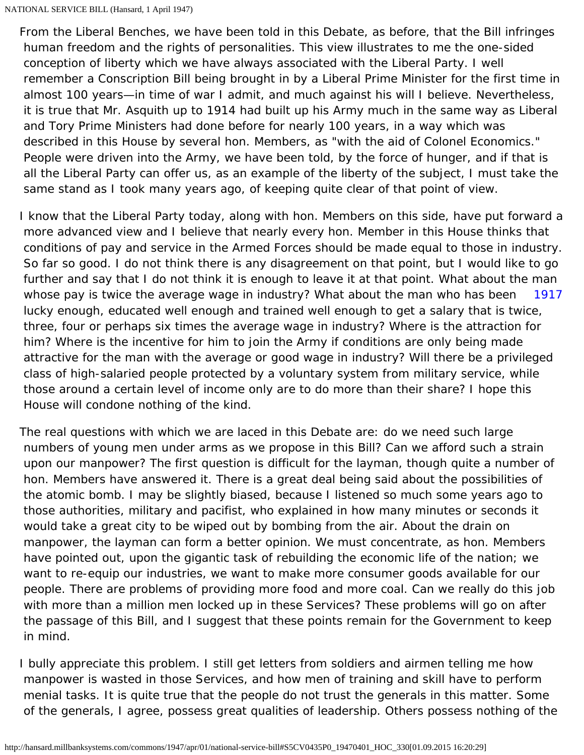From the Liberal Benches, we have been told in this Debate, as before, that the Bill infringes human freedom and the rights of personalities. This view illustrates to me the one-sided conception of liberty which we have always associated with the Liberal Party. I well remember a Conscription Bill being brought in by a Liberal Prime Minister for the first time in almost 100 years—in time of war I admit, and much against his will I believe. Nevertheless, it is true that Mr. Asquith up to 1914 had built up his Army much in the same way as Liberal and Tory Prime Ministers had done before for nearly 100 years, in a way which was described in this House by several hon. Members, as "with the aid of Colonel Economics." People were driven into the Army, we have been told, by the force of hunger, and if that is all the Liberal Party can offer us, as an example of the liberty of the subject, I must take the same stand as I took many years ago, of keeping quite clear of that point of view.

<span id="page-48-0"></span>[1917](#page-48-0) I know that the Liberal Party today, along with hon. Members on this side, have put forward a more advanced view and I believe that nearly every hon. Member in this House thinks that conditions of pay and service in the Armed Forces should be made equal to those in industry. So far so good. I do not think there is any disagreement on that point, but I would like to go further and say that I do not think it is enough to leave it at that point. What about the man whose pay is twice the average wage in industry? What about the man who has been lucky enough, educated well enough and trained well enough to get a salary that is twice, three, four or perhaps six times the average wage in industry? Where is the attraction for him? Where is the incentive for him to join the Army if conditions are only being made attractive for the man with the average or good wage in industry? Will there be a privileged class of high-salaried people protected by a voluntary system from military service, while those around a certain level of income only are to do more than their share? I hope this House will condone nothing of the kind.

The real questions with which we are laced in this Debate are: do we need such large numbers of young men under arms as we propose in this Bill? Can we afford such a strain upon our manpower? The first question is difficult for the layman, though quite a number of hon. Members have answered it. There is a great deal being said about the possibilities of the atomic bomb. I may be slightly biased, because I listened so much some years ago to those authorities, military and pacifist, who explained in how many minutes or seconds it would take a great city to be wiped out by bombing from the air. About the drain on manpower, the layman can form a better opinion. We must concentrate, as hon. Members have pointed out, upon the gigantic task of rebuilding the economic life of the nation; we want to re-equip our industries, we want to make more consumer goods available for our people. There are problems of providing more food and more coal. Can we really do this job with more than a million men locked up in these Services? These problems will go on after the passage of this Bill, and I suggest that these points remain for the Government to keep in mind.

I bully appreciate this problem. I still get letters from soldiers and airmen telling me how manpower is wasted in those Services, and how men of training and skill have to perform menial tasks. It is quite true that the people do not trust the generals in this matter. Some of the generals, I agree, possess great qualities of leadership. Others possess nothing of the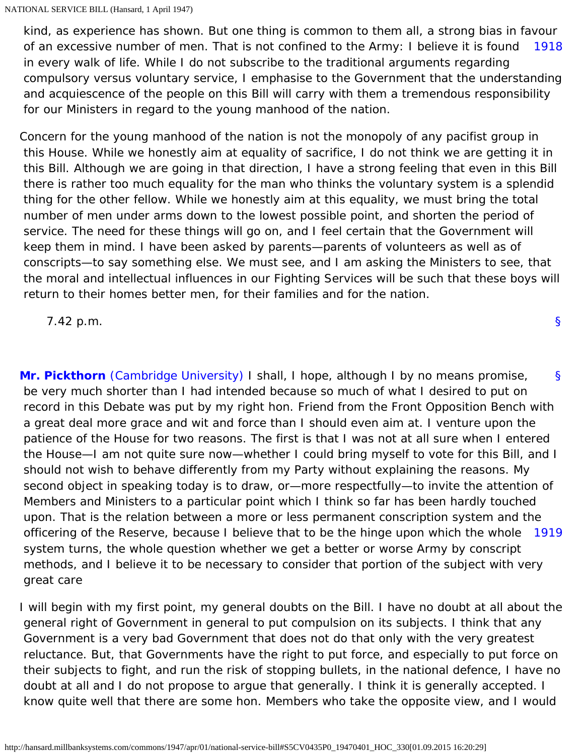<span id="page-49-0"></span>[1918](#page-49-0) kind, as experience has shown. But one thing is common to them all, a strong bias in favour of an excessive number of men. That is not confined to the Army: I believe it is found in every walk of life. While I do not subscribe to the traditional arguments regarding compulsory versus voluntary service, I emphasise to the Government that the understanding and acquiescence of the people on this Bill will carry with them a tremendous responsibility for our Ministers in regard to the young manhood of the nation.

Concern for the young manhood of the nation is not the monopoly of any pacifist group in this House. While we honestly aim at equality of sacrifice, I do not think we are getting it in this Bill. Although we are going in that direction, I have a strong feeling that even in this Bill there is rather too much equality for the man who thinks the voluntary system is a splendid thing for the other fellow. While we honestly aim at this equality, we must bring the total number of men under arms down to the lowest possible point, and shorten the period of service. The need for these things will go on, and I feel certain that the Government will keep them in mind. I have been asked by parents—parents of volunteers as well as of conscripts—to say something else. We must see, and I am asking the Ministers to see, that the moral and intellectual influences in our Fighting Services will be such that these boys will return to their homes better men, for their families and for the nation.

7.42 p.m.

<span id="page-49-1"></span>[§](#page-49-1) [1919](#page-49-2) **[Mr. Pickthorn](http://hansard.millbanksystems.com/people/sir-kenneth-pickthorn)** [\(Cambridge University\)](http://hansard.millbanksystems.com/constituencies/cambridge-university) I shall, I hope, although I by no means promise, be very much shorter than I had intended because so much of what I desired to put on record in this Debate was put by my right hon. Friend from the Front Opposition Bench with a great deal more grace and wit and force than I should even aim at. I venture upon the patience of the House for two reasons. The first is that I was not at all sure when I entered the House—I am not quite sure now—whether I could bring myself to vote for this Bill, and I should not wish to behave differently from my Party without explaining the reasons. My second object in speaking today is to draw, or—more respectfully—to invite the attention of Members and Ministers to a particular point which I think so far has been hardly touched upon. That is the relation between a more or less permanent conscription system and the officering of the Reserve, because I believe that to be the hinge upon which the whole system turns, the whole question whether we get a better or worse Army by conscript methods, and I believe it to be necessary to consider that portion of the subject with very great care

<span id="page-49-2"></span>I will begin with my first point, my general doubts on the Bill. I have no doubt at all about the general right of Government in general to put compulsion on its subjects. I think that any Government is a very bad Government that does not do that only with the very greatest reluctance. But, that Governments have the right to put force, and especially to put force on their subjects to fight, and run the risk of stopping bullets, in the national defence, I have no doubt at all and I do not propose to argue that generally. I think it is generally accepted. I know quite well that there are some hon. Members who take the opposite view, and I would

[§](#page-0-0)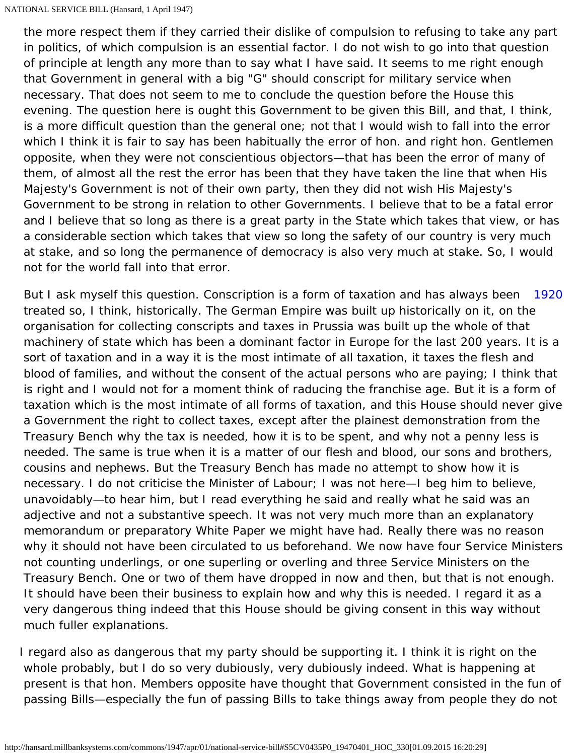the more respect them if they carried their dislike of compulsion to refusing to take any part in politics, of which compulsion is an essential factor. I do not wish to go into that question of principle at length any more than to say what I have said. It seems to me right enough that Government in general with a big "G" should conscript for military service when necessary. That does not seem to me to conclude the question before the House this evening. The question here is ought this Government to be given this Bill, and that, I think, is a more difficult question than the general one; not that I would wish to fall into the error which I think it is fair to say has been habitually the error of hon. and right hon. Gentlemen opposite, when they were not conscientious objectors—that has been the error of many of them, of almost all the rest the error has been that they have taken the line that when His Majesty's Government is not of their own party, then they did not wish His Majesty's Government to be strong in relation to other Governments. I believe that to be a fatal error and I believe that so long as there is a great party in the State which takes that view, or has a considerable section which takes that view so long the safety of our country is very much at stake, and so long the permanence of democracy is also very much at stake. So, I would not for the world fall into that error.

<span id="page-50-0"></span>[1920](#page-50-0) But I ask myself this question. Conscription is a form of taxation and has always been treated so, I think, historically. The German Empire was built up historically on it, on the organisation for collecting conscripts and taxes in Prussia was built up the whole of that machinery of state which has been a dominant factor in Europe for the last 200 years. It is a sort of taxation and in a way it is the most intimate of all taxation, it taxes the flesh and blood of families, and without the consent of the actual persons who are paying; I think that is right and I would not for a moment think of raducing the franchise age. But it is a form of taxation which is the most intimate of all forms of taxation, and this House should never give a Government the right to collect taxes, except after the plainest demonstration from the Treasury Bench why the tax is needed, how it is to be spent, and why not a penny less is needed. The same is true when it is a matter of our flesh and blood, our sons and brothers, cousins and nephews. But the Treasury Bench has made no attempt to show how it is necessary. I do not criticise the Minister of Labour; I was not here—I beg him to believe, unavoidably—to hear him, but I read everything he said and really what he said was an adjective and not a substantive speech. It was not very much more than an explanatory memorandum or preparatory White Paper we might have had. Really there was no reason why it should not have been circulated to us beforehand. We now have four Service Ministers not counting underlings, or one superling or overling and three Service Ministers on the Treasury Bench. One or two of them have dropped in now and then, but that is not enough. It should have been their business to explain how and why this is needed. I regard it as a very dangerous thing indeed that this House should be giving consent in this way without much fuller explanations.

I regard also as dangerous that my party should be supporting it. I think it is right on the whole probably, but I do so very dubiously, very dubiously indeed. What is happening at present is that hon. Members opposite have thought that Government consisted in the fun of passing Bills—especially the fun of passing Bills to take things away from people they do not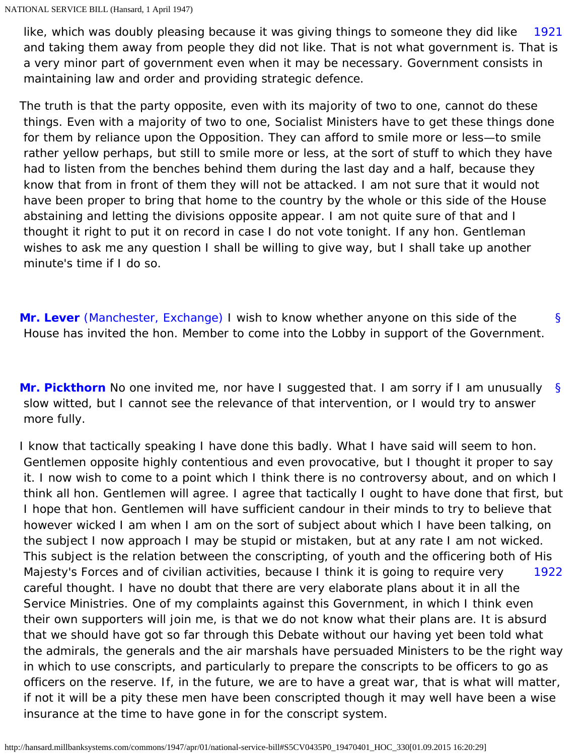<span id="page-51-0"></span>[1921](#page-51-0) like, which was doubly pleasing because it was giving things to someone they did like and taking them away from people they did not like. That is not what government is. That is a very minor part of government even when it may be necessary. Government consists in maintaining law and order and providing strategic defence.

The truth is that the party opposite, even with its majority of two to one, cannot do these things. Even with a majority of two to one, Socialist Ministers have to get these things done for them by reliance upon the Opposition. They can afford to smile more or less—to smile rather yellow perhaps, but still to smile more or less, at the sort of stuff to which they have had to listen from the benches behind them during the last day and a half, because they know that from in front of them they will not be attacked. I am not sure that it would not have been proper to bring that home to the country by the whole or this side of the House abstaining and letting the divisions opposite appear. I am not quite sure of that and I thought it right to put it on record in case I do not vote tonight. If any hon. Gentleman wishes to ask me any question I shall be willing to give way, but I shall take up another minute's time if I do so.

<span id="page-51-1"></span>[§](#page-51-1) **[Mr. Lever](http://hansard.millbanksystems.com/people/mr-harold-lever)** [\(Manchester, Exchange\)](http://hansard.millbanksystems.com/constituencies/manchester-exchange) I wish to know whether anyone on this side of the House has invited the hon. Member to come into the Lobby in support of the Government.

<span id="page-51-2"></span>[§](#page-51-2) **[Mr. Pickthorn](http://hansard.millbanksystems.com/people/sir-kenneth-pickthorn)** No one invited me, nor have I suggested that. I am sorry if I am unusually slow witted, but I cannot see the relevance of that intervention, or I would try to answer more fully.

<span id="page-51-3"></span>[1922](#page-51-3) I know that tactically speaking I have done this badly. What I have said will seem to hon. Gentlemen opposite highly contentious and even provocative, but I thought it proper to say it. I now wish to come to a point which I think there is no controversy about, and on which I think all hon. Gentlemen will agree. I agree that tactically I ought to have done that first, but I hope that hon. Gentlemen will have sufficient candour in their minds to try to believe that however wicked I am when I am on the sort of subject about which I have been talking, on the subject I now approach I may be stupid or mistaken, but at any rate I am not wicked. This subject is the relation between the conscripting, of youth and the officering both of His Majesty's Forces and of civilian activities, because I think it is going to require very careful thought. I have no doubt that there are very elaborate plans about it in all the Service Ministries. One of my complaints against this Government, in which I think even their own supporters will join me, is that we do not know what their plans are. It is absurd that we should have got so far through this Debate without our having yet been told what the admirals, the generals and the air marshals have persuaded Ministers to be the right way in which to use conscripts, and particularly to prepare the conscripts to be officers to go as officers on the reserve. If, in the future, we are to have a great war, that is what will matter, if not it will be a pity these men have been conscripted though it may well have been a wise insurance at the time to have gone in for the conscript system.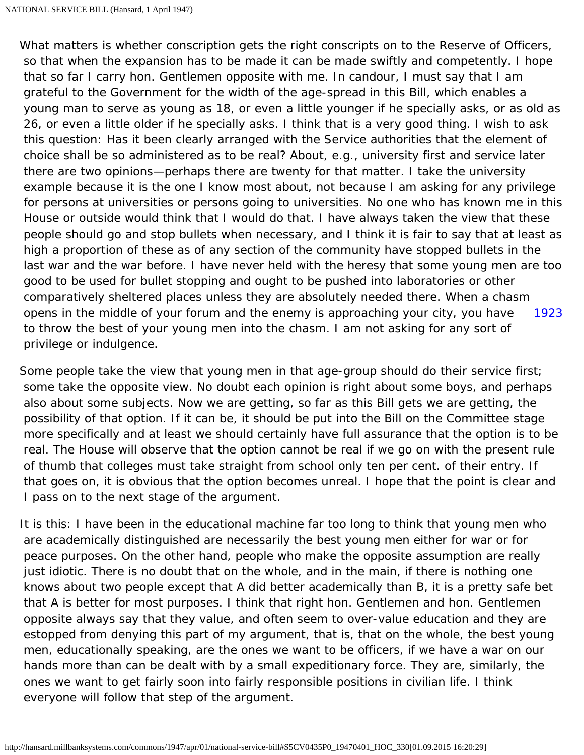[1923](#page-52-0) What matters is whether conscription gets the right conscripts on to the Reserve of Officers, so that when the expansion has to be made it can be made swiftly and competently. I hope that so far I carry hon. Gentlemen opposite with me. In candour, I must say that I am grateful to the Government for the width of the age-spread in this Bill, which enables a young man to serve as young as 18, or even a little younger if he specially asks, or as old as 26, or even a little older if he specially asks. I think that is a very good thing. I wish to ask this question: Has it been clearly arranged with the Service authorities that the element of choice shall be so administered as to be real? About, e.g., university first and service later there are two opinions—perhaps there are twenty for that matter. I take the university example because it is the one I know most about, not because I am asking for any privilege for persons at universities or persons going to universities. No one who has known me in this House or outside would think that I would do that. I have always taken the view that these people should go and stop bullets when necessary, and I think it is fair to say that at least as high a proportion of these as of any section of the community have stopped bullets in the last war and the war before. I have never held with the heresy that some young men are too good to be used for bullet stopping and ought to be pushed into laboratories or other comparatively sheltered places unless they are absolutely needed there. When a chasm opens in the middle of your forum and the enemy is approaching your city, you have to throw the best of your young men into the chasm. I am not asking for any sort of privilege or indulgence.

<span id="page-52-0"></span>Some people take the view that young men in that age-group should do their service first; some take the opposite view. No doubt each opinion is right about some boys, and perhaps also about some subjects. Now we are getting, so far as this Bill gets we are getting, the possibility of that option. If it can be, it should be put into the Bill on the Committee stage more specifically and at least we should certainly have full assurance that the option is to be real. The House will observe that the option cannot be real if we go on with the present rule of thumb that colleges must take straight from school only ten per cent. of their entry. If that goes on, it is obvious that the option becomes unreal. I hope that the point is clear and I pass on to the next stage of the argument.

It is this: I have been in the educational machine far too long to think that young men who are academically distinguished are necessarily the best young men either for war or for peace purposes. On the other hand, people who make the opposite assumption are really just idiotic. There is no doubt that on the whole, and in the main, if there is nothing one knows about two people except that A did better academically than B, it is a pretty safe bet that A is better for most purposes. I think that right hon. Gentlemen and hon. Gentlemen opposite always say that they value, and often seem to over-value education and they are estopped from denying this part of my argument, that is, that on the whole, the best young men, educationally speaking, are the ones we want to be officers, if we have a war on our hands more than can be dealt with by a small expeditionary force. They are, similarly, the ones we want to get fairly soon into fairly responsible positions in civilian life. I think everyone will follow that step of the argument.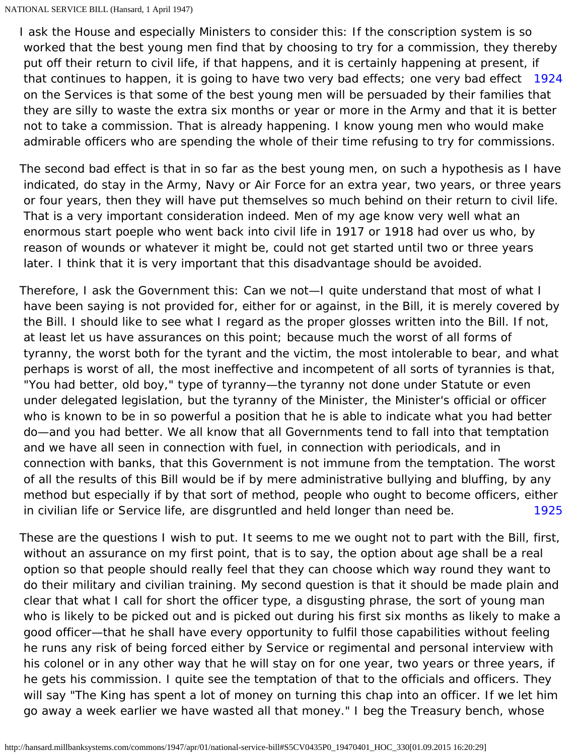<span id="page-53-0"></span>that continues to happen, it is going to have two very bad effects; one very bad effect [1924](#page-53-0) I ask the House and especially Ministers to consider this: If the conscription system is so worked that the best young men find that by choosing to try for a commission, they thereby put off their return to civil life, if that happens, and it is certainly happening at present, if on the Services is that some of the best young men will be persuaded by their families that they are silly to waste the extra six months or year or more in the Army and that it is better not to take a commission. That is already happening. I know young men who would make admirable officers who are spending the whole of their time refusing to try for commissions.

The second bad effect is that in so far as the best young men, on such a hypothesis as I have indicated, do stay in the Army, Navy or Air Force for an extra year, two years, or three years or four years, then they will have put themselves so much behind on their return to civil life. That is a very important consideration indeed. Men of my age know very well what an enormous start poeple who went back into civil life in 1917 or 1918 had over us who, by reason of wounds or whatever it might be, could not get started until two or three years later. I think that it is very important that this disadvantage should be avoided.

[1925](#page-53-1) Therefore, I ask the Government this: Can we not—I quite understand that most of what I have been saying is not provided for, either for or against, in the Bill, it is merely covered by the Bill. I should like to see what I regard as the proper glosses written into the Bill. If not, at least let us have assurances on this point; because much the worst of all forms of tyranny, the worst both for the tyrant and the victim, the most intolerable to bear, and what perhaps is worst of all, the most ineffective and incompetent of all sorts of tyrannies is that, "You had better, old boy," type of tyranny—the tyranny not done under Statute or even under delegated legislation, but the tyranny of the Minister, the Minister's official or officer who is known to be in so powerful a position that he is able to indicate what you had better do—and you had better. We all know that all Governments tend to fall into that temptation and we have all seen in connection with fuel, in connection with periodicals, and in connection with banks, that this Government is not immune from the temptation. The worst of all the results of this Bill would be if by mere administrative bullying and bluffing, by any method but especially if by that sort of method, people who ought to become officers, either in civilian life or Service life, are disgruntled and held longer than need be.

<span id="page-53-1"></span>These are the questions I wish to put. It seems to me we ought not to part with the Bill, first, without an assurance on my first point, that is to say, the option about age shall be a real option so that people should really feel that they can choose which way round they want to do their military and civilian training. My second question is that it should be made plain and clear that what I call for short the officer type, a disgusting phrase, the sort of young man who is likely to be picked out and is picked out during his first six months as likely to make a good officer—that he shall have every opportunity to fulfil those capabilities without feeling he runs any risk of being forced either by Service or regimental and personal interview with his colonel or in any other way that he will stay on for one year, two years or three years, if he gets his commission. I quite see the temptation of that to the officials and officers. They will say "The King has spent a lot of money on turning this chap into an officer. If we let him go away a week earlier we have wasted all that money." I beg the Treasury bench, whose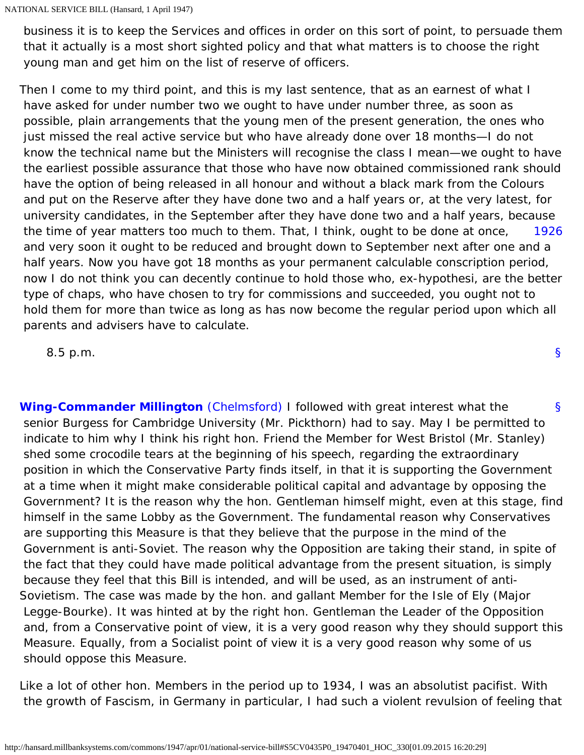business it is to keep the Services and offices in order on this sort of point, to persuade them that it actually is a most short sighted policy and that what matters is to choose the right young man and get him on the list of reserve of officers.

[1926](#page-54-0) Then I come to my third point, and this is my last sentence, that as an earnest of what I have asked for under number two we ought to have under number three, as soon as possible, plain arrangements that the young men of the present generation, the ones who just missed the real active service but who have already done over 18 months—I do not know the technical name but the Ministers will recognise the class I mean—we ought to have the earliest possible assurance that those who have now obtained commissioned rank should have the option of being released in all honour and without a black mark from the Colours and put on the Reserve after they have done two and a half years or, at the very latest, for university candidates, in the September after they have done two and a half years, because the time of year matters too much to them. That, I think, ought to be done at once, and very soon it ought to be reduced and brought down to September next after one and a half years. Now you have got 18 months as your permanent calculable conscription period, now I do not think you can decently continue to hold those who, ex-hypothesi, are the better type of chaps, who have chosen to try for commissions and succeeded, you ought not to hold them for more than twice as long as has now become the regular period upon which all parents and advisers have to calculate.

[§](#page-0-0)

<span id="page-54-0"></span>8.5 p.m.

<span id="page-54-1"></span>[§](#page-54-1) **[Wing-Commander Millington](http://hansard.millbanksystems.com/people/wing-commander-ernest-millington)** [\(Chelmsford\)](http://hansard.millbanksystems.com/constituencies/chelmsford) I followed with great interest what the senior Burgess for Cambridge University (Mr. Pickthorn) had to say. May I be permitted to indicate to him why I think his right hon. Friend the Member for West Bristol (Mr. Stanley) shed some crocodile tears at the beginning of his speech, regarding the extraordinary position in which the Conservative Party finds itself, in that it is supporting the Government at a time when it might make considerable political capital and advantage by opposing the Government? It is the reason why the hon. Gentleman himself might, even at this stage, find himself in the same Lobby as the Government. The fundamental reason why Conservatives are supporting this Measure is that they believe that the purpose in the mind of the Government is anti-Soviet. The reason why the Opposition are taking their stand, in spite of the fact that they could have made political advantage from the present situation, is simply because they feel that this Bill is intended, and will be used, as an instrument of anti-Sovietism. The case was made by the hon. and gallant Member for the Isle of Ely (Major Legge-Bourke). It was hinted at by the right hon. Gentleman the Leader of the Opposition and, from a Conservative point of view, it is a very good reason why they should support this Measure. Equally, from a Socialist point of view it is a very good reason why some of us should oppose this Measure.

Like a lot of other hon. Members in the period up to 1934, I was an absolutist pacifist. With the growth of Fascism, in Germany in particular, I had such a violent revulsion of feeling that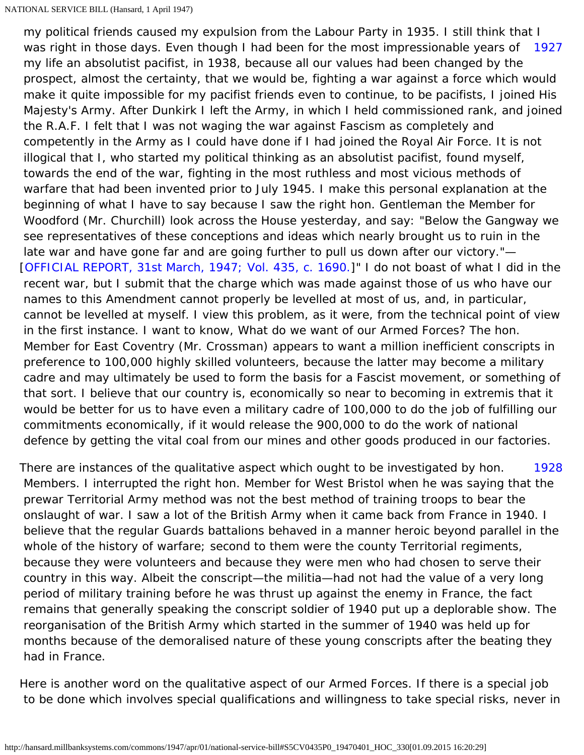<span id="page-55-0"></span>[1927](#page-55-0) my political friends caused my expulsion from the Labour Party in 1935. I still think that I was right in those days. Even though I had been for the most impressionable years of my life an absolutist pacifist, in 1938, because all our values had been changed by the prospect, almost the certainty, that we would be, fighting a war against a force which would make it quite impossible for my pacifist friends even to continue, to be pacifists, I joined His Majesty's Army. After Dunkirk I left the Army, in which I held commissioned rank, and joined the R.A.F. I felt that I was not waging the war against Fascism as completely and competently in the Army as I could have done if I had joined the Royal Air Force. It is not illogical that I, who started my political thinking as an absolutist pacifist, found myself, towards the end of the war, fighting in the most ruthless and most vicious methods of warfare that had been invented prior to July 1945. I make this personal explanation at the beginning of what I have to say because I saw the right hon. Gentleman the Member for Woodford (Mr. Churchill) look across the House yesterday, and say: "Below the Gangway we see representatives of these conceptions and ideas which nearly brought us to ruin in the late war and have gone far and are going further to pull us down after our victory."— [[OFFICIAL REPORT, 31st March, 1947; Vol. 435, c. 1690.](http://hansard.millbanksystems.com/commons/1947/mar/31/national-service-bill#column_1690)]" I do not boast of what I did in the recent war, but I submit that the charge which was made against those of us who have our names to this Amendment cannot properly be levelled at most of us, and, in particular, cannot be levelled at myself. I view this problem, as it were, from the technical point of view in the first instance. I want to know, What do we want of our Armed Forces? The hon. Member for East Coventry (Mr. Crossman) appears to want a million inefficient conscripts in preference to 100,000 highly skilled volunteers, because the latter may become a military cadre and may ultimately be used to form the basis for a Fascist movement, or something of that sort. I believe that our country is, economically so near to becoming in extremis that it would be better for us to have even a military cadre of 100,000 to do the job of fulfilling our commitments economically, if it would release the 900,000 to do the work of national defence by getting the vital coal from our mines and other goods produced in our factories.

<span id="page-55-1"></span>[1928](#page-55-1) There are instances of the qualitative aspect which ought to be investigated by hon. Members. I interrupted the right hon. Member for West Bristol when he was saying that the prewar Territorial Army method was not the best method of training troops to bear the onslaught of war. I saw a lot of the British Army when it came back from France in 1940. I believe that the regular Guards battalions behaved in a manner heroic beyond parallel in the whole of the history of warfare; second to them were the county Territorial regiments, because they were volunteers and because they were men who had chosen to serve their country in this way. Albeit the conscript—the militia—had not had the value of a very long period of military training before he was thrust up against the enemy in France, the fact remains that generally speaking the conscript soldier of 1940 put up a deplorable show. The reorganisation of the British Army which started in the summer of 1940 was held up for months because of the demoralised nature of these young conscripts after the beating they had in France.

Here is another word on the qualitative aspect of our Armed Forces. If there is a special job to be done which involves special qualifications and willingness to take special risks, never in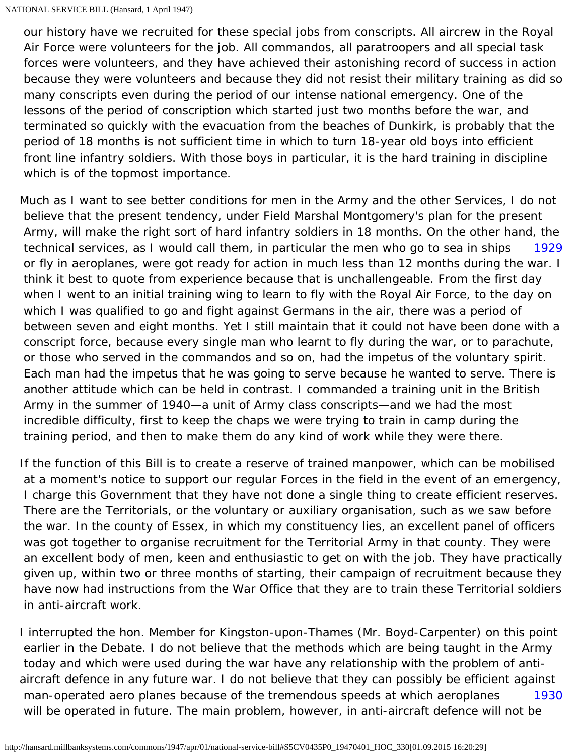our history have we recruited for these special jobs from conscripts. All aircrew in the Royal Air Force were volunteers for the job. All commandos, all paratroopers and all special task forces were volunteers, and they have achieved their astonishing record of success in action because they were volunteers and because they did not resist their military training as did so many conscripts even during the period of our intense national emergency. One of the lessons of the period of conscription which started just two months before the war, and terminated so quickly with the evacuation from the beaches of Dunkirk, is probably that the period of 18 months is not sufficient time in which to turn 18-year old boys into efficient front line infantry soldiers. With those boys in particular, it is the hard training in discipline which is of the topmost importance.

<span id="page-56-0"></span>[1929](#page-56-0) Much as I want to see better conditions for men in the Army and the other Services, I do not believe that the present tendency, under Field Marshal Montgomery's plan for the present Army, will make the right sort of hard infantry soldiers in 18 months. On the other hand, the technical services, as I would call them, in particular the men who go to sea in ships or fly in aeroplanes, were got ready for action in much less than 12 months during the war. I think it best to quote from experience because that is unchallengeable. From the first day when I went to an initial training wing to learn to fly with the Royal Air Force, to the day on which I was qualified to go and fight against Germans in the air, there was a period of between seven and eight months. Yet I still maintain that it could not have been done with a conscript force, because every single man who learnt to fly during the war, or to parachute, or those who served in the commandos and so on, had the impetus of the voluntary spirit. Each man had the impetus that he was going to serve because he wanted to serve. There is another attitude which can be held in contrast. I commanded a training unit in the British Army in the summer of 1940—a unit of Army class conscripts—and we had the most incredible difficulty, first to keep the chaps we were trying to train in camp during the training period, and then to make them do any kind of work while they were there.

If the function of this Bill is to create a reserve of trained manpower, which can be mobilised at a moment's notice to support our regular Forces in the field in the event of an emergency, I charge this Government that they have not done a single thing to create efficient reserves. There are the Territorials, or the voluntary or auxiliary organisation, such as we saw before the war. In the county of Essex, in which my constituency lies, an excellent panel of officers was got together to organise recruitment for the Territorial Army in that county. They were an excellent body of men, keen and enthusiastic to get on with the job. They have practically given up, within two or three months of starting, their campaign of recruitment because they have now had instructions from the War Office that they are to train these Territorial soldiers in anti-aircraft work.

<span id="page-56-1"></span>[1930](#page-56-1) I interrupted the hon. Member for Kingston-upon-Thames (Mr. Boyd-Carpenter) on this point earlier in the Debate. I do not believe that the methods which are being taught in the Army today and which were used during the war have any relationship with the problem of antiaircraft defence in any future war. I do not believe that they can possibly be efficient against man-operated aero planes because of the tremendous speeds at which aeroplanes will be operated in future. The main problem, however, in anti-aircraft defence will not be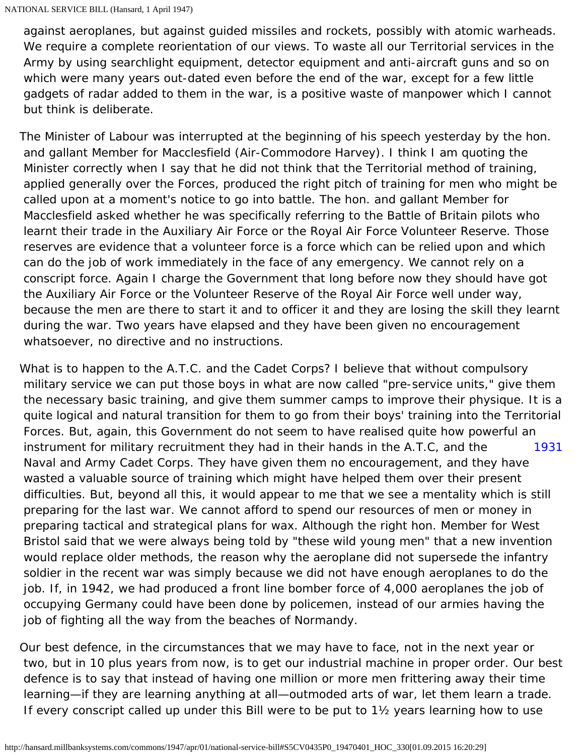against aeroplanes, but against guided missiles and rockets, possibly with atomic warheads. We require a complete reorientation of our views. To waste all our Territorial services in the Army by using searchlight equipment, detector equipment and anti-aircraft guns and so on which were many years out-dated even before the end of the war, except for a few little gadgets of radar added to them in the war, is a positive waste of manpower which I cannot but think is deliberate.

The Minister of Labour was interrupted at the beginning of his speech yesterday by the hon. and gallant Member for Macclesfield (Air-Commodore Harvey). I think I am quoting the Minister correctly when I say that he did not think that the Territorial method of training, applied generally over the Forces, produced the right pitch of training for men who might be called upon at a moment's notice to go into battle. The hon. and gallant Member for Macclesfield asked whether he was specifically referring to the Battle of Britain pilots who learnt their trade in the Auxiliary Air Force or the Royal Air Force Volunteer Reserve. Those reserves are evidence that a volunteer force is a force which can be relied upon and which can do the job of work immediately in the face of any emergency. We cannot rely on a conscript force. Again I charge the Government that long before now they should have got the Auxiliary Air Force or the Volunteer Reserve of the Royal Air Force well under way, because the men are there to start it and to officer it and they are losing the skill they learnt during the war. Two years have elapsed and they have been given no encouragement whatsoever, no directive and no instructions.

<span id="page-57-0"></span>[1931](#page-57-0) What is to happen to the A.T.C. and the Cadet Corps? I believe that without compulsory military service we can put those boys in what are now called "pre-service units," give them the necessary basic training, and give them summer camps to improve their physique. It is a quite logical and natural transition for them to go from their boys' training into the Territorial Forces. But, again, this Government do not seem to have realised quite how powerful an instrument for military recruitment they had in their hands in the A.T.C, and the Naval and Army Cadet Corps. They have given them no encouragement, and they have wasted a valuable source of training which might have helped them over their present difficulties. But, beyond all this, it would appear to me that we see a mentality which is still preparing for the last war. We cannot afford to spend our resources of men or money in preparing tactical and strategical plans for wax. Although the right hon. Member for West Bristol said that we were always being told by "these wild young men" that a new invention would replace older methods, the reason why the aeroplane did not supersede the infantry soldier in the recent war was simply because we did not have enough aeroplanes to do the job. If, in 1942, we had produced a front line bomber force of 4,000 aeroplanes the job of occupying Germany could have been done by policemen, instead of our armies having the job of fighting all the way from the beaches of Normandy.

Our best defence, in the circumstances that we may have to face, not in the next year or two, but in 10 plus years from now, is to get our industrial machine in proper order. Our best defence is to say that instead of having one million or more men frittering away their time learning—if they are learning anything at all—outmoded arts of war, let them learn a trade. If every conscript called up under this Bill were to be put to 1½ years learning how to use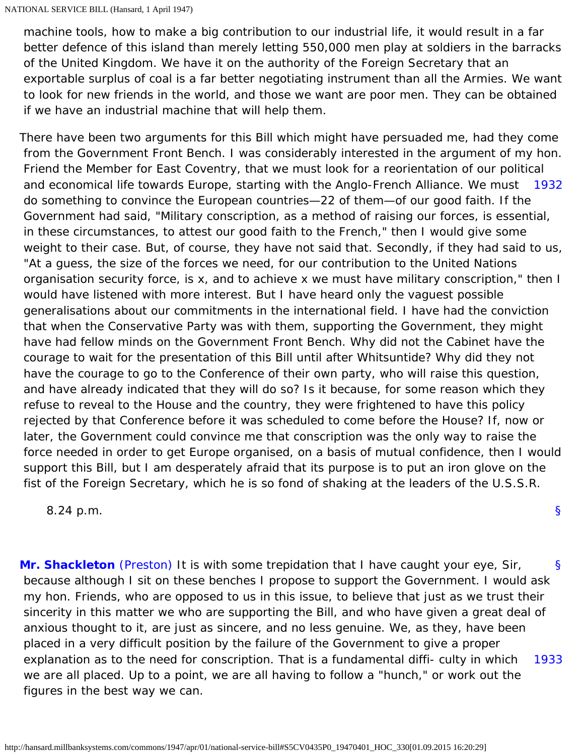machine tools, how to make a big contribution to our industrial life, it would result in a far better defence of this island than merely letting 550,000 men play at soldiers in the barracks of the United Kingdom. We have it on the authority of the Foreign Secretary that an exportable surplus of coal is a far better negotiating instrument than all the Armies. We want to look for new friends in the world, and those we want are poor men. They can be obtained if we have an industrial machine that will help them.

<span id="page-58-0"></span>and economical life towards Europe, starting with the Anglo-French Alliance. We must [1932](#page-58-0) There have been two arguments for this Bill which might have persuaded me, had they come from the Government Front Bench. I was considerably interested in the argument of my hon. Friend the Member for East Coventry, that we must look for a reorientation of our political do something to convince the European countries—22 of them—of our good faith. If the Government had said, "Military conscription, as a method of raising our forces, is essential, in these circumstances, to attest our good faith to the French," then I would give some weight to their case. But, of course, they have not said that. Secondly, if they had said to us, "At a guess, the size of the forces we need, for our contribution to the United Nations organisation security force, is x, and to achieve x we must have military conscription," then I would have listened with more interest. But I have heard only the vaguest possible generalisations about our commitments in the international field. I have had the conviction that when the Conservative Party was with them, supporting the Government, they might have had fellow minds on the Government Front Bench. Why did not the Cabinet have the courage to wait for the presentation of this Bill until after Whitsuntide? Why did they not have the courage to go to the Conference of their own party, who will raise this question, and have already indicated that they will do so? Is it because, for some reason which they refuse to reveal to the House and the country, they were frightened to have this policy rejected by that Conference before it was scheduled to come before the House? If, now or later, the Government could convince me that conscription was the only way to raise the force needed in order to get Europe organised, on a basis of mutual confidence, then I would support this Bill, but I am desperately afraid that its purpose is to put an iron glove on the fist of the Foreign Secretary, which he is so fond of shaking at the leaders of the U.S.S.R.

8.24 p.m.

<span id="page-58-2"></span><span id="page-58-1"></span>[§](#page-58-1) [1933](#page-58-2) **[Mr. Shackleton](http://hansard.millbanksystems.com/people/wing-commander-edward-shackleton)** [\(Preston\)](http://hansard.millbanksystems.com/constituencies/preston) It is with some trepidation that I have caught your eye, Sir, because although I sit on these benches I propose to support the Government. I would ask my hon. Friends, who are opposed to us in this issue, to believe that just as we trust their sincerity in this matter we who are supporting the Bill, and who have given a great deal of anxious thought to it, are just as sincere, and no less genuine. We, as they, have been placed in a very difficult position by the failure of the Government to give a proper explanation as to the need for conscription. That is a fundamental diffi- culty in which we are all placed. Up to a point, we are all having to follow a "hunch," or work out the figures in the best way we can.

[§](#page-0-0)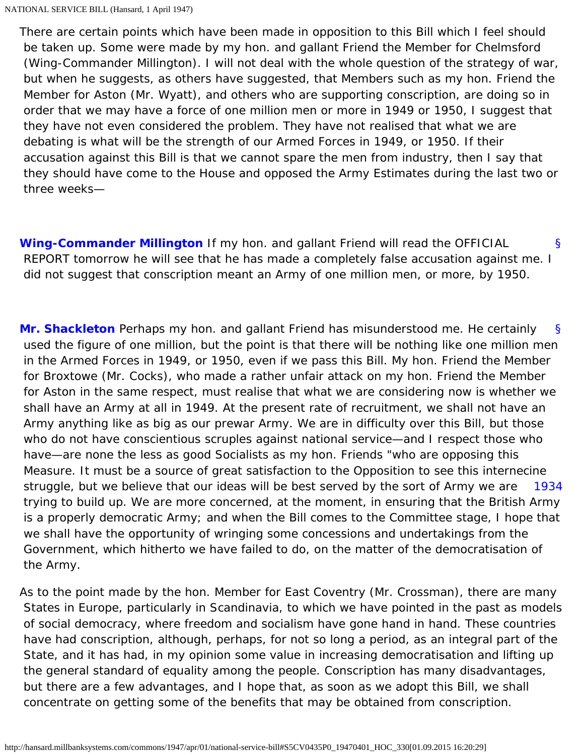There are certain points which have been made in opposition to this Bill which I feel should be taken up. Some were made by my hon. and gallant Friend the Member for Chelmsford (Wing-Commander Millington). I will not deal with the whole question of the strategy of war, but when he suggests, as others have suggested, that Members such as my hon. Friend the Member for Aston (Mr. Wyatt), and others who are supporting conscription, are doing so in order that we may have a force of one million men or more in 1949 or 1950, I suggest that they have not even considered the problem. They have not realised that what we are debating is what will be the strength of our Armed Forces in 1949, or 1950. If their accusation against this Bill is that we cannot spare the men from industry, then I say that they should have come to the House and opposed the Army Estimates during the last two or three weeks—

<span id="page-59-0"></span>[§](#page-59-0) **[Wing-Commander Millington](http://hansard.millbanksystems.com/people/wing-commander-ernest-millington)** If my hon. and gallant Friend will read the OFFICIAL REPORT tomorrow he will see that he has made a completely false accusation against me. I did not suggest that conscription meant an Army of one million men, or more, by 1950.

<span id="page-59-1"></span>[§](#page-59-1) [1934](#page-59-2) **[Mr. Shackleton](http://hansard.millbanksystems.com/people/wing-commander-edward-shackleton)** Perhaps my hon. and gallant Friend has misunderstood me. He certainly used the figure of one million, but the point is that there will be nothing like one million men in the Armed Forces in 1949, or 1950, even if we pass this Bill. My hon. Friend the Member for Broxtowe (Mr. Cocks), who made a rather unfair attack on my hon. Friend the Member for Aston in the same respect, must realise that what we are considering now is whether we shall have an Army at all in 1949. At the present rate of recruitment, we shall not have an Army anything like as big as our prewar Army. We are in difficulty over this Bill, but those who do not have conscientious scruples against national service—and I respect those who have—are none the less as good Socialists as my hon. Friends "who are opposing this Measure. It must be a source of great satisfaction to the Opposition to see this internecine struggle, but we believe that our ideas will be best served by the sort of Army we are trying to build up. We are more concerned, at the moment, in ensuring that the British Army is a properly democratic Army; and when the Bill comes to the Committee stage, I hope that we shall have the opportunity of wringing some concessions and undertakings from the Government, which hitherto we have failed to do, on the matter of the democratisation of the Army.

<span id="page-59-2"></span>As to the point made by the hon. Member for East Coventry (Mr. Crossman), there are many States in Europe, particularly in Scandinavia, to which we have pointed in the past as models of social democracy, where freedom and socialism have gone hand in hand. These countries have had conscription, although, perhaps, for not so long a period, as an integral part of the State, and it has had, in my opinion some value in increasing democratisation and lifting up the general standard of equality among the people. Conscription has many disadvantages, but there are a few advantages, and I hope that, as soon as we adopt this Bill, we shall concentrate on getting some of the benefits that may be obtained from conscription.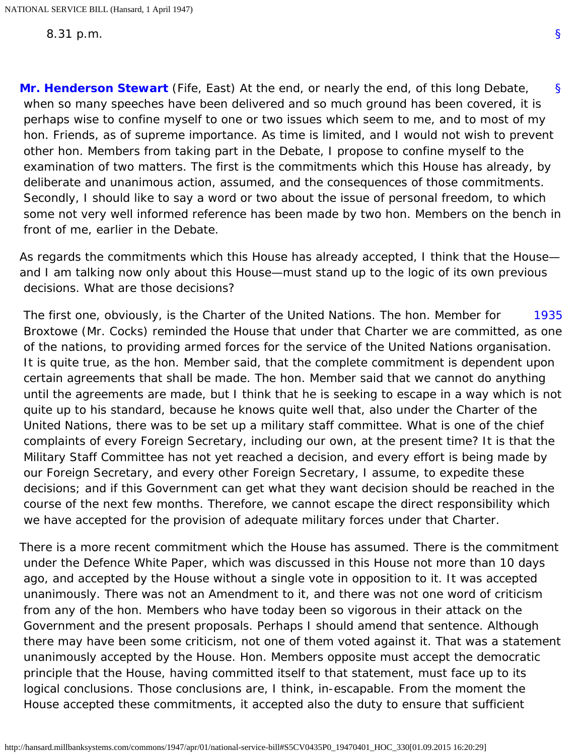<span id="page-60-0"></span>[§](#page-60-0) **[Mr. Henderson Stewart](http://hansard.millbanksystems.com/people/sir-james-henderson-stewart)** (Fife, East) At the end, or nearly the end, of this long Debate, when so many speeches have been delivered and so much ground has been covered, it is perhaps wise to confine myself to one or two issues which seem to me, and to most of my hon. Friends, as of supreme importance. As time is limited, and I would not wish to prevent other hon. Members from taking part in the Debate, I propose to confine myself to the examination of two matters. The first is the commitments which this House has already, by deliberate and unanimous action, assumed, and the consequences of those commitments. Secondly, I should like to say a word or two about the issue of personal freedom, to which some not very well informed reference has been made by two hon. Members on the bench in front of me, earlier in the Debate.

As regards the commitments which this House has already accepted, I think that the House and I am talking now only about this House—must stand up to the logic of its own previous decisions. What are those decisions?

<span id="page-60-1"></span>[1935](#page-60-1) The first one, obviously, is the Charter of the United Nations. The hon. Member for Broxtowe (Mr. Cocks) reminded the House that under that Charter we are committed, as one of the nations, to providing armed forces for the service of the United Nations organisation. It is quite true, as the hon. Member said, that the complete commitment is dependent upon certain agreements that shall be made. The hon. Member said that we cannot do anything until the agreements are made, but I think that he is seeking to escape in a way which is not quite up to his standard, because he knows quite well that, also under the Charter of the United Nations, there was to be set up a military staff committee. What is one of the chief complaints of every Foreign Secretary, including our own, at the present time? It is that the Military Staff Committee has not yet reached a decision, and every effort is being made by our Foreign Secretary, and every other Foreign Secretary, I assume, to expedite these decisions; and if this Government can get what they want decision should be reached in the course of the next few months. Therefore, we cannot escape the direct responsibility which we have accepted for the provision of adequate military forces under that Charter.

There is a more recent commitment which the House has assumed. There is the commitment under the Defence White Paper, which was discussed in this House not more than 10 days ago, and accepted by the House without a single vote in opposition to it. It was accepted unanimously. There was not an Amendment to it, and there was not one word of criticism from any of the hon. Members who have today been so vigorous in their attack on the Government and the present proposals. Perhaps I should amend that sentence. Although there may have been some criticism, not one of them voted against it. That was a statement unanimously accepted by the House. Hon. Members opposite must accept the democratic principle that the House, having committed itself to that statement, must face up to its logical conclusions. Those conclusions are, I think, in-escapable. From the moment the House accepted these commitments, it accepted also the duty to ensure that sufficient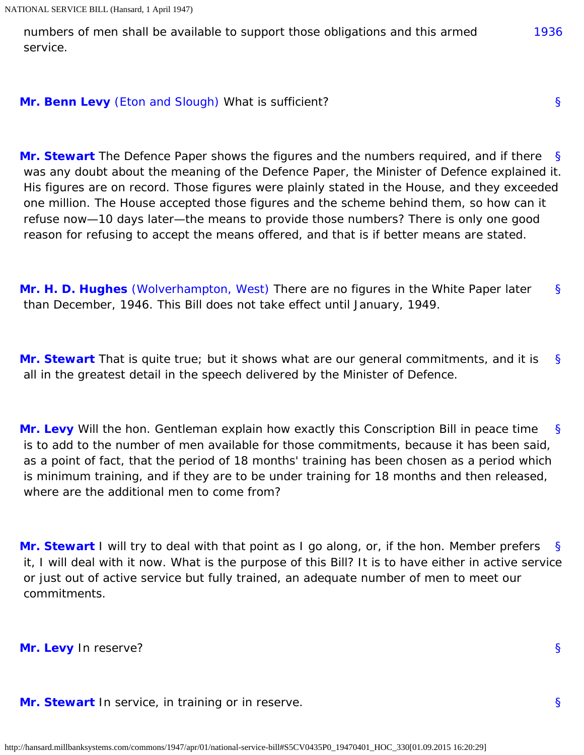<span id="page-61-0"></span> numbers of men shall be available to support those obligations and this armed service.

## <span id="page-61-1"></span>**[Mr. Benn Levy](http://hansard.millbanksystems.com/people/mr-benn-levy)** [\(Eton and Slough\)](http://hansard.millbanksystems.com/constituencies/eton-and-slough) What is sufficient?

<span id="page-61-2"></span>[§](#page-61-2) **[Mr. Stewart](http://hansard.millbanksystems.com/people/mr-michael-maitland-stewart)** The Defence Paper shows the figures and the numbers required, and if there was any doubt about the meaning of the Defence Paper, the Minister of Defence explained it. His figures are on record. Those figures were plainly stated in the House, and they exceeded one million. The House accepted those figures and the scheme behind them, so how can it refuse now—10 days later—the means to provide those numbers? There is only one good reason for refusing to accept the means offered, and that is if better means are stated.

<span id="page-61-3"></span>[§](#page-61-3) **[Mr. H. D. Hughes](http://hansard.millbanksystems.com/people/mr-herbert-hughes)** [\(Wolverhampton, West\)](http://hansard.millbanksystems.com/constituencies/wolverhampton-west) There are no figures in the White Paper later than December, 1946. This Bill does not take effect until January, 1949.

<span id="page-61-4"></span>[§](#page-61-4) **[Mr. Stewart](http://hansard.millbanksystems.com/people/mr-michael-maitland-stewart)** That is quite true; but it shows what are our general commitments, and it is all in the greatest detail in the speech delivered by the Minister of Defence.

<span id="page-61-5"></span>[§](#page-61-5) **[Mr. Levy](http://hansard.millbanksystems.com/people/mr-benn-levy)** Will the hon. Gentleman explain how exactly this Conscription Bill in peace time is to add to the number of men available for those commitments, because it has been said, as a point of fact, that the period of 18 months' training has been chosen as a period which is minimum training, and if they are to be under training for 18 months and then released, where are the additional men to come from?

<span id="page-61-6"></span>[§](#page-61-6) **[Mr. Stewart](http://hansard.millbanksystems.com/people/mr-michael-maitland-stewart)** I will try to deal with that point as I go along, or, if the hon. Member prefers it, I will deal with it now. What is the purpose of this Bill? It is to have either in active service or just out of active service but fully trained, an adequate number of men to meet our commitments.

<span id="page-61-7"></span>**[Mr. Levy](http://hansard.millbanksystems.com/people/mr-benn-levy)** In reserve?

<span id="page-61-8"></span>**[Mr. Stewart](http://hansard.millbanksystems.com/people/mr-michael-maitland-stewart)** In service, in training or in reserve.

[§](#page-61-7)

[§](#page-61-1)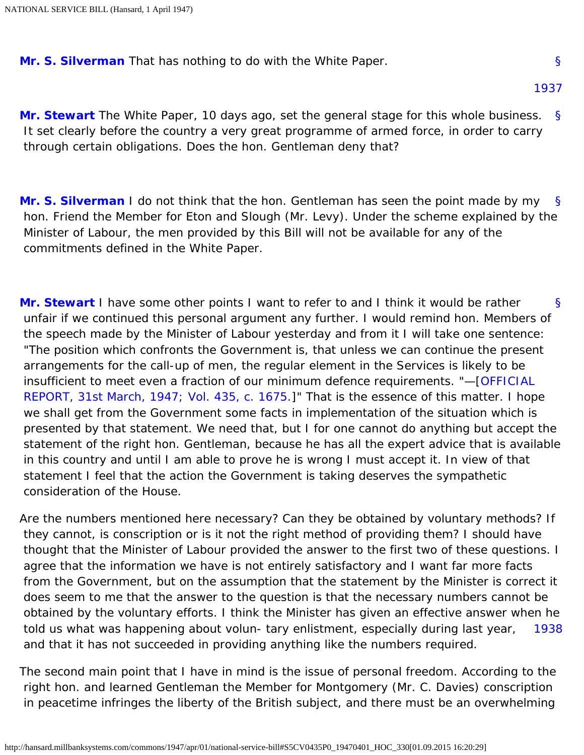<span id="page-62-5"></span><span id="page-62-0"></span>**[Mr. S. Silverman](http://hansard.millbanksystems.com/people/mr-samuel-silverman)** That has nothing to do with the White Paper.

<span id="page-62-1"></span>[§](#page-62-1) **[Mr. Stewart](http://hansard.millbanksystems.com/people/mr-michael-maitland-stewart)** The White Paper, 10 days ago, set the general stage for this whole business. It set clearly before the country a very great programme of armed force, in order to carry through certain obligations. Does the hon. Gentleman deny that?

<span id="page-62-2"></span>[§](#page-62-2) **[Mr. S. Silverman](http://hansard.millbanksystems.com/people/mr-samuel-silverman)** I do not think that the hon. Gentleman has seen the point made by my hon. Friend the Member for Eton and Slough (Mr. Levy). Under the scheme explained by the Minister of Labour, the men provided by this Bill will not be available for any of the commitments defined in the White Paper.

<span id="page-62-3"></span>[§](#page-62-3) **[Mr. Stewart](http://hansard.millbanksystems.com/people/mr-michael-maitland-stewart)** I have some other points I want to refer to and I think it would be rather unfair if we continued this personal argument any further. I would remind hon. Members of the speech made by the Minister of Labour yesterday and from it I will take one sentence: "The position which confronts the Government is, that unless we can continue the present arrangements for the call-up of men, the regular element in the Services is likely to be insufficient to meet even a fraction of our minimum defence requirements. "—[\[OFFICIAL](http://hansard.millbanksystems.com/commons/1947/mar/31/national-service-bill#column_1675)  [REPORT, 31st March, 1947; Vol. 435, c. 1675.\]](http://hansard.millbanksystems.com/commons/1947/mar/31/national-service-bill#column_1675)" That is the essence of this matter. I hope we shall get from the Government some facts in implementation of the situation which is presented by that statement. We need that, but I for one cannot do anything but accept the statement of the right hon. Gentleman, because he has all the expert advice that is available in this country and until I am able to prove he is wrong I must accept it. In view of that statement I feel that the action the Government is taking deserves the sympathetic consideration of the House.

[1938](#page-62-4) Are the numbers mentioned here necessary? Can they be obtained by voluntary methods? If they cannot, is conscription or is it not the right method of providing them? I should have thought that the Minister of Labour provided the answer to the first two of these questions. I agree that the information we have is not entirely satisfactory and I want far more facts from the Government, but on the assumption that the statement by the Minister is correct it does seem to me that the answer to the question is that the necessary numbers cannot be obtained by the voluntary efforts. I think the Minister has given an effective answer when he told us what was happening about volun- tary enlistment, especially during last year, and that it has not succeeded in providing anything like the numbers required.

<span id="page-62-4"></span>The second main point that I have in mind is the issue of personal freedom. According to the right hon. and learned Gentleman the Member for Montgomery (Mr. C. Davies) conscription in peacetime infringes the liberty of the British subject, and there must be an overwhelming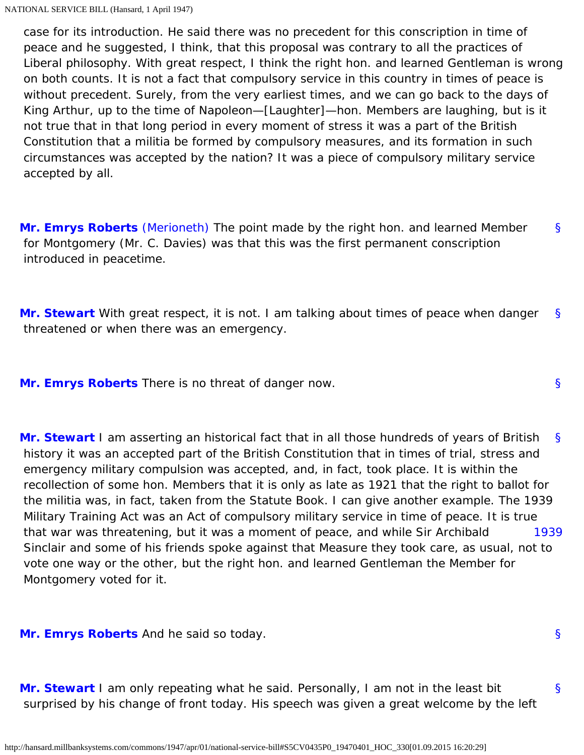case for its introduction. He said there was no precedent for this conscription in time of peace and he suggested, I think, that this proposal was contrary to all the practices of Liberal philosophy. With great respect, I think the right hon. and learned Gentleman is wrong on both counts. It is not a fact that compulsory service in this country in times of peace is without precedent. Surely, from the very earliest times, and we can go back to the days of King Arthur, up to the time of Napoleon—[Laughter]—hon. Members are laughing, but is it not true that in that long period in every moment of stress it was a part of the British Constitution that a militia be formed by compulsory measures, and its formation in such circumstances was accepted by the nation? It was a piece of compulsory military service accepted by all.

<span id="page-63-0"></span>[§](#page-63-0) **[Mr. Emrys Roberts](http://hansard.millbanksystems.com/people/mr-emrys-roberts)** [\(Merioneth\)](http://hansard.millbanksystems.com/constituencies/merionethshire) The point made by the right hon. and learned Member for Montgomery (Mr. C. Davies) was that this was the first permanent conscription introduced in peacetime.

<span id="page-63-1"></span>[§](#page-63-1) **[Mr. Stewart](http://hansard.millbanksystems.com/people/mr-michael-maitland-stewart)** With great respect, it is not. I am talking about times of peace when danger threatened or when there was an emergency.

<span id="page-63-3"></span><span id="page-63-2"></span>**[Mr. Emrys Roberts](http://hansard.millbanksystems.com/people/mr-emrys-roberts)** There is no threat of danger now.

<span id="page-63-4"></span>[§](#page-63-3) [1939](#page-63-4) **[Mr. Stewart](http://hansard.millbanksystems.com/people/mr-michael-maitland-stewart)** I am asserting an historical fact that in all those hundreds of years of British history it was an accepted part of the British Constitution that in times of trial, stress and emergency military compulsion was accepted, and, in fact, took place. It is within the recollection of some hon. Members that it is only as late as 1921 that the right to ballot for the militia was, in fact, taken from the Statute Book. I can give another example. The 1939 Military Training Act was an Act of compulsory military service in time of peace. It is true that war was threatening, but it was a moment of peace, and while Sir Archibald Sinclair and some of his friends spoke against that Measure they took care, as usual, not to vote one way or the other, but the right hon. and learned Gentleman the Member for Montgomery voted for it.

<span id="page-63-6"></span><span id="page-63-5"></span>**[Mr. Emrys Roberts](http://hansard.millbanksystems.com/people/mr-emrys-roberts)** And he said so today.

[§](#page-63-6) **[Mr. Stewart](http://hansard.millbanksystems.com/people/mr-michael-maitland-stewart)** I am only repeating what he said. Personally, I am not in the least bit surprised by his change of front today. His speech was given a great welcome by the left

[§](#page-63-5)

[§](#page-63-2)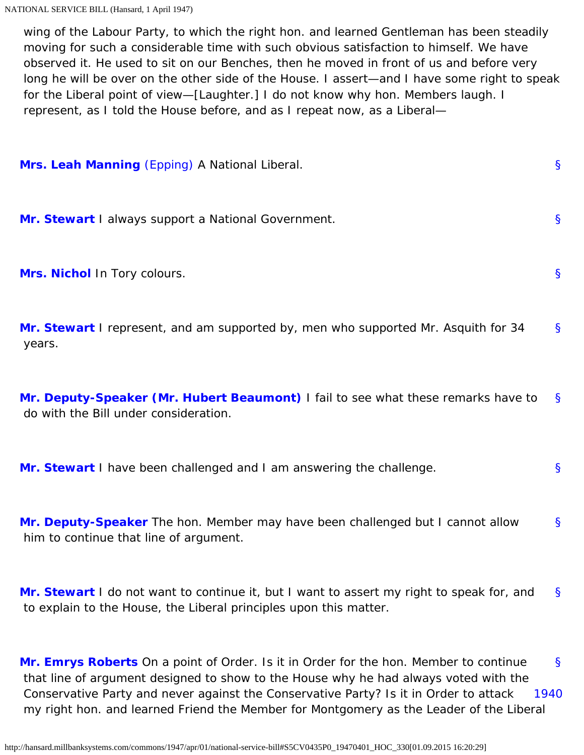wing of the Labour Party, to which the right hon. and learned Gentleman has been steadily moving for such a considerable time with such obvious satisfaction to himself. We have observed it. He used to sit on our Benches, then he moved in front of us and before very long he will be over on the other side of the House. I assert—and I have some right to speak for the Liberal point of view—[Laughter.] I do not know why hon. Members laugh. I represent, as I told the House before, and as I repeat now, as a Liberal—

<span id="page-64-3"></span><span id="page-64-2"></span><span id="page-64-1"></span><span id="page-64-0"></span>

| Mrs. Leah Manning (Epping) A National Liberal.                                                                             | Ş            |
|----------------------------------------------------------------------------------------------------------------------------|--------------|
| Mr. Stewart I always support a National Government.                                                                        | S            |
| Mrs. Nichol In Tory colours.                                                                                               | $\mathsf{S}$ |
| Mr. Stewart I represent, and am supported by, men who supported Mr. Asquith for 34<br>years.                               | $\mathbf{S}$ |
| Mr. Deputy-Speaker (Mr. Hubert Beaumont) I fail to see what these remarks have to<br>do with the Bill under consideration. | <sup>S</sup> |

<span id="page-64-6"></span><span id="page-64-5"></span><span id="page-64-4"></span>[§](#page-64-5) **[Mr. Stewart](http://hansard.millbanksystems.com/people/mr-michael-maitland-stewart)** I have been challenged and I am answering the challenge.

[§](#page-64-6) **[Mr. Deputy-Speaker](http://hansard.millbanksystems.com/people/mr-hubert-beaumont)** The hon. Member may have been challenged but I cannot allow him to continue that line of argument.

<span id="page-64-7"></span>[§](#page-64-7) **[Mr. Stewart](http://hansard.millbanksystems.com/people/mr-michael-maitland-stewart)** I do not want to continue it, but I want to assert my right to speak for, and to explain to the House, the Liberal principles upon this matter.

<span id="page-64-9"></span><span id="page-64-8"></span>[§](#page-64-8) [1940](#page-64-9) **[Mr. Emrys Roberts](http://hansard.millbanksystems.com/people/mr-emrys-roberts)** On a point of Order. Is it in Order for the hon. Member to continue that line of argument designed to show to the House why he had always voted with the Conservative Party and never against the Conservative Party? Is it in Order to attack my right hon. and learned Friend the Member for Montgomery as the Leader of the Liberal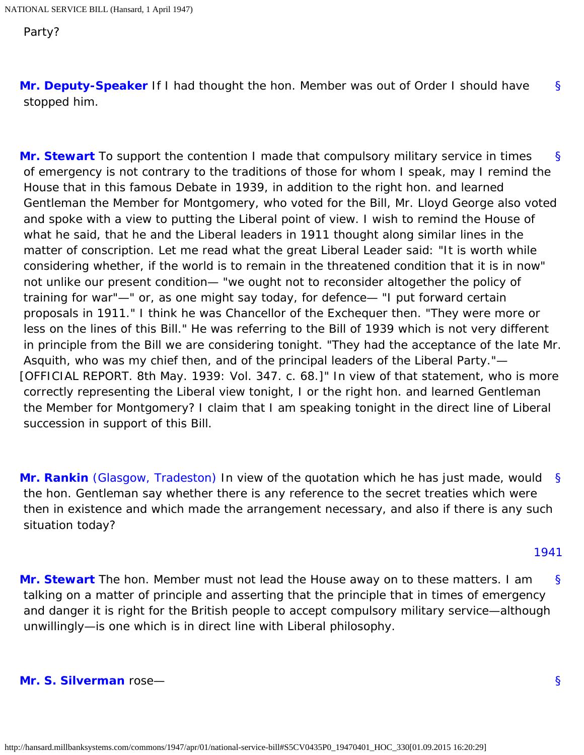Party?

<span id="page-65-0"></span>[§](#page-65-0) **[Mr. Deputy-Speaker](http://hansard.millbanksystems.com/people/mr-hubert-beaumont)** If I had thought the hon. Member was out of Order I should have stopped him.

<span id="page-65-1"></span>[§](#page-65-1) **[Mr. Stewart](http://hansard.millbanksystems.com/people/mr-michael-maitland-stewart)** To support the contention I made that compulsory military service in times of emergency is not contrary to the traditions of those for whom I speak, may I remind the House that in this famous Debate in 1939, in addition to the right hon. and learned Gentleman the Member for Montgomery, who voted for the Bill, Mr. Lloyd George also voted and spoke with a view to putting the Liberal point of view. I wish to remind the House of what he said, that he and the Liberal leaders in 1911 thought along similar lines in the matter of conscription. Let me read what the great Liberal Leader said: "It is worth while considering whether, if the world is to remain in the threatened condition that it is in now" not unlike our present condition— "we ought not to reconsider altogether the policy of training for war"—" or, as one might say today, for defence— "I put forward certain proposals in 1911." I think he was Chancellor of the Exchequer then. "They were more or less on the lines of this Bill." He was referring to the Bill of 1939 which is not very different in principle from the Bill we are considering tonight. "They had the acceptance of the late Mr. Asquith, who was my chief then, and of the principal leaders of the Liberal Party."— [OFFICIAL REPORT. 8th May. 1939: Vol. 347. c. 68.]" In view of that statement, who is more correctly representing the Liberal view tonight, I or the right hon. and learned Gentleman the Member for Montgomery? I claim that I am speaking tonight in the direct line of Liberal succession in support of this Bill.

<span id="page-65-2"></span>[§](#page-65-2) **[Mr. Rankin](http://hansard.millbanksystems.com/people/mr-jon-rankin)** [\(Glasgow, Tradeston\)](http://hansard.millbanksystems.com/constituencies/glasgow-tradeston) In view of the quotation which he has just made, would the hon. Gentleman say whether there is any reference to the secret treaties which were then in existence and which made the arrangement necessary, and also if there is any such situation today?

## [1941](#page-65-5)

<span id="page-65-5"></span><span id="page-65-3"></span>[§](#page-65-3) **[Mr. Stewart](http://hansard.millbanksystems.com/people/mr-michael-maitland-stewart)** The hon. Member must not lead the House away on to these matters. I am talking on a matter of principle and asserting that the principle that in times of emergency and danger it is right for the British people to accept compulsory military service—although unwillingly—is one which is in direct line with Liberal philosophy.

## <span id="page-65-6"></span><span id="page-65-4"></span>**[Mr. S. Silverman](http://hansard.millbanksystems.com/people/mr-samuel-silverman)** rose—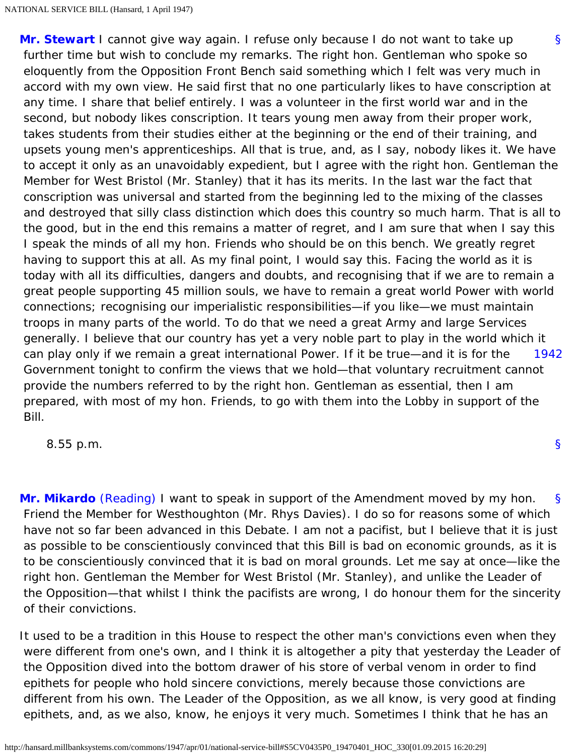[§](#page-65-6) [1942](#page-66-0) **[Mr. Stewart](http://hansard.millbanksystems.com/people/mr-michael-maitland-stewart)** I cannot give way again. I refuse only because I do not want to take up further time but wish to conclude my remarks. The right hon. Gentleman who spoke so eloquently from the Opposition Front Bench said something which I felt was very much in accord with my own view. He said first that no one particularly likes to have conscription at any time. I share that belief entirely. I was a volunteer in the first world war and in the second, but nobody likes conscription. It tears young men away from their proper work, takes students from their studies either at the beginning or the end of their training, and upsets young men's apprenticeships. All that is true, and, as I say, nobody likes it. We have to accept it only as an unavoidably expedient, but I agree with the right hon. Gentleman the Member for West Bristol (Mr. Stanley) that it has its merits. In the last war the fact that conscription was universal and started from the beginning led to the mixing of the classes and destroyed that silly class distinction which does this country so much harm. That is all to the good, but in the end this remains a matter of regret, and I am sure that when I say this I speak the minds of all my hon. Friends who should be on this bench. We greatly regret having to support this at all. As my final point, I would say this. Facing the world as it is today with all its difficulties, dangers and doubts, and recognising that if we are to remain a great people supporting 45 million souls, we have to remain a great world Power with world connections; recognising our imperialistic responsibilities—if you like—we must maintain troops in many parts of the world. To do that we need a great Army and large Services generally. I believe that our country has yet a very noble part to play in the world which it can play only if we remain a great international Power. If it be true—and it is for the Government tonight to confirm the views that we hold—that voluntary recruitment cannot provide the numbers referred to by the right hon. Gentleman as essential, then I am prepared, with most of my hon. Friends, to go with them into the Lobby in support of the Bill.

<span id="page-66-0"></span>8.55 p.m.

<span id="page-66-1"></span>[§](#page-66-1) **[Mr. Mikardo](http://hansard.millbanksystems.com/people/mr-ian-mikardo)** [\(Reading\)](http://hansard.millbanksystems.com/constituencies/reading) I want to speak in support of the Amendment moved by my hon. Friend the Member for Westhoughton (Mr. Rhys Davies). I do so for reasons some of which have not so far been advanced in this Debate. I am not a pacifist, but I believe that it is just as possible to be conscientiously convinced that this Bill is bad on economic grounds, as it is to be conscientiously convinced that it is bad on moral grounds. Let me say at once—like the right hon. Gentleman the Member for West Bristol (Mr. Stanley), and unlike the Leader of the Opposition—that whilst I think the pacifists are wrong, I do honour them for the sincerity of their convictions.

It used to be a tradition in this House to respect the other man's convictions even when they were different from one's own, and I think it is altogether a pity that yesterday the Leader of the Opposition dived into the bottom drawer of his store of verbal venom in order to find epithets for people who hold sincere convictions, merely because those convictions are different from his own. The Leader of the Opposition, as we all know, is very good at finding epithets, and, as we also, know, he enjoys it very much. Sometimes I think that he has an

[§](#page-0-0)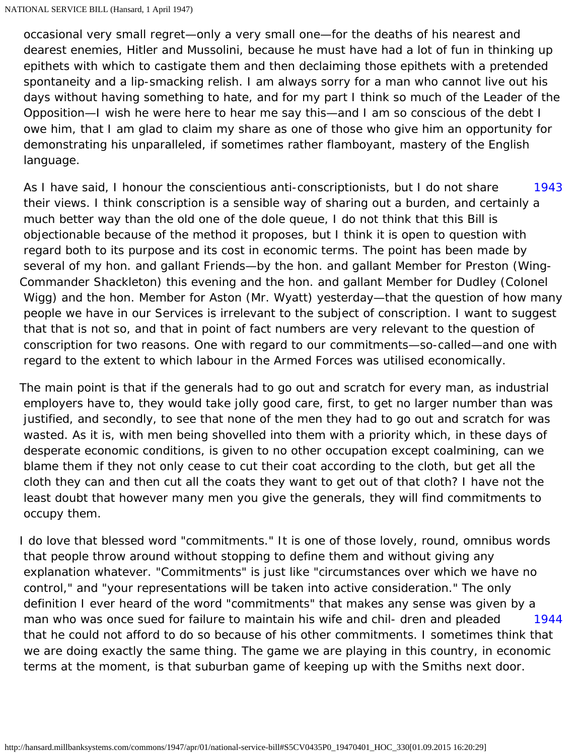occasional very small regret—only a very small one—for the deaths of his nearest and dearest enemies, Hitler and Mussolini, because he must have had a lot of fun in thinking up epithets with which to castigate them and then declaiming those epithets with a pretended spontaneity and a lip-smacking relish. I am always sorry for a man who cannot live out his days without having something to hate, and for my part I think so much of the Leader of the Opposition—I wish he were here to hear me say this—and I am so conscious of the debt I owe him, that I am glad to claim my share as one of those who give him an opportunity for demonstrating his unparalleled, if sometimes rather flamboyant, mastery of the English language.

<span id="page-67-0"></span>[1943](#page-67-0) As I have said, I honour the conscientious anti-conscriptionists, but I do not share their views. I think conscription is a sensible way of sharing out a burden, and certainly a much better way than the old one of the dole queue, I do not think that this Bill is objectionable because of the method it proposes, but I think it is open to question with regard both to its purpose and its cost in economic terms. The point has been made by several of my hon. and gallant Friends—by the hon. and gallant Member for Preston (Wing-Commander Shackleton) this evening and the hon. and gallant Member for Dudley (Colonel Wigg) and the hon. Member for Aston (Mr. Wyatt) yesterday—that the question of how many people we have in our Services is irrelevant to the subject of conscription. I want to suggest that that is not so, and that in point of fact numbers are very relevant to the question of conscription for two reasons. One with regard to our commitments—so-called—and one with regard to the extent to which labour in the Armed Forces was utilised economically.

The main point is that if the generals had to go out and scratch for every man, as industrial employers have to, they would take jolly good care, first, to get no larger number than was justified, and secondly, to see that none of the men they had to go out and scratch for was wasted. As it is, with men being shovelled into them with a priority which, in these days of desperate economic conditions, is given to no other occupation except coalmining, can we blame them if they not only cease to cut their coat according to the cloth, but get all the cloth they can and then cut all the coats they want to get out of that cloth? I have not the least doubt that however many men you give the generals, they will find commitments to occupy them.

<span id="page-67-2"></span><span id="page-67-1"></span>[1944](#page-67-1) I do love that blessed word "commitments." It is one of those lovely, round, omnibus words that people throw around without stopping to define them and without giving any explanation whatever. "Commitments" is just like "circumstances over which we have no control," and "your representations will be taken into active consideration." The only definition I ever heard of the word "commitments" that makes any sense was given by a man who was once sued for failure to maintain his wife and chil- dren and pleaded that he could not afford to do so because of his other commitments. I sometimes think that we are doing exactly the same thing. The game we are playing in this country, in economic terms at the moment, is that suburban game of keeping up with the Smiths next door.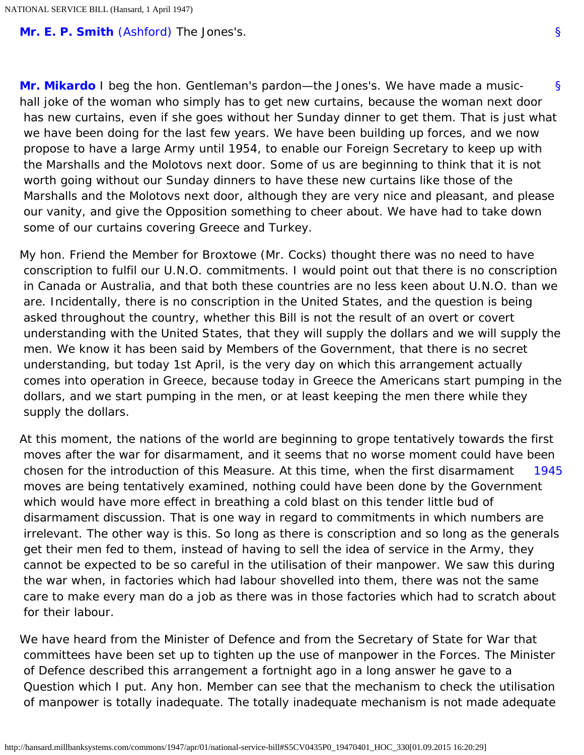<span id="page-68-0"></span>**[Mr. E. P. Smith](http://hansard.millbanksystems.com/people/mr-edward-smith)** [\(Ashford\)](http://hansard.millbanksystems.com/constituencies/ashford) The Jones's.

[§](#page-68-0) **[Mr. Mikardo](http://hansard.millbanksystems.com/people/mr-ian-mikardo)** I beg the hon. Gentleman's pardon—the Jones's. We have made a musichall joke of the woman who simply has to get new curtains, because the woman next door has new curtains, even if she goes without her Sunday dinner to get them. That is just what we have been doing for the last few years. We have been building up forces, and we now propose to have a large Army until 1954, to enable our Foreign Secretary to keep up with the Marshalls and the Molotovs next door. Some of us are beginning to think that it is not worth going without our Sunday dinners to have these new curtains like those of the Marshalls and the Molotovs next door, although they are very nice and pleasant, and please our vanity, and give the Opposition something to cheer about. We have had to take down some of our curtains covering Greece and Turkey.

My hon. Friend the Member for Broxtowe (Mr. Cocks) thought there was no need to have conscription to fulfil our U.N.O. commitments. I would point out that there is no conscription in Canada or Australia, and that both these countries are no less keen about U.N.O. than we are. Incidentally, there is no conscription in the United States, and the question is being asked throughout the country, whether this Bill is not the result of an overt or covert understanding with the United States, that they will supply the dollars and we will supply the men. We know it has been said by Members of the Government, that there is no secret understanding, but today 1st April, is the very day on which this arrangement actually comes into operation in Greece, because today in Greece the Americans start pumping in the dollars, and we start pumping in the men, or at least keeping the men there while they supply the dollars.

<span id="page-68-1"></span>[1945](#page-68-1) At this moment, the nations of the world are beginning to grope tentatively towards the first moves after the war for disarmament, and it seems that no worse moment could have been chosen for the introduction of this Measure. At this time, when the first disarmament moves are being tentatively examined, nothing could have been done by the Government which would have more effect in breathing a cold blast on this tender little bud of disarmament discussion. That is one way in regard to commitments in which numbers are irrelevant. The other way is this. So long as there is conscription and so long as the generals get their men fed to them, instead of having to sell the idea of service in the Army, they cannot be expected to be so careful in the utilisation of their manpower. We saw this during the war when, in factories which had labour shovelled into them, there was not the same care to make every man do a job as there was in those factories which had to scratch about for their labour.

We have heard from the Minister of Defence and from the Secretary of State for War that committees have been set up to tighten up the use of manpower in the Forces. The Minister of Defence described this arrangement a fortnight ago in a long answer he gave to a Question which I put. Any hon. Member can see that the mechanism to check the utilisation of manpower is totally inadequate. The totally inadequate mechanism is not made adequate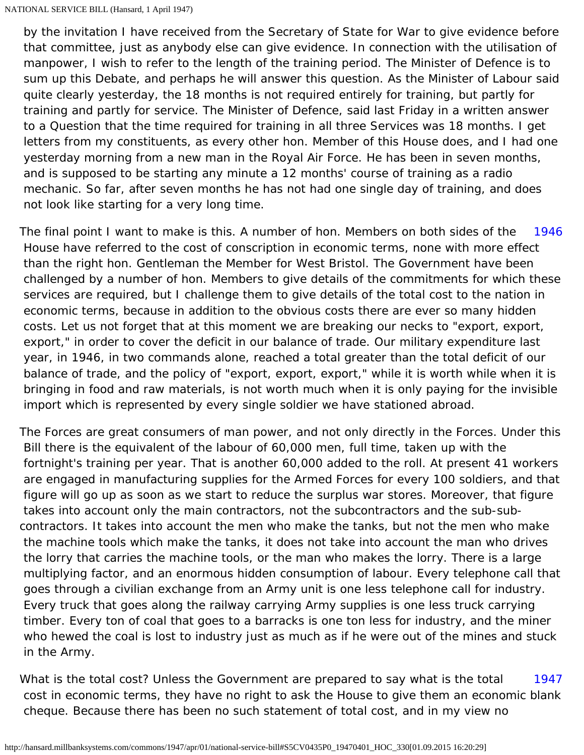by the invitation I have received from the Secretary of State for War to give evidence before that committee, just as anybody else can give evidence. In connection with the utilisation of manpower, I wish to refer to the length of the training period. The Minister of Defence is to sum up this Debate, and perhaps he will answer this question. As the Minister of Labour said quite clearly yesterday, the 18 months is not required entirely for training, but partly for training and partly for service. The Minister of Defence, said last Friday in a written answer to a Question that the time required for training in all three Services was 18 months. I get letters from my constituents, as every other hon. Member of this House does, and I had one yesterday morning from a new man in the Royal Air Force. He has been in seven months, and is supposed to be starting any minute a 12 months' course of training as a radio mechanic. So far, after seven months he has not had one single day of training, and does not look like starting for a very long time.

<span id="page-69-0"></span>[1946](#page-69-0) The final point I want to make is this. A number of hon. Members on both sides of the House have referred to the cost of conscription in economic terms, none with more effect than the right hon. Gentleman the Member for West Bristol. The Government have been challenged by a number of hon. Members to give details of the commitments for which these services are required, but I challenge them to give details of the total cost to the nation in economic terms, because in addition to the obvious costs there are ever so many hidden costs. Let us not forget that at this moment we are breaking our necks to "export, export, export," in order to cover the deficit in our balance of trade. Our military expenditure last year, in 1946, in two commands alone, reached a total greater than the total deficit of our balance of trade, and the policy of "export, export, export," while it is worth while when it is bringing in food and raw materials, is not worth much when it is only paying for the invisible import which is represented by every single soldier we have stationed abroad.

The Forces are great consumers of man power, and not only directly in the Forces. Under this Bill there is the equivalent of the labour of 60,000 men, full time, taken up with the fortnight's training per year. That is another 60,000 added to the roll. At present 41 workers are engaged in manufacturing supplies for the Armed Forces for every 100 soldiers, and that figure will go up as soon as we start to reduce the surplus war stores. Moreover, that figure takes into account only the main contractors, not the subcontractors and the sub-subcontractors. It takes into account the men who make the tanks, but not the men who make the machine tools which make the tanks, it does not take into account the man who drives the lorry that carries the machine tools, or the man who makes the lorry. There is a large multiplying factor, and an enormous hidden consumption of labour. Every telephone call that goes through a civilian exchange from an Army unit is one less telephone call for industry. Every truck that goes along the railway carrying Army supplies is one less truck carrying timber. Every ton of coal that goes to a barracks is one ton less for industry, and the miner who hewed the coal is lost to industry just as much as if he were out of the mines and stuck in the Army.

<span id="page-69-1"></span>[1947](#page-69-1) What is the total cost? Unless the Government are prepared to say what is the total cost in economic terms, they have no right to ask the House to give them an economic blank cheque. Because there has been no such statement of total cost, and in my view no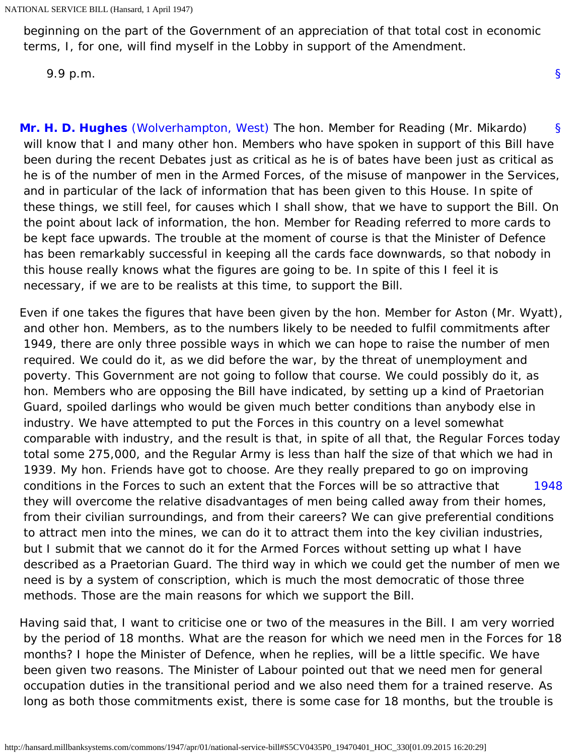beginning on the part of the Government of an appreciation of that total cost in economic terms, I, for one, will find myself in the Lobby in support of the Amendment.

[§](#page-0-0)

9.9 p.m.

<span id="page-70-0"></span>[§](#page-70-0) **[Mr. H. D. Hughes](http://hansard.millbanksystems.com/people/mr-herbert-hughes)** [\(Wolverhampton, West\)](http://hansard.millbanksystems.com/constituencies/wolverhampton-west) The hon. Member for Reading (Mr. Mikardo) will know that I and many other hon. Members who have spoken in support of this Bill have been during the recent Debates just as critical as he is of bates have been just as critical as he is of the number of men in the Armed Forces, of the misuse of manpower in the Services, and in particular of the lack of information that has been given to this House. In spite of these things, we still feel, for causes which I shall show, that we have to support the Bill. On the point about lack of information, the hon. Member for Reading referred to more cards to be kept face upwards. The trouble at the moment of course is that the Minister of Defence has been remarkably successful in keeping all the cards face downwards, so that nobody in this house really knows what the figures are going to be. In spite of this I feel it is necessary, if we are to be realists at this time, to support the Bill.

[1948](#page-70-1) Even if one takes the figures that have been given by the hon. Member for Aston (Mr. Wyatt), and other hon. Members, as to the numbers likely to be needed to fulfil commitments after 1949, there are only three possible ways in which we can hope to raise the number of men required. We could do it, as we did before the war, by the threat of unemployment and poverty. This Government are not going to follow that course. We could possibly do it, as hon. Members who are opposing the Bill have indicated, by setting up a kind of Praetorian Guard, spoiled darlings who would be given much better conditions than anybody else in industry. We have attempted to put the Forces in this country on a level somewhat comparable with industry, and the result is that, in spite of all that, the Regular Forces today total some 275,000, and the Regular Army is less than half the size of that which we had in 1939. My hon. Friends have got to choose. Are they really prepared to go on improving conditions in the Forces to such an extent that the Forces will be so attractive that they will overcome the relative disadvantages of men being called away from their homes, from their civilian surroundings, and from their careers? We can give preferential conditions to attract men into the mines, we can do it to attract them into the key civilian industries, but I submit that we cannot do it for the Armed Forces without setting up what I have described as a Praetorian Guard. The third way in which we could get the number of men we need is by a system of conscription, which is much the most democratic of those three methods. Those are the main reasons for which we support the Bill.

<span id="page-70-1"></span>Having said that, I want to criticise one or two of the measures in the Bill. I am very worried by the period of 18 months. What are the reason for which we need men in the Forces for 18 months? I hope the Minister of Defence, when he replies, will be a little specific. We have been given two reasons. The Minister of Labour pointed out that we need men for general occupation duties in the transitional period and we also need them for a trained reserve. As long as both those commitments exist, there is some case for 18 months, but the trouble is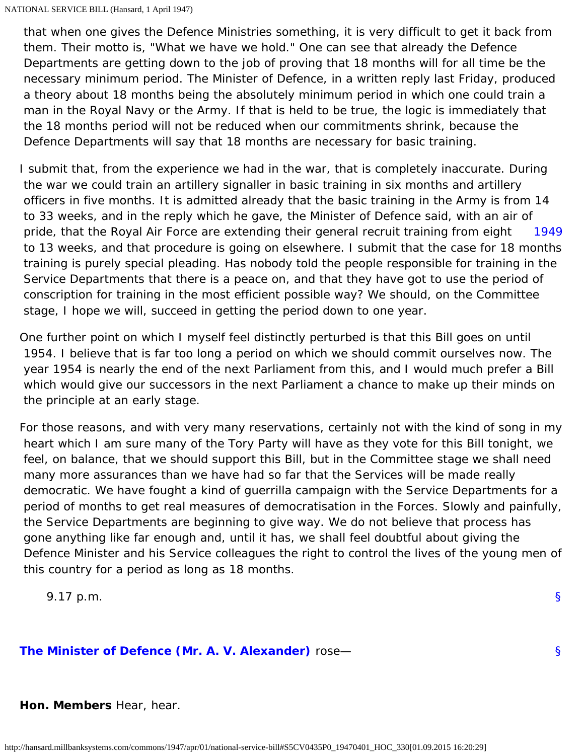that when one gives the Defence Ministries something, it is very difficult to get it back from them. Their motto is, "What we have we hold." One can see that already the Defence Departments are getting down to the job of proving that 18 months will for all time be the necessary minimum period. The Minister of Defence, in a written reply last Friday, produced a theory about 18 months being the absolutely minimum period in which one could train a man in the Royal Navy or the Army. If that is held to be true, the logic is immediately that the 18 months period will not be reduced when our commitments shrink, because the Defence Departments will say that 18 months are necessary for basic training.

<span id="page-71-0"></span>[1949](#page-71-0) I submit that, from the experience we had in the war, that is completely inaccurate. During the war we could train an artillery signaller in basic training in six months and artillery officers in five months. It is admitted already that the basic training in the Army is from 14 to 33 weeks, and in the reply which he gave, the Minister of Defence said, with an air of pride, that the Royal Air Force are extending their general recruit training from eight to 13 weeks, and that procedure is going on elsewhere. I submit that the case for 18 months training is purely special pleading. Has nobody told the people responsible for training in the Service Departments that there is a peace on, and that they have got to use the period of conscription for training in the most efficient possible way? We should, on the Committee stage, I hope we will, succeed in getting the period down to one year.

One further point on which I myself feel distinctly perturbed is that this Bill goes on until 1954. I believe that is far too long a period on which we should commit ourselves now. The year 1954 is nearly the end of the next Parliament from this, and I would much prefer a Bill which would give our successors in the next Parliament a chance to make up their minds on the principle at an early stage.

For those reasons, and with very many reservations, certainly not with the kind of song in my heart which I am sure many of the Tory Party will have as they vote for this Bill tonight, we feel, on balance, that we should support this Bill, but in the Committee stage we shall need many more assurances than we have had so far that the Services will be made really democratic. We have fought a kind of guerrilla campaign with the Service Departments for a period of months to get real measures of democratisation in the Forces. Slowly and painfully, the Service Departments are beginning to give way. We do not believe that process has gone anything like far enough and, until it has, we shall feel doubtful about giving the Defence Minister and his Service colleagues the right to control the lives of the young men of this country for a period as long as 18 months.

9.17 p.m.

<span id="page-71-1"></span>**[The Minister of Defence \(Mr. A. V. Alexander\)](http://hansard.millbanksystems.com/people/mr-albert-alexander)** rose—

[§](#page-71-1)

[§](#page-0-0)

**Hon. Members** Hear, hear.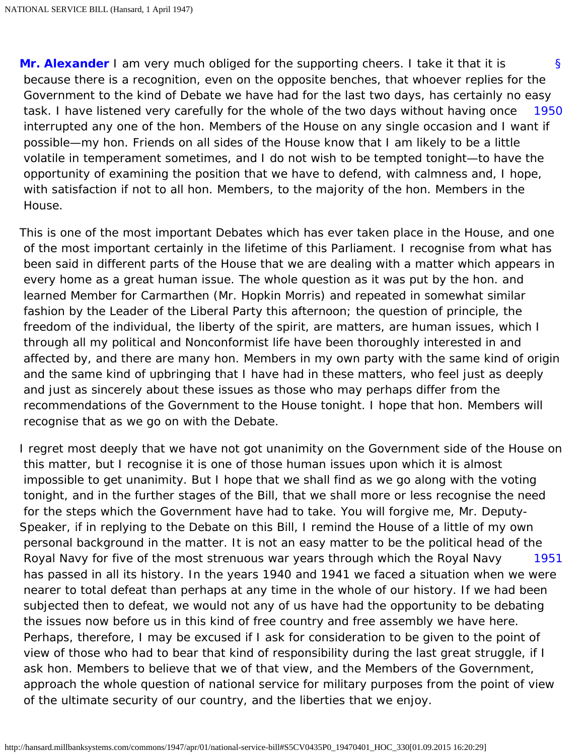<span id="page-72-1"></span><span id="page-72-0"></span>[§](#page-72-0) [1950](#page-72-1) **[Mr. Alexander](http://hansard.millbanksystems.com/people/mr-albert-alexander)** I am very much obliged for the supporting cheers. I take it that it is because there is a recognition, even on the opposite benches, that whoever replies for the Government to the kind of Debate we have had for the last two days, has certainly no easy task. I have listened very carefully for the whole of the two days without having once interrupted any one of the hon. Members of the House on any single occasion and I want if possible—my hon. Friends on all sides of the House know that I am likely to be a little volatile in temperament sometimes, and I do not wish to be tempted tonight—to have the opportunity of examining the position that we have to defend, with calmness and, I hope, with satisfaction if not to all hon. Members, to the majority of the hon. Members in the House.

This is one of the most important Debates which has ever taken place in the House, and one of the most important certainly in the lifetime of this Parliament. I recognise from what has been said in different parts of the House that we are dealing with a matter which appears in every home as a great human issue. The whole question as it was put by the hon. and learned Member for Carmarthen (Mr. Hopkin Morris) and repeated in somewhat similar fashion by the Leader of the Liberal Party this afternoon; the question of principle, the freedom of the individual, the liberty of the spirit, are matters, are human issues, which I through all my political and Nonconformist life have been thoroughly interested in and affected by, and there are many hon. Members in my own party with the same kind of origin and the same kind of upbringing that I have had in these matters, who feel just as deeply and just as sincerely about these issues as those who may perhaps differ from the recommendations of the Government to the House tonight. I hope that hon. Members will recognise that as we go on with the Debate.

<span id="page-72-2"></span>[1951](#page-72-2) I regret most deeply that we have not got unanimity on the Government side of the House on this matter, but I recognise it is one of those human issues upon which it is almost impossible to get unanimity. But I hope that we shall find as we go along with the voting tonight, and in the further stages of the Bill, that we shall more or less recognise the need for the steps which the Government have had to take. You will forgive me, Mr. Deputy-Speaker, if in replying to the Debate on this Bill, I remind the House of a little of my own personal background in the matter. It is not an easy matter to be the political head of the Royal Navy for five of the most strenuous war years through which the Royal Navy has passed in all its history. In the years 1940 and 1941 we faced a situation when we were nearer to total defeat than perhaps at any time in the whole of our history. If we had been subjected then to defeat, we would not any of us have had the opportunity to be debating the issues now before us in this kind of free country and free assembly we have here. Perhaps, therefore, I may be excused if I ask for consideration to be given to the point of view of those who had to bear that kind of responsibility during the last great struggle, if I ask hon. Members to believe that we of that view, and the Members of the Government, approach the whole question of national service for military purposes from the point of view of the ultimate security of our country, and the liberties that we enjoy.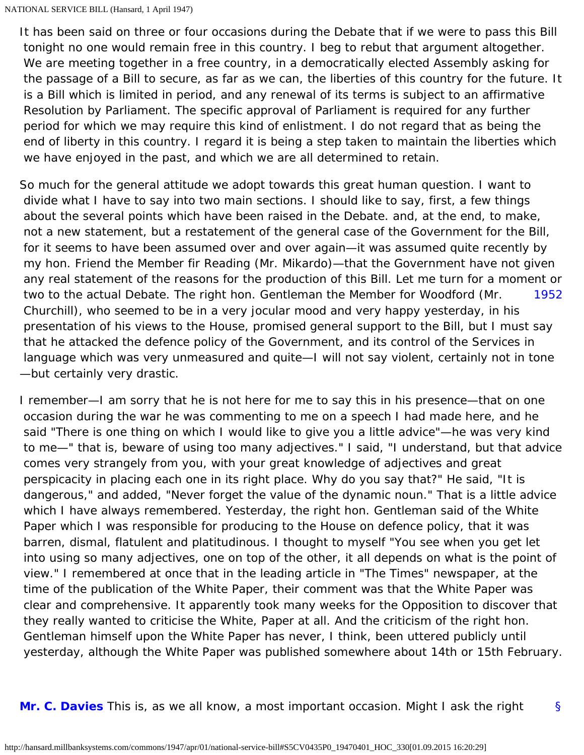NATIONAL SERVICE BILL (Hansard, 1 April 1947)

It has been said on three or four occasions during the Debate that if we were to pass this Bill tonight no one would remain free in this country. I beg to rebut that argument altogether. We are meeting together in a free country, in a democratically elected Assembly asking for the passage of a Bill to secure, as far as we can, the liberties of this country for the future. It is a Bill which is limited in period, and any renewal of its terms is subject to an affirmative Resolution by Parliament. The specific approval of Parliament is required for any further period for which we may require this kind of enlistment. I do not regard that as being the end of liberty in this country. I regard it is being a step taken to maintain the liberties which we have enjoyed in the past, and which we are all determined to retain.

[1952](#page-73-0) So much for the general attitude we adopt towards this great human question. I want to divide what I have to say into two main sections. I should like to say, first, a few things about the several points which have been raised in the Debate. and, at the end, to make, not a new statement, but a restatement of the general case of the Government for the Bill, for it seems to have been assumed over and over again—it was assumed quite recently by my hon. Friend the Member fir Reading (Mr. Mikardo)—that the Government have not given any real statement of the reasons for the production of this Bill. Let me turn for a moment or two to the actual Debate. The right hon. Gentleman the Member for Woodford (Mr. Churchill), who seemed to be in a very jocular mood and very happy yesterday, in his presentation of his views to the House, promised general support to the Bill, but I must say that he attacked the defence policy of the Government, and its control of the Services in language which was very unmeasured and quite—I will not say violent, certainly not in tone —but certainly very drastic.

<span id="page-73-0"></span>I remember—I am sorry that he is not here for me to say this in his presence—that on one occasion during the war he was commenting to me on a speech I had made here, and he said "There is one thing on which I would like to give you a little advice"—he was very kind to me—" that is, beware of using too many adjectives." I said, "I understand, but that advice comes very strangely from you, with your great knowledge of adjectives and great perspicacity in placing each one in its right place. Why do you say that?" He said, "It is dangerous," and added, "Never forget the value of the dynamic noun." That is a little advice which I have always remembered. Yesterday, the right hon. Gentleman said of the White Paper which I was responsible for producing to the House on defence policy, that it was barren, dismal, flatulent and platitudinous. I thought to myself "You see when you get let into using so many adjectives, one on top of the other, it all depends on what is the point of view." I remembered at once that in the leading article in "The Times" newspaper, at the time of the publication of the White Paper, their comment was that the White Paper was clear and comprehensive. It apparently took many weeks for the Opposition to discover that they really wanted to criticise the White, Paper at all. And the criticism of the right hon. Gentleman himself upon the White Paper has never, I think, been uttered publicly until yesterday, although the White Paper was published somewhere about 14th or 15th February.

<span id="page-73-1"></span>[§](#page-73-1) **[Mr. C. Davies](http://hansard.millbanksystems.com/people/mr-clement-davies)** This is, as we all know, a most important occasion. Might I ask the right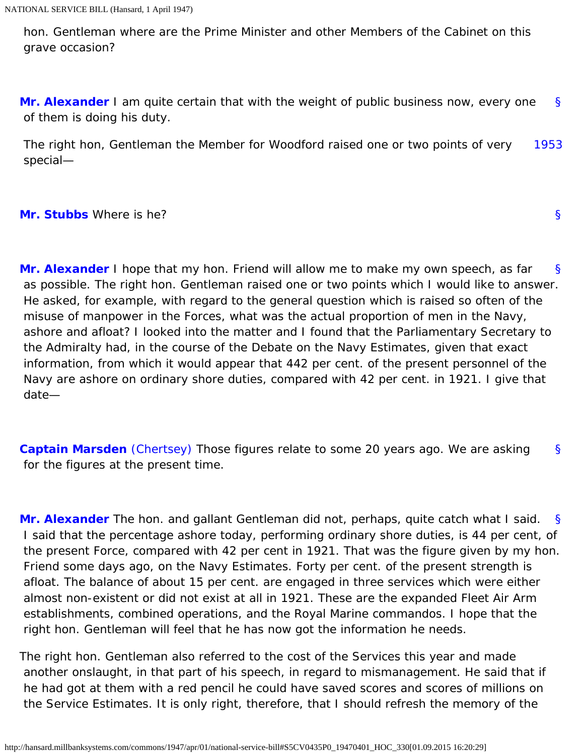hon. Gentleman where are the Prime Minister and other Members of the Cabinet on this grave occasion?

<span id="page-74-0"></span>[§](#page-74-0) **[Mr. Alexander](http://hansard.millbanksystems.com/people/mr-albert-alexander)** I am quite certain that with the weight of public business now, every one of them is doing his duty.

<span id="page-74-1"></span>[1953](#page-74-1) The right hon, Gentleman the Member for Woodford raised one or two points of very special—

## <span id="page-74-2"></span>**[Mr. Stubbs](http://hansard.millbanksystems.com/people/mr-albert-stubbs)** Where is he?

<span id="page-74-3"></span>[§](#page-74-3) **[Mr. Alexander](http://hansard.millbanksystems.com/people/mr-albert-alexander)** I hope that my hon. Friend will allow me to make my own speech, as far as possible. The right hon. Gentleman raised one or two points which I would like to answer. He asked, for example, with regard to the general question which is raised so often of the

[§](#page-74-2)

 misuse of manpower in the Forces, what was the actual proportion of men in the Navy, ashore and afloat? I looked into the matter and I found that the Parliamentary Secretary to the Admiralty had, in the course of the Debate on the Navy Estimates, given that exact information, from which it would appear that 442 per cent. of the present personnel of the Navy are ashore on ordinary shore duties, compared with 42 per cent. in 1921. I give that date—

<span id="page-74-4"></span>[§](#page-74-4) **[Captain Marsden](http://hansard.millbanksystems.com/people/captain-arthur-marsden)** [\(Chertsey\)](http://hansard.millbanksystems.com/constituencies/chertsey) Those figures relate to some 20 years ago. We are asking for the figures at the present time.

<span id="page-74-5"></span>[§](#page-74-5) **[Mr. Alexander](http://hansard.millbanksystems.com/people/mr-albert-alexander)** The hon. and gallant Gentleman did not, perhaps, quite catch what I said. I said that the percentage ashore today, performing ordinary shore duties, is 44 per cent, of the present Force, compared with 42 per cent in 1921. That was the figure given by my hon. Friend some days ago, on the Navy Estimates. Forty per cent. of the present strength is afloat. The balance of about 15 per cent. are engaged in three services which were either almost non-existent or did not exist at all in 1921. These are the expanded Fleet Air Arm establishments, combined operations, and the Royal Marine commandos. I hope that the right hon. Gentleman will feel that he has now got the information he needs.

The right hon. Gentleman also referred to the cost of the Services this year and made another onslaught, in that part of his speech, in regard to mismanagement. He said that if he had got at them with a red pencil he could have saved scores and scores of millions on the Service Estimates. It is only right, therefore, that I should refresh the memory of the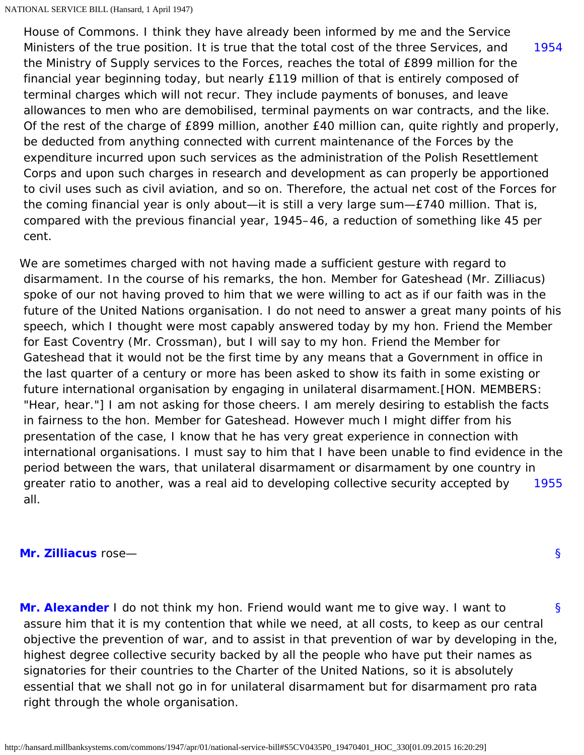<span id="page-75-0"></span>[1954](#page-75-0) House of Commons. I think they have already been informed by me and the Service Ministers of the true position. It is true that the total cost of the three Services, and the Ministry of Supply services to the Forces, reaches the total of £899 million for the financial year beginning today, but nearly £119 million of that is entirely composed of terminal charges which will not recur. They include payments of bonuses, and leave allowances to men who are demobilised, terminal payments on war contracts, and the like. Of the rest of the charge of £899 million, another £40 million can, quite rightly and properly, be deducted from anything connected with current maintenance of the Forces by the expenditure incurred upon such services as the administration of the Polish Resettlement Corps and upon such charges in research and development as can properly be apportioned to civil uses such as civil aviation, and so on. Therefore, the actual net cost of the Forces for the coming financial year is only about—it is still a very large sum—£740 million. That is, compared with the previous financial year, 1945–46, a reduction of something like 45 per cent.

[1955](#page-75-1) We are sometimes charged with not having made a sufficient gesture with regard to disarmament. In the course of his remarks, the hon. Member for Gateshead (Mr. Zilliacus) spoke of our not having proved to him that we were willing to act as if our faith was in the future of the United Nations organisation. I do not need to answer a great many points of his speech, which I thought were most capably answered today by my hon. Friend the Member for East Coventry (Mr. Crossman), but I will say to my hon. Friend the Member for Gateshead that it would not be the first time by any means that a Government in office in the last quarter of a century or more has been asked to show its faith in some existing or future international organisation by engaging in unilateral disarmament.[HON. MEMBERS: "Hear, hear."] I am not asking for those cheers. I am merely desiring to establish the facts in fairness to the hon. Member for Gateshead. However much I might differ from his presentation of the case, I know that he has very great experience in connection with international organisations. I must say to him that I have been unable to find evidence in the period between the wars, that unilateral disarmament or disarmament by one country in greater ratio to another, was a real aid to developing collective security accepted by all.

## <span id="page-75-3"></span><span id="page-75-2"></span><span id="page-75-1"></span>**[Mr. Zilliacus](http://hansard.millbanksystems.com/people/mr-konni-zilliacus)** rose—

[§](#page-75-2)

[§](#page-75-3) **[Mr. Alexander](http://hansard.millbanksystems.com/people/mr-albert-alexander)** I do not think my hon. Friend would want me to give way. I want to assure him that it is my contention that while we need, at all costs, to keep as our central objective the prevention of war, and to assist in that prevention of war by developing in the, highest degree collective security backed by all the people who have put their names as signatories for their countries to the Charter of the United Nations, so it is absolutely essential that we shall not go in for unilateral disarmament but for disarmament pro rata right through the whole organisation.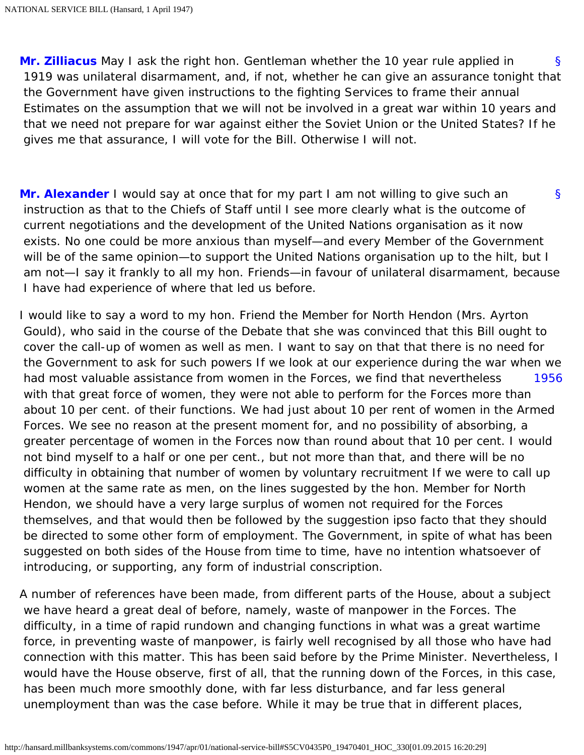<span id="page-76-0"></span>[§](#page-76-0) **[Mr. Zilliacus](http://hansard.millbanksystems.com/people/mr-konni-zilliacus)** May I ask the right hon. Gentleman whether the 10 year rule applied in 1919 was unilateral disarmament, and, if not, whether he can give an assurance tonight that the Government have given instructions to the fighting Services to frame their annual Estimates on the assumption that we will not be involved in a great war within 10 years and that we need not prepare for war against either the Soviet Union or the United States? If he gives me that assurance, I will vote for the Bill. Otherwise I will not.

<span id="page-76-1"></span>[§](#page-76-1) **[Mr. Alexander](http://hansard.millbanksystems.com/people/mr-albert-alexander)** I would say at once that for my part I am not willing to give such an instruction as that to the Chiefs of Staff until I see more clearly what is the outcome of current negotiations and the development of the United Nations organisation as it now exists. No one could be more anxious than myself—and every Member of the Government will be of the same opinion—to support the United Nations organisation up to the hilt, but I am not—I say it frankly to all my hon. Friends—in favour of unilateral disarmament, because I have had experience of where that led us before.

<span id="page-76-2"></span>[1956](#page-76-2) I would like to say a word to my hon. Friend the Member for North Hendon (Mrs. Ayrton Gould), who said in the course of the Debate that she was convinced that this Bill ought to cover the call-up of women as well as men. I want to say on that that there is no need for the Government to ask for such powers If we look at our experience during the war when we had most valuable assistance from women in the Forces, we find that nevertheless with that great force of women, they were not able to perform for the Forces more than about 10 per cent. of their functions. We had just about 10 per rent of women in the Armed Forces. We see no reason at the present moment for, and no possibility of absorbing, a greater percentage of women in the Forces now than round about that 10 per cent. I would not bind myself to a half or one per cent., but not more than that, and there will be no difficulty in obtaining that number of women by voluntary recruitment If we were to call up women at the same rate as men, on the lines suggested by the hon. Member for North Hendon, we should have a very large surplus of women not required for the Forces themselves, and that would then be followed by the suggestion ipso facto that they should be directed to some other form of employment. The Government, in spite of what has been suggested on both sides of the House from time to time, have no intention whatsoever of introducing, or supporting, any form of industrial conscription.

A number of references have been made, from different parts of the House, about a subject we have heard a great deal of before, namely, waste of manpower in the Forces. The difficulty, in a time of rapid rundown and changing functions in what was a great wartime force, in preventing waste of manpower, is fairly well recognised by all those who have had connection with this matter. This has been said before by the Prime Minister. Nevertheless, I would have the House observe, first of all, that the running down of the Forces, in this case, has been much more smoothly done, with far less disturbance, and far less general unemployment than was the case before. While it may be true that in different places,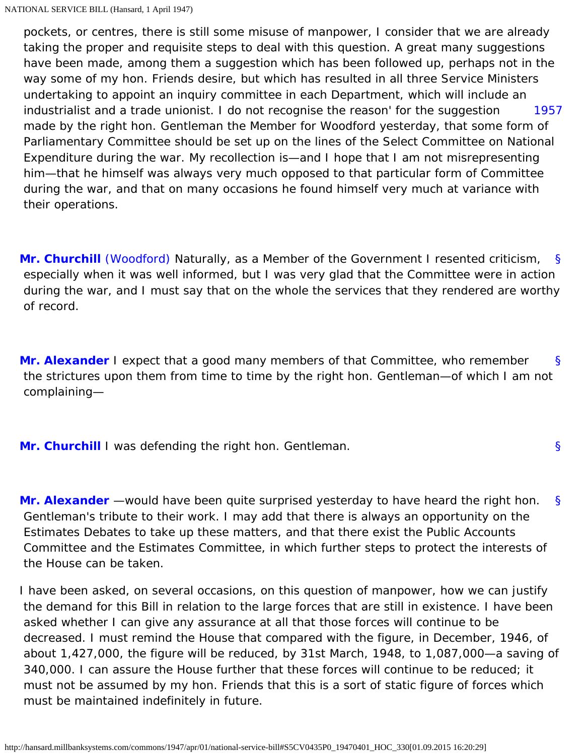<span id="page-77-0"></span>[1957](#page-77-0) pockets, or centres, there is still some misuse of manpower, I consider that we are already taking the proper and requisite steps to deal with this question. A great many suggestions have been made, among them a suggestion which has been followed up, perhaps not in the way some of my hon. Friends desire, but which has resulted in all three Service Ministers undertaking to appoint an inquiry committee in each Department, which will include an industrialist and a trade unionist. I do not recognise the reason' for the suggestion made by the right hon. Gentleman the Member for Woodford yesterday, that some form of Parliamentary Committee should be set up on the lines of the Select Committee on National Expenditure during the war. My recollection is—and I hope that I am not misrepresenting him—that he himself was always very much opposed to that particular form of Committee during the war, and that on many occasions he found himself very much at variance with their operations.

<span id="page-77-1"></span>[§](#page-77-1) **[Mr. Churchill](http://hansard.millbanksystems.com/people/mr-winston-churchill)** [\(Woodford\)](http://hansard.millbanksystems.com/constituencies/woodford) Naturally, as a Member of the Government I resented criticism, especially when it was well informed, but I was very glad that the Committee were in action during the war, and I must say that on the whole the services that they rendered are worthy of record.

<span id="page-77-2"></span>[§](#page-77-2) **[Mr. Alexander](http://hansard.millbanksystems.com/people/mr-albert-alexander)** I expect that a good many members of that Committee, who remember the strictures upon them from time to time by the right hon. Gentleman—of which I am not complaining—

<span id="page-77-3"></span>**[Mr. Churchill](http://hansard.millbanksystems.com/people/mr-winston-churchill)** I was defending the right hon. Gentleman.

[§](#page-77-3)

<span id="page-77-4"></span>[§](#page-77-4) **[Mr. Alexander](http://hansard.millbanksystems.com/people/mr-albert-alexander)** —would have been quite surprised yesterday to have heard the right hon. Gentleman's tribute to their work. I may add that there is always an opportunity on the Estimates Debates to take up these matters, and that there exist the Public Accounts Committee and the Estimates Committee, in which further steps to protect the interests of the House can be taken.

I have been asked, on several occasions, on this question of manpower, how we can justify the demand for this Bill in relation to the large forces that are still in existence. I have been asked whether I can give any assurance at all that those forces will continue to be decreased. I must remind the House that compared with the figure, in December, 1946, of about 1,427,000, the figure will be reduced, by 31st March, 1948, to 1,087,000—a saving of 340,000. I can assure the House further that these forces will continue to be reduced; it must not be assumed by my hon. Friends that this is a sort of static figure of forces which must be maintained indefinitely in future.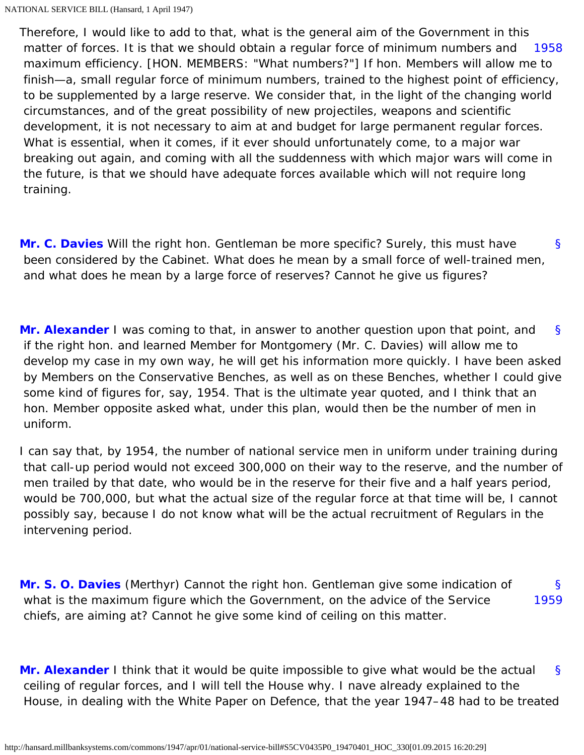<span id="page-78-0"></span>[1958](#page-78-0) Therefore, I would like to add to that, what is the general aim of the Government in this matter of forces. It is that we should obtain a regular force of minimum numbers and maximum efficiency. [HON. MEMBERS: "What numbers?"] If hon. Members will allow me to finish—a, small regular force of minimum numbers, trained to the highest point of efficiency, to be supplemented by a large reserve. We consider that, in the light of the changing world circumstances, and of the great possibility of new projectiles, weapons and scientific development, it is not necessary to aim at and budget for large permanent regular forces. What is essential, when it comes, if it ever should unfortunately come, to a major war breaking out again, and coming with all the suddenness with which major wars will come in the future, is that we should have adequate forces available which will not require long training.

<span id="page-78-1"></span>[§](#page-78-1) **[Mr. C. Davies](http://hansard.millbanksystems.com/people/mr-clement-davies)** Will the right hon. Gentleman be more specific? Surely, this must have been considered by the Cabinet. What does he mean by a small force of well-trained men, and what does he mean by a large force of reserves? Cannot he give us figures?

<span id="page-78-2"></span>[§](#page-78-2) **[Mr. Alexander](http://hansard.millbanksystems.com/people/mr-albert-alexander)** I was coming to that, in answer to another question upon that point, and if the right hon. and learned Member for Montgomery (Mr. C. Davies) will allow me to develop my case in my own way, he will get his information more quickly. I have been asked by Members on the Conservative Benches, as well as on these Benches, whether I could give some kind of figures for, say, 1954. That is the ultimate year quoted, and I think that an hon. Member opposite asked what, under this plan, would then be the number of men in uniform.

I can say that, by 1954, the number of national service men in uniform under training during that call-up period would not exceed 300,000 on their way to the reserve, and the number of men trailed by that date, who would be in the reserve for their five and a half years period, would be 700,000, but what the actual size of the regular force at that time will be, I cannot possibly say, because I do not know what will be the actual recruitment of Regulars in the intervening period.

<span id="page-78-4"></span><span id="page-78-3"></span>[§](#page-78-3) [1959](#page-78-4) **[Mr. S. O. Davies](http://hansard.millbanksystems.com/people/mr-stephen-davies)** (Merthyr) Cannot the right hon. Gentleman give some indication of what is the maximum figure which the Government, on the advice of the Service chiefs, are aiming at? Cannot he give some kind of ceiling on this matter.

<span id="page-78-5"></span>[§](#page-78-5) **[Mr. Alexander](http://hansard.millbanksystems.com/people/mr-albert-alexander)** I think that it would be quite impossible to give what would be the actual ceiling of regular forces, and I will tell the House why. I nave already explained to the House, in dealing with the White Paper on Defence, that the year 1947–48 had to be treated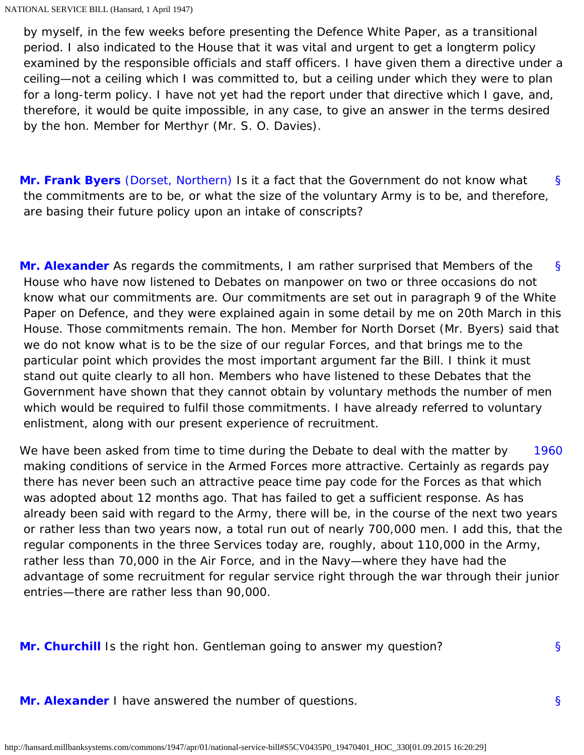by myself, in the few weeks before presenting the Defence White Paper, as a transitional period. I also indicated to the House that it was vital and urgent to get a longterm policy examined by the responsible officials and staff officers. I have given them a directive under a ceiling—not a ceiling which I was committed to, but a ceiling under which they were to plan for a long-term policy. I have not yet had the report under that directive which I gave, and, therefore, it would be quite impossible, in any case, to give an answer in the terms desired by the hon. Member for Merthyr (Mr. S. O. Davies).

<span id="page-79-0"></span>[§](#page-79-0) **[Mr. Frank Byers](http://hansard.millbanksystems.com/people/mr-charles-byers)** [\(Dorset, Northern\)](http://hansard.millbanksystems.com/constituencies/dorset-northern) Is it a fact that the Government do not know what the commitments are to be, or what the size of the voluntary Army is to be, and therefore, are basing their future policy upon an intake of conscripts?

<span id="page-79-1"></span>[§](#page-79-1) **[Mr. Alexander](http://hansard.millbanksystems.com/people/mr-albert-alexander)** As regards the commitments, I am rather surprised that Members of the House who have now listened to Debates on manpower on two or three occasions do not know what our commitments are. Our commitments are set out in paragraph 9 of the White Paper on Defence, and they were explained again in some detail by me on 20th March in this House. Those commitments remain. The hon. Member for North Dorset (Mr. Byers) said that we do not know what is to be the size of our regular Forces, and that brings me to the particular point which provides the most important argument far the Bill. I think it must stand out quite clearly to all hon. Members who have listened to these Debates that the Government have shown that they cannot obtain by voluntary methods the number of men which would be required to fulfil those commitments. I have already referred to voluntary enlistment, along with our present experience of recruitment.

<span id="page-79-2"></span>[1960](#page-79-2) We have been asked from time to time during the Debate to deal with the matter by making conditions of service in the Armed Forces more attractive. Certainly as regards pay there has never been such an attractive peace time pay code for the Forces as that which was adopted about 12 months ago. That has failed to get a sufficient response. As has already been said with regard to the Army, there will be, in the course of the next two years or rather less than two years now, a total run out of nearly 700,000 men. I add this, that the regular components in the three Services today are, roughly, about 110,000 in the Army, rather less than 70,000 in the Air Force, and in the Navy—where they have had the advantage of some recruitment for regular service right through the war through their junior entries—there are rather less than 90,000.

<span id="page-79-4"></span><span id="page-79-3"></span>**[Mr. Churchill](http://hansard.millbanksystems.com/people/mr-winston-churchill)** Is the right hon. Gentleman going to answer my question?

**[Mr. Alexander](http://hansard.millbanksystems.com/people/mr-albert-alexander)** I have answered the number of questions.

[§](#page-79-4)

[§](#page-79-3)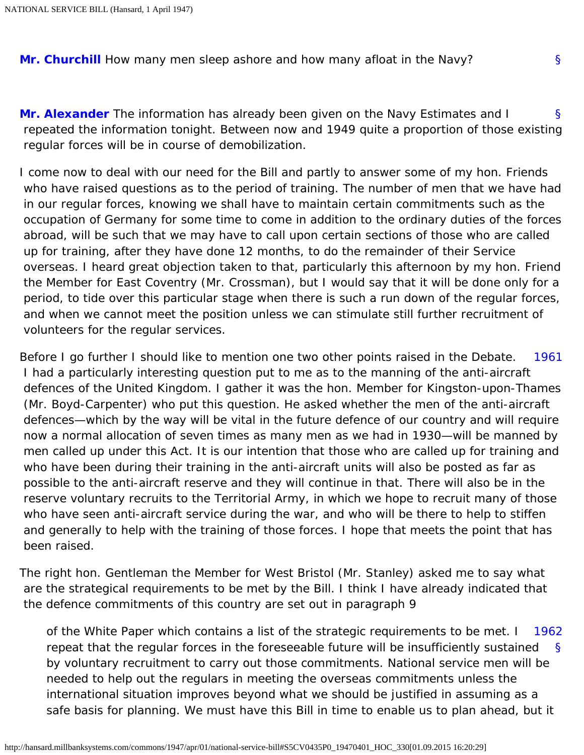<span id="page-80-0"></span>**[Mr. Churchill](http://hansard.millbanksystems.com/people/mr-winston-churchill)** How many men sleep ashore and how many afloat in the Navy?

<span id="page-80-1"></span>[§](#page-80-1) **[Mr. Alexander](http://hansard.millbanksystems.com/people/mr-albert-alexander)** The information has already been given on the Navy Estimates and I repeated the information tonight. Between now and 1949 quite a proportion of those existing regular forces will be in course of demobilization.

I come now to deal with our need for the Bill and partly to answer some of my hon. Friends who have raised questions as to the period of training. The number of men that we have had in our regular forces, knowing we shall have to maintain certain commitments such as the occupation of Germany for some time to come in addition to the ordinary duties of the forces abroad, will be such that we may have to call upon certain sections of those who are called up for training, after they have done 12 months, to do the remainder of their Service overseas. I heard great objection taken to that, particularly this afternoon by my hon. Friend the Member for East Coventry (Mr. Crossman), but I would say that it will be done only for a period, to tide over this particular stage when there is such a run down of the regular forces, and when we cannot meet the position unless we can stimulate still further recruitment of volunteers for the regular services.

<span id="page-80-2"></span>[1961](#page-80-2) Before I go further I should like to mention one two other points raised in the Debate. I had a particularly interesting question put to me as to the manning of the anti-aircraft defences of the United Kingdom. I gather it was the hon. Member for Kingston-upon-Thames (Mr. Boyd-Carpenter) who put this question. He asked whether the men of the anti-aircraft defences—which by the way will be vital in the future defence of our country and will require now a normal allocation of seven times as many men as we had in 1930—will be manned by men called up under this Act. It is our intention that those who are called up for training and who have been during their training in the anti-aircraft units will also be posted as far as possible to the anti-aircraft reserve and they will continue in that. There will also be in the reserve voluntary recruits to the Territorial Army, in which we hope to recruit many of those who have seen anti-aircraft service during the war, and who will be there to help to stiffen and generally to help with the training of those forces. I hope that meets the point that has been raised.

The right hon. Gentleman the Member for West Bristol (Mr. Stanley) asked me to say what are the strategical requirements to be met by the Bill. I think I have already indicated that the defence commitments of this country are set out in paragraph 9

<span id="page-80-3"></span>[§](#page-0-0) [1962](#page-80-3) of the White Paper which contains a list of the strategic requirements to be met. I repeat that the regular forces in the foreseeable future will be insufficiently sustained by voluntary recruitment to carry out those commitments. National service men will be needed to help out the regulars in meeting the overseas commitments unless the international situation improves beyond what we should be justified in assuming as a safe basis for planning. We must have this Bill in time to enable us to plan ahead, but it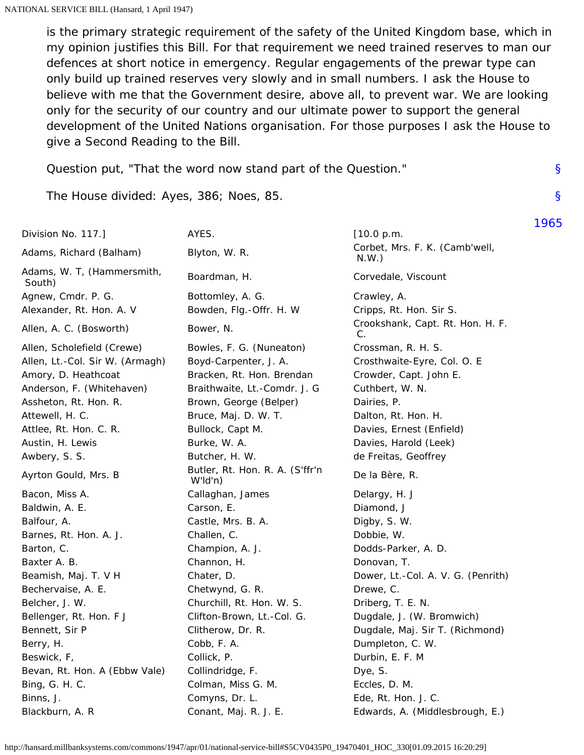is the primary strategic requirement of the safety of the United Kingdom base, which in my opinion justifies this Bill. For that requirement we need trained reserves to man our defences at short notice in emergency. Regular engagements of the prewar type can only build up trained reserves very slowly and in small numbers. I ask the House to believe with me that the Government desire, above all, to prevent war. We are looking only for the security of our country and our ultimate power to support the general development of the United Nations organisation. For those purposes I ask the House to give a Second Reading to the Bill.

[§](#page-0-0)

[§](#page-0-0)

[1965](#page-83-0)

Question put, "That the word now stand part of the Question."

The House divided: Ayes, 386; Noes, 85.

| Division No. 117.]                   | AYES.                                         | [10.0 p.m.                             |
|--------------------------------------|-----------------------------------------------|----------------------------------------|
| Adams, Richard (Balham)              | Blyton, W. R.                                 | Corbet, Mrs. F. K. (Camb'well,<br>N.W. |
| Adams, W. T. (Hammersmith,<br>South) | Boardman, H.                                  | Corvedale, Viscount                    |
| Agnew, Cmdr. P. G.                   | Bottomley, A. G.                              | Crawley, A.                            |
| Alexander, Rt. Hon. A. V             | Bowden, Flg.-Offr. H. W                       | Cripps, Rt. Hon. Sir S.                |
| Allen, A. C. (Bosworth)              | Bower, N.                                     | Crookshank, Capt. Rt. Hon. H. F.<br>C. |
| Allen, Scholefield (Crewe)           | Bowles, F. G. (Nuneaton)                      | Crossman, R. H. S.                     |
| Allen, Lt.-Col. Sir W. (Armagh)      | Boyd-Carpenter, J. A.                         | Crosthwaite-Eyre, Col. O. E            |
| Amory, D. Heathcoat                  | Bracken, Rt. Hon. Brendan                     | Crowder, Capt. John E.                 |
| Anderson, F. (Whitehaven)            | Braithwaite, Lt.-Comdr. J. G                  | Cuthbert, W. N.                        |
| Assheton, Rt. Hon. R.                | Brown, George (Belper)                        | Dairies, P.                            |
| Attewell, H. C.                      | Bruce, Maj. D. W. T.                          | Dalton, Rt. Hon. H.                    |
| Attlee, Rt. Hon. C. R.               | Bullock, Capt M.                              | Davies, Ernest (Enfield)               |
| Austin, H. Lewis                     | Burke, W. A.                                  | Davies, Harold (Leek)                  |
| Awbery, S. S.                        | Butcher, H. W.                                | de Freitas, Geoffrey                   |
| Ayrton Gould, Mrs. B                 | Butler, Rt. Hon. R. A. (S'ffr'n<br>$W'$ ld'n) | De la Bère, R.                         |
| Bacon, Miss A.                       | Callaghan, James                              | Delargy, H. J                          |
| Baldwin, A. E.                       | Carson, E.                                    | Diamond, J                             |
| Balfour, A.                          | Castle, Mrs. B. A.                            | Digby, S. W.                           |
| Barnes, Rt. Hon. A. J.               | Challen, C.                                   | Dobbie, W.                             |
| Barton, C.                           | Champion, A. J.                               | Dodds-Parker, A. D.                    |
| Baxter A. B.                         | Channon, H.                                   | Donovan, T.                            |
| Beamish, Maj. T. V H                 | Chater, D.                                    | Dower, Lt.-Col. A. V. G. (Penrith)     |
| Bechervaise, A. E.                   | Chetwynd, G. R.                               | Drewe, C.                              |
| Belcher, J. W.                       | Churchill, Rt. Hon. W. S.                     | Driberg, T. E. N.                      |
| Bellenger, Rt. Hon. F J              | Clifton-Brown, Lt.-Col. G.                    | Dugdale, J. (W. Bromwich)              |
| Bennett, Sir P                       | Clitherow, Dr. R.                             | Dugdale, Maj. Sir T. (Richmond)        |
| Berry, H.                            | Cobb, F. A.                                   | Dumpleton, C. W.                       |
| Beswick, F,                          | Collick, P.                                   | Durbin, E. F. M                        |
| Bevan, Rt. Hon. A (Ebbw Vale)        | Collindridge, F.                              | Dye, S.                                |
| Bing, G. H. C.                       | Colman, Miss G. M.                            | Eccles, D. M.                          |
| Binns, J.                            | Comyns, Dr. L.                                | Ede, Rt. Hon. J. C.                    |
| Blackburn, A. R                      | Conant, Maj. R. J. E.                         | Edwards, A. (Middlesbrough, E.)        |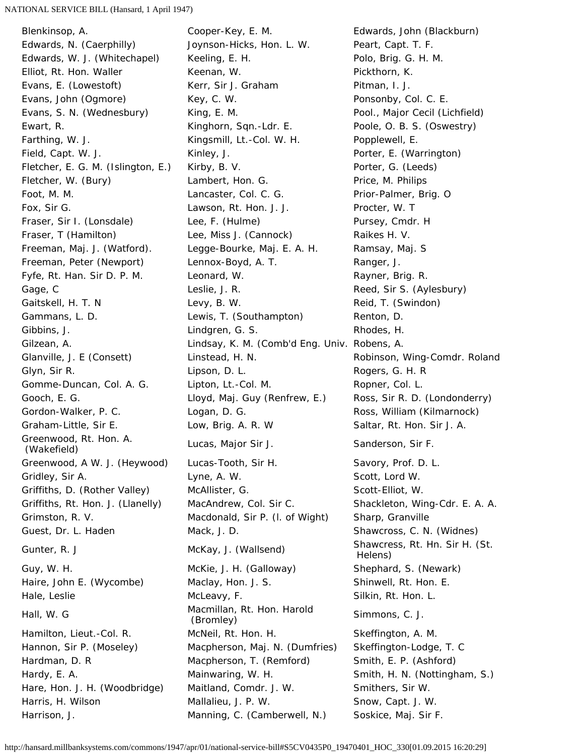## NATIONAL SERVICE BILL (Hansard, 1 April 1947)

Blenkinsop, A. Cooper-Key, E. M. Edwards, John (Blackburn) Greenwood, Rt. Hon. A. Hall, W. G **Macmillan, Rt. Hon. Harold**<br>(Bromley)

Edwards, N. (Caerphilly) Joynson-Hicks, Hon. L. W. Peart, Capt. T. F. Edwards, W. J. (Whitechapel) Keeling, E. H. Polo, Brig. G. H. M. Elliot, Rt. Hon. Waller **Keenan, W. Communist Communist Communist** Research Pickthorn, K. Evans, E. (Lowestoft) **Kerr, Sir J. Graham** Pitman, I. J. Evans, John (Ogmore) Key, C. W. Ponsonby, Col. C. E. Evans, S. N. (Wednesbury) King, E. M. Changes and Pool., Major Cecil (Lichfield) Ewart, R. Sand Christen, Kinghorn, Sqn.-Ldr. E. Sand Poole, O. B. S. (Oswestry) Farthing, W. J. **Earthing, W. J. Earthing, W. J. E. Kingsmill**, Lt.-Col. W. H. **Popplewell, E.** Field, Capt. W. J. **Example 20 Example 20 Kinley, J.** Porter, E. (Warrington) Fletcher, E. G. M. (Islington, E.) Kirby, B. V. Porter, G. (Leeds) Fletcher, W. (Bury) **Lambert, Hon. G.** Price, M. Philips Foot, M. M. Lancaster, Col. C. G. Prior-Palmer, Brig. O Fox, Sir G. Lawson, Rt. Hon. J. J. Procter, W. T Fraser, Sir I. (Lonsdale) Lee, F. (Hulme) Pursey, Cmdr. H Fraser, T (Hamilton) Lee, Miss J. (Cannock) Raikes H. V. Freeman, Maj. J. (Watford). Legge-Bourke, Maj. E. A. H. Ramsay, Maj. S Freeman, Peter (Newport) Lennox-Boyd, A. T. Ranger, J. Fyfe, Rt. Han. Sir D. P. M. Leonard, W. Sayner, Brig. R. Rayner, Brig. R. Gage, C **Commission Cleanual** Leslie, J. R. **Reed, Sir S. (Aylesbury)** Gaitskell, H. T. N Levy, B. W. Caitskell, H. T. N Levy, B. W. C. C. Reid, T. (Swindon) Gammans, L. D. Cammans, L. D. Lewis, T. (Southampton) Renton, D. Gibbins, J. **E. Lindgren, G. S. E. S. Rhodes, H.** Rhodes, H. Gilzean, A. Lindsay, K. M. (Comb'd Eng. Univ. Robens, A. Glanville, J. E (Consett) Linstead, H. N. Robinson, Wing-Comdr. Roland Glyn, Sir R. Channel Chemister Chemister Lipson, D. L. Chemister Chemister Rogers, G. H. R Gomme-Duncan, Col. A. G. Lipton, Lt.-Col. M. Col. Ropner, Col. L. Gooch, E. G. The Cooch, E. G. Lloyd, Maj. Guy (Renfrew, E.) Ross, Sir R. D. (Londonderry) Gordon-Walker, P. C. **Logan, D. G. C. E. Ross, William (Kilmarnock)** Graham-Little, Sir E. Cow, Brig. A. R. W Saltar, Rt. Hon. Sir J. A. (Wakefield) Lucas, Major Sir J. Sanderson, Sir F. Greenwood, A W. J. (Heywood) Lucas-Tooth, Sir H. Savory, Prof. D. L. Gridley, Sir A. Canadian Music Lyne, A. W. Cassett, Lord W. Scott, Lord W. Griffiths, D. (Rother Valley) McAllister, G. Scott-Elliot, W. Scott-Elliot, W. Griffiths, Rt. Hon. J. (Llanelly) MacAndrew, Col. Sir C. Shackleton, Wing-Cdr. E. A. A. Grimston, R. V. **Macdonald, Sir P. (I. of Wight)** Sharp, Granville Guest, Dr. L. Haden **Mack, J. D.** Shawcross, C. N. (Widnes) Gunter, R. J **McKay, J. (Wallsend)** Shawcress, Rt. Hn. Sir H. (St. Gt. Guy, W. H. Charlow McKie, J. H. (Galloway) Shephard, S. (Newark) Haire, John E. (Wycombe) Maclay, Hon. J. S. Shinwell, Rt. Hon. E. Hale, Leslie **McLeavy, F.** Silkin, Rt. Hon. L. Hamilton, Lieut.-Col. R. McNeil, Rt. Hon. H. Skeffington, A. M. Hannon, Sir P. (Moseley) Macpherson, Maj. N. (Dumfries) Skeffington-Lodge, T. C Hardman, D. R Macpherson, T. (Remford) Smith, E. P. (Ashford) Hardy, E. A. **Mainwaring, W. H.** Smith, H. N. (Nottingham, S.) Hare, Hon. J. H. (Woodbridge) Maitland, Comdr. J. W. Smithers, Sir W. Harris, H. Wilson Mallalieu, J. P. W. Snow, Capt. J. W.

 Helens) Simmons, C. J. Harrison, J. **Manning, C. (Camberwell, N.)** Soskice, Maj. Sir F.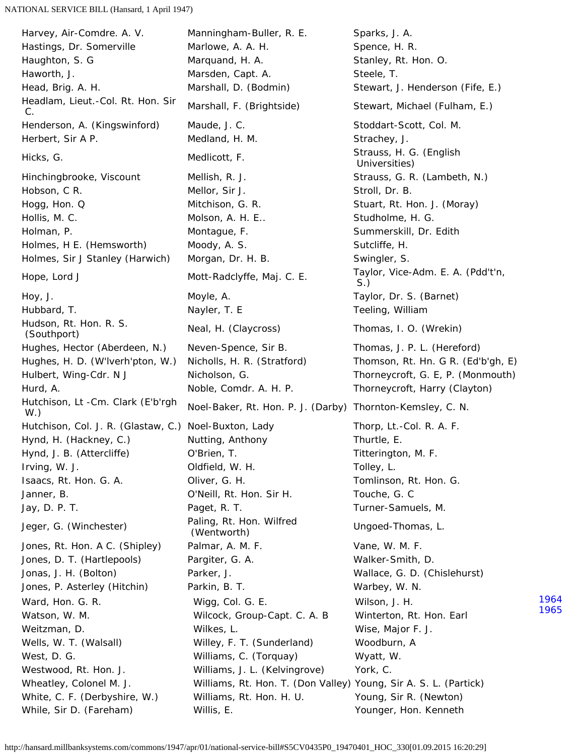<span id="page-83-1"></span><span id="page-83-0"></span>Headlam, Lieut.-Col. Rt. Hon. Sir Hudson, Rt. Hon. R. S. Hutchison, Lt -Cm. Clark (E'b'rgh Jeger, G. (Winchester) Paling, Rt. Hon. Wilfred

Harvey, Air-Comdre. A. V. Manningham-Buller, R. E. Sparks, J. A. Hastings, Dr. Somerville Marlowe, A. A. H. Spence, H. R. Haughton, S. G **Marquand, H. A.** Stanley, Rt. Hon. O. Haworth, J. **Marsden, Capt. A.** Steele, T. Head, Brig. A. H. The Marshall, D. (Bodmin) Stewart, J. Henderson (Fife, E.) Headiam, Lieut.-Col. Rt. Hon. Sii Marshall, F. (Brightside) Stewart, Michael (Fulham, E.)<br>C. Henderson, A. (Kingswinford) Maude, J. C. Stoddart-Scott, Col. M. Herbert, Sir A P. The Medland, H. M. Strachey, J. Strachey, J. Hicks, G. Strauss, H. G. (English Medlicott, F. Strauss, H. G. (English Strauss, H. G. (English Hinchingbrooke, Viscount Mellish, R. J. Strauss, G. R. (Lambeth, N.) Hobson, C R. Network and Mellor, Sir J. Stroll, Dr. B. Stroll, Dr. B. Hogg, Hon. Q **Mitchison, G. R.** Stuart, Rt. Hon. J. (Moray) Hollis, M. C. Molson, A. H. E.. Studholme, H. G. Holman, P. Montague, F. Summerskill, Dr. Edith Holmes, H E. (Hemsworth) Moody, A. S. Sutcliffe, H. Sutcliffe, H. Holmes, Sir J Stanley (Harwich) Morgan, Dr. H. B. Swingler, S. Hope, Lord J **Mott-Radclyffe, Maj. C. E.** Taylor, Vice-Adm. E. A. (Pdd't'n, S.) Hoy, J. Moyle, A. Taylor, Dr. S. (Barnet) Hubbard, T. Nayler, T. E Teeling, William (Southport) Neal, H. (Claycross) Thomas, I. O. (Wrekin)<br>(Southport) Hughes, Hector (Aberdeen, N.) Neven-Spence, Sir B. Thomas, J. P. L. (Hereford) Hughes, H. D. (W'lverh'pton, W.) Nicholls, H. R. (Stratford) Thomson, Rt. Hn. G R. (Ed'b'gh, E) Hulbert, Wing-Cdr. N J Nicholson, G. Thorneycroft, G. E, P. (Monmouth) Hurd, A. Noble, Comdr. A. H. P. Thorneycroft, Harry (Clayton) W.) Noel-Baker, Rt. Hon. P. J. (Darby) Thornton-Kemsley, C. N. Hutchison, Col. J. R. (Glastaw, C.) Noel-Buxton, Lady Thorp, Lt.-Col. R. A. F. Hynd, H. (Hackney, C.) Nutting, Anthony Thurtle, E. Hynd, J. B. (Attercliffe) **O'Brien, T. Change Communist Communist Communist Communist Communist Communist Communist Communist Communist Communist Communist Communist Communist Communist Communist Communist Communist Comm** Irving, W. J. Oldfield, W. H. Tolley, L. Isaacs, Rt. Hon. G. A. Oliver, G. H. Tomlinson, Rt. Hon. G. Janner, B. O'Neill, Rt. Hon. Sir H. Touche, G. C Jay, D. P. T. Paget, R. T. Turner-Samuels, M. Jones, Rt. Hon. A C. (Shipley) Palmar, A. M. F. Shippers, M. M. F. Cane, W. M. F. Jones, D. T. (Hartlepools) Pargiter, G. A. Solomon Malker-Smith, D. Jonas, J. H. (Bolton) Parker, J. Wallace, G. D. (Chislehurst) Jones, P. Asterley (Hitchin) Parkin, B. T. Sand Marbey, W. N. Warbey, W. N. Ward, Hon. G. R. The Migg, Col. G. E. The Milson, J. H. Watson, W. M. Capt. A. Wilcock, Group-Capt. C. A. B Winterton, Rt. Hon. Earl Weitzman, D. N. M. Wilkes, L. N. Wilkes, L. Weitzman, D. Wise, Major F. J. Wells, W. T. (Walsall) **Willey, F. T. (Sunderland)** Woodburn, A West, D. G. The Milliams, C. (Torquay) The Myatt, W. Westwood, Rt. Hon. J. **Williams, J. L. (Kelvingrove)** York, C. Wheatley, Colonel M. J. Williams, Rt. Hon. T. (Don Valley) Young, Sir A. S. L. (Partick) White, C. F. (Derbyshire, W.) Williams, Rt. Hon. H. U. Young, Sir R. (Newton) While, Sir D. (Fareham) Willis, E. The Mullis, E. The Younger, Hon. Kenneth

[1964](#page-83-1) [1965](#page-83-0) Universities) Ungoed-Thomas, L.